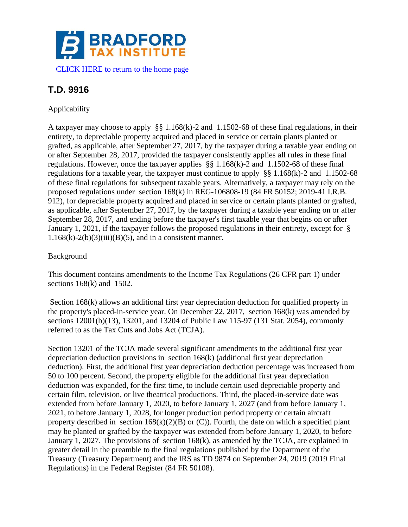

# **T.D. 9916**

# Applicability

A taxpayer may choose to apply §§ 1.168(k)-2 and 1.1502-68 of these final regulations, in their entirety, to depreciable property acquired and placed in service or certain plants planted or grafted, as applicable, after September 27, 2017, by the taxpayer during a taxable year ending on or after September 28, 2017, provided the taxpayer consistently applies all rules in these final regulations. However, once the taxpayer applies §§ 1.168(k)-2 and 1.1502-68 of these final regulations for a taxable year, the taxpayer must continue to apply §§ 1.168(k)-2 and 1.1502-68 of these final regulations for subsequent taxable years. Alternatively, a taxpayer may rely on the proposed regulations under section 168(k) in REG-106808-19 (84 FR 50152; 2019-41 I.R.B. 912), for depreciable property acquired and placed in service or certain plants planted or grafted, as applicable, after September 27, 2017, by the taxpayer during a taxable year ending on or after September 28, 2017, and ending before the taxpayer's first taxable year that begins on or after January 1, 2021, if the taxpayer follows the proposed regulations in their entirety, except for §  $1.168(k)-2(b)(3)(iii)(B)(5)$ , and in a consistent manner.

# Background

This document contains amendments to the Income Tax Regulations (26 CFR part 1) under sections  $168(k)$  and  $1502$ .

Section 168(k) allows an additional first year depreciation deduction for qualified property in the property's placed-in-service year. On December 22, 2017, section 168(k) was amended by sections 12001(b)(13), 13201, and 13204 of Public Law 115-97 (131 Stat. 2054), commonly referred to as the Tax Cuts and Jobs Act (TCJA).

Section 13201 of the TCJA made several significant amendments to the additional first year depreciation deduction provisions in section 168(k) (additional first year depreciation deduction). First, the additional first year depreciation deduction percentage was increased from 50 to 100 percent. Second, the property eligible for the additional first year depreciation deduction was expanded, for the first time, to include certain used depreciable property and certain film, television, or live theatrical productions. Third, the placed-in-service date was extended from before January 1, 2020, to before January 1, 2027 (and from before January 1, 2021, to before January 1, 2028, for longer production period property or certain aircraft property described in section  $168(k)(2)(B)$  or (C)). Fourth, the date on which a specified plant may be planted or grafted by the taxpayer was extended from before January 1, 2020, to before January 1, 2027. The provisions of section 168(k), as amended by the TCJA, are explained in greater detail in the preamble to the final regulations published by the Department of the Treasury (Treasury Department) and the IRS as TD 9874 on September 24, 2019 (2019 Final Regulations) in the Federal Register (84 FR 50108).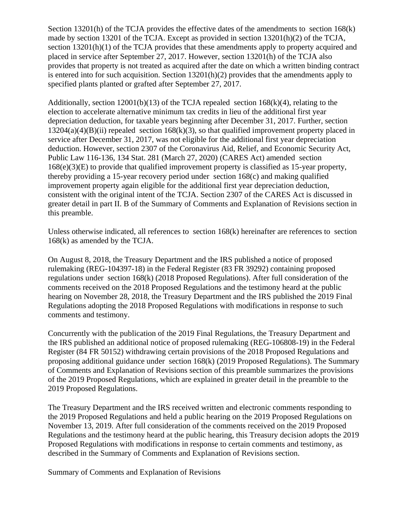Section 13201(h) of the TCJA provides the effective dates of the amendments to section 168(k) made by section 13201 of the TCJA. Except as provided in section  $13201(h)(2)$  of the TCJA, section 13201(h)(1) of the TCJA provides that these amendments apply to property acquired and placed in service after September 27, 2017. However, section 13201(h) of the TCJA also provides that property is not treated as acquired after the date on which a written binding contract is entered into for such acquisition. Section  $13201(h)(2)$  provides that the amendments apply to specified plants planted or grafted after September 27, 2017.

Additionally, section  $12001(b)(13)$  of the TCJA repealed section  $168(k)(4)$ , relating to the election to accelerate alternative minimum tax credits in lieu of the additional first year depreciation deduction, for taxable years beginning after December 31, 2017. Further, section  $13204(a)(B)(ii)$  repealed section  $168(k)(3)$ , so that qualified improvement property placed in service after December 31, 2017, was not eligible for the additional first year depreciation deduction. However, section 2307 of the Coronavirus Aid, Relief, and Economic Security Act, Public Law 116-136, 134 Stat. 281 (March 27, 2020) (CARES Act) amended section  $168(e)(3)(E)$  to provide that qualified improvement property is classified as 15-year property, thereby providing a 15-year recovery period under section 168(c) and making qualified improvement property again eligible for the additional first year depreciation deduction, consistent with the original intent of the TCJA. Section 2307 of the CARES Act is discussed in greater detail in part II. B of the Summary of Comments and Explanation of Revisions section in this preamble.

Unless otherwise indicated, all references to section 168(k) hereinafter are references to section 168(k) as amended by the TCJA.

On August 8, 2018, the Treasury Department and the IRS published a notice of proposed rulemaking (REG-104397-18) in the Federal Register (83 FR 39292) containing proposed regulations under section 168(k) (2018 Proposed Regulations). After full consideration of the comments received on the 2018 Proposed Regulations and the testimony heard at the public hearing on November 28, 2018, the Treasury Department and the IRS published the 2019 Final Regulations adopting the 2018 Proposed Regulations with modifications in response to such comments and testimony.

Concurrently with the publication of the 2019 Final Regulations, the Treasury Department and the IRS published an additional notice of proposed rulemaking (REG-106808-19) in the Federal Register (84 FR 50152) withdrawing certain provisions of the 2018 Proposed Regulations and proposing additional guidance under section 168(k) (2019 Proposed Regulations). The Summary of Comments and Explanation of Revisions section of this preamble summarizes the provisions of the 2019 Proposed Regulations, which are explained in greater detail in the preamble to the 2019 Proposed Regulations.

The Treasury Department and the IRS received written and electronic comments responding to the 2019 Proposed Regulations and held a public hearing on the 2019 Proposed Regulations on November 13, 2019. After full consideration of the comments received on the 2019 Proposed Regulations and the testimony heard at the public hearing, this Treasury decision adopts the 2019 Proposed Regulations with modifications in response to certain comments and testimony, as described in the Summary of Comments and Explanation of Revisions section.

Summary of Comments and Explanation of Revisions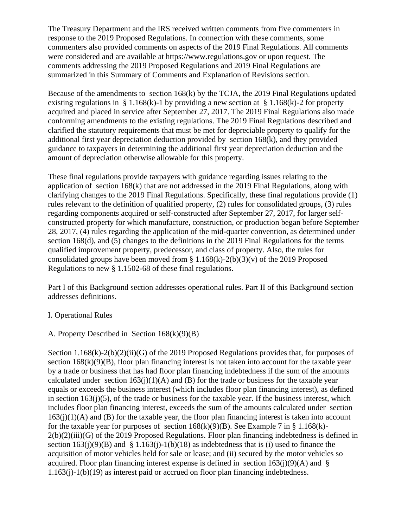The Treasury Department and the IRS received written comments from five commenters in response to the 2019 Proposed Regulations. In connection with these comments, some commenters also provided comments on aspects of the 2019 Final Regulations. All comments were considered and are available at https://www.regulations.gov or upon request. The comments addressing the 2019 Proposed Regulations and 2019 Final Regulations are summarized in this Summary of Comments and Explanation of Revisions section.

Because of the amendments to section 168(k) by the TCJA, the 2019 Final Regulations updated existing regulations in § 1.168(k)-1 by providing a new section at § 1.168(k)-2 for property acquired and placed in service after September 27, 2017. The 2019 Final Regulations also made conforming amendments to the existing regulations. The 2019 Final Regulations described and clarified the statutory requirements that must be met for depreciable property to qualify for the additional first year depreciation deduction provided by section 168(k), and they provided guidance to taxpayers in determining the additional first year depreciation deduction and the amount of depreciation otherwise allowable for this property.

These final regulations provide taxpayers with guidance regarding issues relating to the application of section 168(k) that are not addressed in the 2019 Final Regulations, along with clarifying changes to the 2019 Final Regulations. Specifically, these final regulations provide (1) rules relevant to the definition of qualified property, (2) rules for consolidated groups, (3) rules regarding components acquired or self-constructed after September 27, 2017, for larger selfconstructed property for which manufacture, construction, or production began before September 28, 2017, (4) rules regarding the application of the mid-quarter convention, as determined under section 168(d), and (5) changes to the definitions in the 2019 Final Regulations for the terms qualified improvement property, predecessor, and class of property. Also, the rules for consolidated groups have been moved from  $\S 1.168(k) - 2(b)(3)(v)$  of the 2019 Proposed Regulations to new § 1.1502-68 of these final regulations.

Part I of this Background section addresses operational rules. Part II of this Background section addresses definitions.

# I. Operational Rules

# A. Property Described in Section 168(k)(9)(B)

Section 1.168(k)-2(b)(2)(ii)(G) of the 2019 Proposed Regulations provides that, for purposes of section  $168(k)(9)(B)$ , floor plan financing interest is not taken into account for the taxable year by a trade or business that has had floor plan financing indebtedness if the sum of the amounts calculated under section  $163(j)(1)(A)$  and (B) for the trade or business for the taxable year equals or exceeds the business interest (which includes floor plan financing interest), as defined in section 163(j)(5), of the trade or business for the taxable year. If the business interest, which includes floor plan financing interest, exceeds the sum of the amounts calculated under section  $163(j)(1)(A)$  and (B) for the taxable year, the floor plan financing interest is taken into account for the taxable year for purposes of section  $168(k)(9)(B)$ . See Example 7 in § 1.168(k)- $2(b)(2)(iii)(G)$  of the 2019 Proposed Regulations. Floor plan financing indebtedness is defined in section  $163(i)(9)(B)$  and § 1.163(j)-1(b)(18) as indebtedness that is (i) used to finance the acquisition of motor vehicles held for sale or lease; and (ii) secured by the motor vehicles so acquired. Floor plan financing interest expense is defined in section  $163(i)(9)(A)$  and § 1.163(j)-1(b)(19) as interest paid or accrued on floor plan financing indebtedness.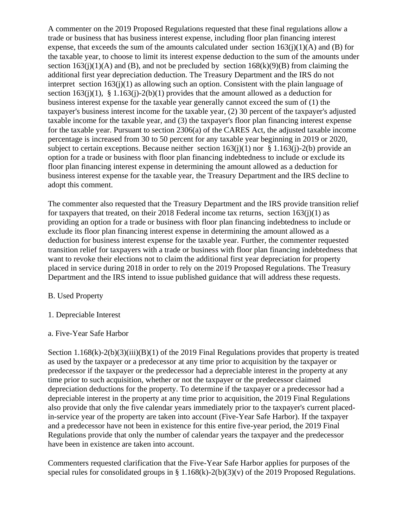A commenter on the 2019 Proposed Regulations requested that these final regulations allow a trade or business that has business interest expense, including floor plan financing interest expense, that exceeds the sum of the amounts calculated under section  $163(i)(1)(A)$  and (B) for the taxable year, to choose to limit its interest expense deduction to the sum of the amounts under section  $163(j)(1)(A)$  and (B), and not be precluded by section  $168(k)(9)(B)$  from claiming the additional first year depreciation deduction. The Treasury Department and the IRS do not interpret section 163(j)(1) as allowing such an option. Consistent with the plain language of section  $163(i)(1)$ , §  $1.163(i)-2(b)(1)$  provides that the amount allowed as a deduction for business interest expense for the taxable year generally cannot exceed the sum of (1) the taxpayer's business interest income for the taxable year, (2) 30 percent of the taxpayer's adjusted taxable income for the taxable year, and (3) the taxpayer's floor plan financing interest expense for the taxable year. Pursuant to section 2306(a) of the CARES Act, the adjusted taxable income percentage is increased from 30 to 50 percent for any taxable year beginning in 2019 or 2020, subject to certain exceptions. Because neither section  $163(i)(1)$  nor § 1.163(j)-2(b) provide an option for a trade or business with floor plan financing indebtedness to include or exclude its floor plan financing interest expense in determining the amount allowed as a deduction for business interest expense for the taxable year, the Treasury Department and the IRS decline to adopt this comment.

The commenter also requested that the Treasury Department and the IRS provide transition relief for taxpayers that treated, on their 2018 Federal income tax returns, section  $163(i)(1)$  as providing an option for a trade or business with floor plan financing indebtedness to include or exclude its floor plan financing interest expense in determining the amount allowed as a deduction for business interest expense for the taxable year. Further, the commenter requested transition relief for taxpayers with a trade or business with floor plan financing indebtedness that want to revoke their elections not to claim the additional first year depreciation for property placed in service during 2018 in order to rely on the 2019 Proposed Regulations. The Treasury Department and the IRS intend to issue published guidance that will address these requests.

# B. Used Property

1. Depreciable Interest

## a. Five-Year Safe Harbor

Section 1.168(k)-2(b)(3)(iii)(B)(1) of the 2019 Final Regulations provides that property is treated as used by the taxpayer or a predecessor at any time prior to acquisition by the taxpayer or predecessor if the taxpayer or the predecessor had a depreciable interest in the property at any time prior to such acquisition, whether or not the taxpayer or the predecessor claimed depreciation deductions for the property. To determine if the taxpayer or a predecessor had a depreciable interest in the property at any time prior to acquisition, the 2019 Final Regulations also provide that only the five calendar years immediately prior to the taxpayer's current placedin-service year of the property are taken into account (Five-Year Safe Harbor). If the taxpayer and a predecessor have not been in existence for this entire five-year period, the 2019 Final Regulations provide that only the number of calendar years the taxpayer and the predecessor have been in existence are taken into account.

Commenters requested clarification that the Five-Year Safe Harbor applies for purposes of the special rules for consolidated groups in § 1.168(k)-2(b)(3)(v) of the 2019 Proposed Regulations.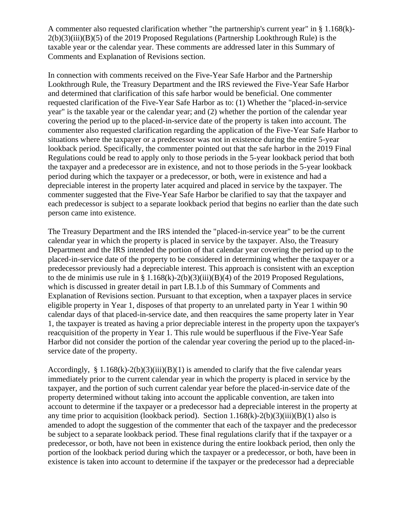A commenter also requested clarification whether "the partnership's current year" in § 1.168(k)-  $2(b)(3)(iii)(B)(5)$  of the 2019 Proposed Regulations (Partnership Lookthrough Rule) is the taxable year or the calendar year. These comments are addressed later in this Summary of Comments and Explanation of Revisions section.

In connection with comments received on the Five-Year Safe Harbor and the Partnership Lookthrough Rule, the Treasury Department and the IRS reviewed the Five-Year Safe Harbor and determined that clarification of this safe harbor would be beneficial. One commenter requested clarification of the Five-Year Safe Harbor as to: (1) Whether the "placed-in-service year" is the taxable year or the calendar year; and (2) whether the portion of the calendar year covering the period up to the placed-in-service date of the property is taken into account. The commenter also requested clarification regarding the application of the Five-Year Safe Harbor to situations where the taxpayer or a predecessor was not in existence during the entire 5-year lookback period. Specifically, the commenter pointed out that the safe harbor in the 2019 Final Regulations could be read to apply only to those periods in the 5-year lookback period that both the taxpayer and a predecessor are in existence, and not to those periods in the 5-year lookback period during which the taxpayer or a predecessor, or both, were in existence and had a depreciable interest in the property later acquired and placed in service by the taxpayer. The commenter suggested that the Five-Year Safe Harbor be clarified to say that the taxpayer and each predecessor is subject to a separate lookback period that begins no earlier than the date such person came into existence.

The Treasury Department and the IRS intended the "placed-in-service year" to be the current calendar year in which the property is placed in service by the taxpayer. Also, the Treasury Department and the IRS intended the portion of that calendar year covering the period up to the placed-in-service date of the property to be considered in determining whether the taxpayer or a predecessor previously had a depreciable interest. This approach is consistent with an exception to the de minimis use rule in § 1.168(k)-2(b)(3)(iii)(B)(4) of the 2019 Proposed Regulations, which is discussed in greater detail in part I.B.1.b of this Summary of Comments and Explanation of Revisions section. Pursuant to that exception, when a taxpayer places in service eligible property in Year 1, disposes of that property to an unrelated party in Year 1 within 90 calendar days of that placed-in-service date, and then reacquires the same property later in Year 1, the taxpayer is treated as having a prior depreciable interest in the property upon the taxpayer's reacquisition of the property in Year 1. This rule would be superfluous if the Five-Year Safe Harbor did not consider the portion of the calendar year covering the period up to the placed-inservice date of the property.

Accordingly, § 1.168 $(k)$ -2 $(b)(3)(iii)(B)(1)$  is amended to clarify that the five calendar years immediately prior to the current calendar year in which the property is placed in service by the taxpayer, and the portion of such current calendar year before the placed-in-service date of the property determined without taking into account the applicable convention, are taken into account to determine if the taxpayer or a predecessor had a depreciable interest in the property at any time prior to acquisition (lookback period). Section  $1.168(k)-2(b)(3)(iii)(B)(1)$  also is amended to adopt the suggestion of the commenter that each of the taxpayer and the predecessor be subject to a separate lookback period. These final regulations clarify that if the taxpayer or a predecessor, or both, have not been in existence during the entire lookback period, then only the portion of the lookback period during which the taxpayer or a predecessor, or both, have been in existence is taken into account to determine if the taxpayer or the predecessor had a depreciable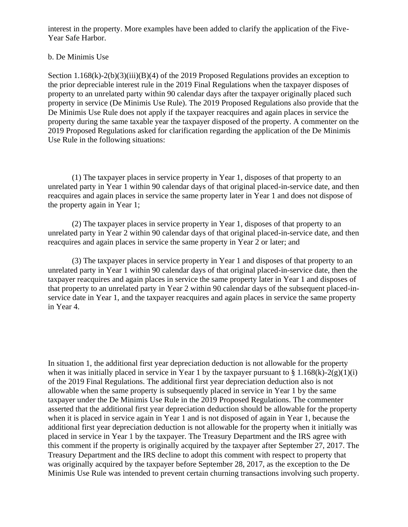interest in the property. More examples have been added to clarify the application of the Five-Year Safe Harbor.

## b. De Minimis Use

Section 1.168(k)-2(b)(3)(iii)(B)(4) of the 2019 Proposed Regulations provides an exception to the prior depreciable interest rule in the 2019 Final Regulations when the taxpayer disposes of property to an unrelated party within 90 calendar days after the taxpayer originally placed such property in service (De Minimis Use Rule). The 2019 Proposed Regulations also provide that the De Minimis Use Rule does not apply if the taxpayer reacquires and again places in service the property during the same taxable year the taxpayer disposed of the property. A commenter on the 2019 Proposed Regulations asked for clarification regarding the application of the De Minimis Use Rule in the following situations:

(1) The taxpayer places in service property in Year 1, disposes of that property to an unrelated party in Year 1 within 90 calendar days of that original placed-in-service date, and then reacquires and again places in service the same property later in Year 1 and does not dispose of the property again in Year 1;

(2) The taxpayer places in service property in Year 1, disposes of that property to an unrelated party in Year 2 within 90 calendar days of that original placed-in-service date, and then reacquires and again places in service the same property in Year 2 or later; and

(3) The taxpayer places in service property in Year 1 and disposes of that property to an unrelated party in Year 1 within 90 calendar days of that original placed-in-service date, then the taxpayer reacquires and again places in service the same property later in Year 1 and disposes of that property to an unrelated party in Year 2 within 90 calendar days of the subsequent placed-inservice date in Year 1, and the taxpayer reacquires and again places in service the same property in Year 4.

In situation 1, the additional first year depreciation deduction is not allowable for the property when it was initially placed in service in Year 1 by the taxpayer pursuant to  $\S 1.168(k)-2(g)(1)(i)$ of the 2019 Final Regulations. The additional first year depreciation deduction also is not allowable when the same property is subsequently placed in service in Year 1 by the same taxpayer under the De Minimis Use Rule in the 2019 Proposed Regulations. The commenter asserted that the additional first year depreciation deduction should be allowable for the property when it is placed in service again in Year 1 and is not disposed of again in Year 1, because the additional first year depreciation deduction is not allowable for the property when it initially was placed in service in Year 1 by the taxpayer. The Treasury Department and the IRS agree with this comment if the property is originally acquired by the taxpayer after September 27, 2017. The Treasury Department and the IRS decline to adopt this comment with respect to property that was originally acquired by the taxpayer before September 28, 2017, as the exception to the De Minimis Use Rule was intended to prevent certain churning transactions involving such property.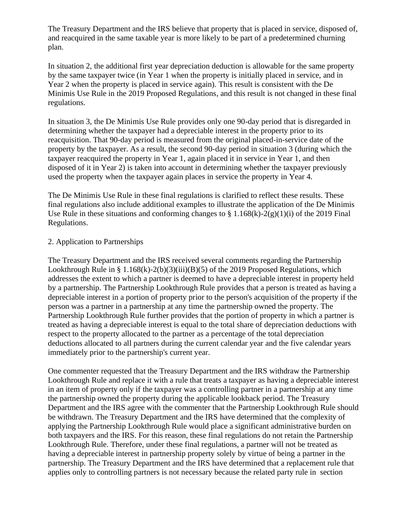The Treasury Department and the IRS believe that property that is placed in service, disposed of, and reacquired in the same taxable year is more likely to be part of a predetermined churning plan.

In situation 2, the additional first year depreciation deduction is allowable for the same property by the same taxpayer twice (in Year 1 when the property is initially placed in service, and in Year 2 when the property is placed in service again). This result is consistent with the De Minimis Use Rule in the 2019 Proposed Regulations, and this result is not changed in these final regulations.

In situation 3, the De Minimis Use Rule provides only one 90-day period that is disregarded in determining whether the taxpayer had a depreciable interest in the property prior to its reacquisition. That 90-day period is measured from the original placed-in-service date of the property by the taxpayer. As a result, the second 90-day period in situation 3 (during which the taxpayer reacquired the property in Year 1, again placed it in service in Year 1, and then disposed of it in Year 2) is taken into account in determining whether the taxpayer previously used the property when the taxpayer again places in service the property in Year 4.

The De Minimis Use Rule in these final regulations is clarified to reflect these results. These final regulations also include additional examples to illustrate the application of the De Minimis Use Rule in these situations and conforming changes to  $\S 1.168(k)-2(g)(1)(i)$  of the 2019 Final Regulations.

## 2. Application to Partnerships

The Treasury Department and the IRS received several comments regarding the Partnership Lookthrough Rule in § 1.168(k)-2(b)(3)(iii)(B)(5) of the 2019 Proposed Regulations, which addresses the extent to which a partner is deemed to have a depreciable interest in property held by a partnership. The Partnership Lookthrough Rule provides that a person is treated as having a depreciable interest in a portion of property prior to the person's acquisition of the property if the person was a partner in a partnership at any time the partnership owned the property. The Partnership Lookthrough Rule further provides that the portion of property in which a partner is treated as having a depreciable interest is equal to the total share of depreciation deductions with respect to the property allocated to the partner as a percentage of the total depreciation deductions allocated to all partners during the current calendar year and the five calendar years immediately prior to the partnership's current year.

One commenter requested that the Treasury Department and the IRS withdraw the Partnership Lookthrough Rule and replace it with a rule that treats a taxpayer as having a depreciable interest in an item of property only if the taxpayer was a controlling partner in a partnership at any time the partnership owned the property during the applicable lookback period. The Treasury Department and the IRS agree with the commenter that the Partnership Lookthrough Rule should be withdrawn. The Treasury Department and the IRS have determined that the complexity of applying the Partnership Lookthrough Rule would place a significant administrative burden on both taxpayers and the IRS. For this reason, these final regulations do not retain the Partnership Lookthrough Rule. Therefore, under these final regulations, a partner will not be treated as having a depreciable interest in partnership property solely by virtue of being a partner in the partnership. The Treasury Department and the IRS have determined that a replacement rule that applies only to controlling partners is not necessary because the related party rule in section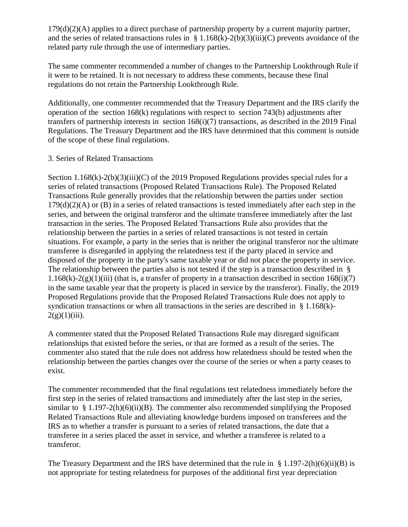179(d)(2)(A) applies to a direct purchase of partnership property by a current majority partner, and the series of related transactions rules in  $\S 1.168(k) - 2(b)(3)(iii)(C)$  prevents avoidance of the related party rule through the use of intermediary parties.

The same commenter recommended a number of changes to the Partnership Lookthrough Rule if it were to be retained. It is not necessary to address these comments, because these final regulations do not retain the Partnership Lookthrough Rule.

Additionally, one commenter recommended that the Treasury Department and the IRS clarify the operation of the section 168(k) regulations with respect to section 743(b) adjustments after transfers of partnership interests in section 168(i)(7) transactions, as described in the 2019 Final Regulations. The Treasury Department and the IRS have determined that this comment is outside of the scope of these final regulations.

# 3. Series of Related Transactions

Section 1.168(k)-2(b)(3)(iii)(C) of the 2019 Proposed Regulations provides special rules for a series of related transactions (Proposed Related Transactions Rule). The Proposed Related Transactions Rule generally provides that the relationship between the parties under section  $179(d)(2)(A)$  or (B) in a series of related transactions is tested immediately after each step in the series, and between the original transferor and the ultimate transferee immediately after the last transaction in the series. The Proposed Related Transactions Rule also provides that the relationship between the parties in a series of related transactions is not tested in certain situations. For example, a party in the series that is neither the original transferor nor the ultimate transferee is disregarded in applying the relatedness test if the party placed in service and disposed of the property in the party's same taxable year or did not place the property in service. The relationship between the parties also is not tested if the step is a transaction described in §  $1.168(k)-2(g)(1)(iii)$  (that is, a transfer of property in a transaction described in section  $168(i)(7)$ ) in the same taxable year that the property is placed in service by the transferor). Finally, the 2019 Proposed Regulations provide that the Proposed Related Transactions Rule does not apply to syndication transactions or when all transactions in the series are described in § 1.168(k)- $2(g)(1)(iii)$ .

A commenter stated that the Proposed Related Transactions Rule may disregard significant relationships that existed before the series, or that are formed as a result of the series. The commenter also stated that the rule does not address how relatedness should be tested when the relationship between the parties changes over the course of the series or when a party ceases to exist.

The commenter recommended that the final regulations test relatedness immediately before the first step in the series of related transactions and immediately after the last step in the series, similar to  $§ 1.197-2(h)(6)(ii)(B)$ . The commenter also recommended simplifying the Proposed Related Transactions Rule and alleviating knowledge burdens imposed on transferees and the IRS as to whether a transfer is pursuant to a series of related transactions, the date that a transferee in a series placed the asset in service, and whether a transferee is related to a transferor.

The Treasury Department and the IRS have determined that the rule in § 1.197-2(h)(6)(ii)(B) is not appropriate for testing relatedness for purposes of the additional first year depreciation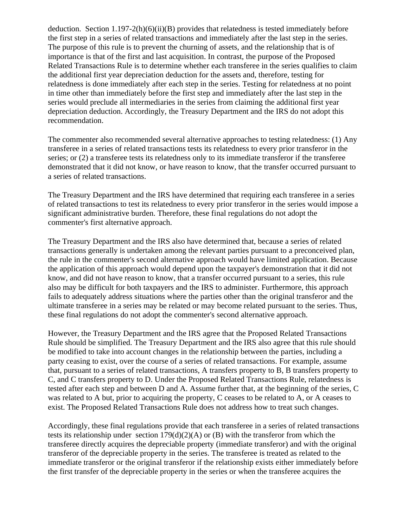deduction. Section 1.197-2(h)(6)(ii)(B) provides that relatedness is tested immediately before the first step in a series of related transactions and immediately after the last step in the series. The purpose of this rule is to prevent the churning of assets, and the relationship that is of importance is that of the first and last acquisition. In contrast, the purpose of the Proposed Related Transactions Rule is to determine whether each transferee in the series qualifies to claim the additional first year depreciation deduction for the assets and, therefore, testing for relatedness is done immediately after each step in the series. Testing for relatedness at no point in time other than immediately before the first step and immediately after the last step in the series would preclude all intermediaries in the series from claiming the additional first year depreciation deduction. Accordingly, the Treasury Department and the IRS do not adopt this recommendation.

The commenter also recommended several alternative approaches to testing relatedness: (1) Any transferee in a series of related transactions tests its relatedness to every prior transferor in the series; or (2) a transferee tests its relatedness only to its immediate transferor if the transferee demonstrated that it did not know, or have reason to know, that the transfer occurred pursuant to a series of related transactions.

The Treasury Department and the IRS have determined that requiring each transferee in a series of related transactions to test its relatedness to every prior transferor in the series would impose a significant administrative burden. Therefore, these final regulations do not adopt the commenter's first alternative approach.

The Treasury Department and the IRS also have determined that, because a series of related transactions generally is undertaken among the relevant parties pursuant to a preconceived plan, the rule in the commenter's second alternative approach would have limited application. Because the application of this approach would depend upon the taxpayer's demonstration that it did not know, and did not have reason to know, that a transfer occurred pursuant to a series, this rule also may be difficult for both taxpayers and the IRS to administer. Furthermore, this approach fails to adequately address situations where the parties other than the original transferor and the ultimate transferee in a series may be related or may become related pursuant to the series. Thus, these final regulations do not adopt the commenter's second alternative approach.

However, the Treasury Department and the IRS agree that the Proposed Related Transactions Rule should be simplified. The Treasury Department and the IRS also agree that this rule should be modified to take into account changes in the relationship between the parties, including a party ceasing to exist, over the course of a series of related transactions. For example, assume that, pursuant to a series of related transactions, A transfers property to B, B transfers property to C, and C transfers property to D. Under the Proposed Related Transactions Rule, relatedness is tested after each step and between D and A. Assume further that, at the beginning of the series, C was related to A but, prior to acquiring the property, C ceases to be related to A, or A ceases to exist. The Proposed Related Transactions Rule does not address how to treat such changes.

Accordingly, these final regulations provide that each transferee in a series of related transactions tests its relationship under section 179(d)(2)(A) or (B) with the transferor from which the transferee directly acquires the depreciable property (immediate transferor) and with the original transferor of the depreciable property in the series. The transferee is treated as related to the immediate transferor or the original transferor if the relationship exists either immediately before the first transfer of the depreciable property in the series or when the transferee acquires the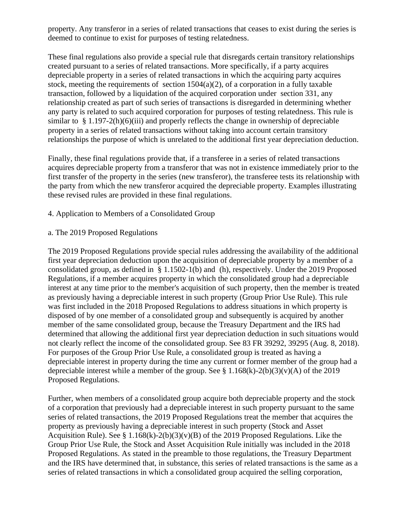property. Any transferor in a series of related transactions that ceases to exist during the series is deemed to continue to exist for purposes of testing relatedness.

These final regulations also provide a special rule that disregards certain transitory relationships created pursuant to a series of related transactions. More specifically, if a party acquires depreciable property in a series of related transactions in which the acquiring party acquires stock, meeting the requirements of section  $1504(a)(2)$ , of a corporation in a fully taxable transaction, followed by a liquidation of the acquired corporation under section 331, any relationship created as part of such series of transactions is disregarded in determining whether any party is related to such acquired corporation for purposes of testing relatedness. This rule is similar to  $§ 1.197-2(h)(6)(iii)$  and properly reflects the change in ownership of depreciable property in a series of related transactions without taking into account certain transitory relationships the purpose of which is unrelated to the additional first year depreciation deduction.

Finally, these final regulations provide that, if a transferee in a series of related transactions acquires depreciable property from a transferor that was not in existence immediately prior to the first transfer of the property in the series (new transferor), the transferee tests its relationship with the party from which the new transferor acquired the depreciable property. Examples illustrating these revised rules are provided in these final regulations.

## 4. Application to Members of a Consolidated Group

a. The 2019 Proposed Regulations

The 2019 Proposed Regulations provide special rules addressing the availability of the additional first year depreciation deduction upon the acquisition of depreciable property by a member of a consolidated group, as defined in § 1.1502-1(b) and (h), respectively. Under the 2019 Proposed Regulations, if a member acquires property in which the consolidated group had a depreciable interest at any time prior to the member's acquisition of such property, then the member is treated as previously having a depreciable interest in such property (Group Prior Use Rule). This rule was first included in the 2018 Proposed Regulations to address situations in which property is disposed of by one member of a consolidated group and subsequently is acquired by another member of the same consolidated group, because the Treasury Department and the IRS had determined that allowing the additional first year depreciation deduction in such situations would not clearly reflect the income of the consolidated group. See 83 FR 39292, 39295 (Aug. 8, 2018). For purposes of the Group Prior Use Rule, a consolidated group is treated as having a depreciable interest in property during the time any current or former member of the group had a depreciable interest while a member of the group. See  $\S 1.168(k) - 2(b)(3)(v)(A)$  of the 2019 Proposed Regulations.

Further, when members of a consolidated group acquire both depreciable property and the stock of a corporation that previously had a depreciable interest in such property pursuant to the same series of related transactions, the 2019 Proposed Regulations treat the member that acquires the property as previously having a depreciable interest in such property (Stock and Asset Acquisition Rule). See § 1.168(k)-2(b)(3)(v)(B) of the 2019 Proposed Regulations. Like the Group Prior Use Rule, the Stock and Asset Acquisition Rule initially was included in the 2018 Proposed Regulations. As stated in the preamble to those regulations, the Treasury Department and the IRS have determined that, in substance, this series of related transactions is the same as a series of related transactions in which a consolidated group acquired the selling corporation,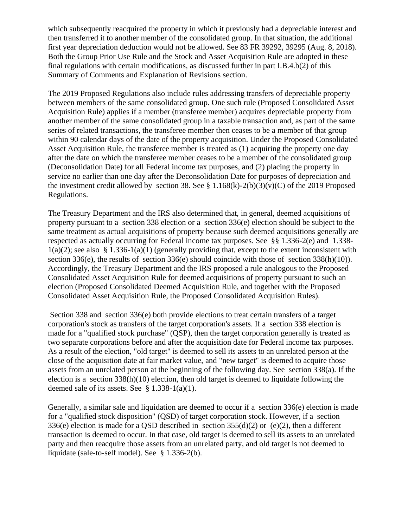which subsequently reacquired the property in which it previously had a depreciable interest and then transferred it to another member of the consolidated group. In that situation, the additional first year depreciation deduction would not be allowed. See 83 FR 39292, 39295 (Aug. 8, 2018). Both the Group Prior Use Rule and the Stock and Asset Acquisition Rule are adopted in these final regulations with certain modifications, as discussed further in part I.B.4.b(2) of this Summary of Comments and Explanation of Revisions section.

The 2019 Proposed Regulations also include rules addressing transfers of depreciable property between members of the same consolidated group. One such rule (Proposed Consolidated Asset Acquisition Rule) applies if a member (transferee member) acquires depreciable property from another member of the same consolidated group in a taxable transaction and, as part of the same series of related transactions, the transferee member then ceases to be a member of that group within 90 calendar days of the date of the property acquisition. Under the Proposed Consolidated Asset Acquisition Rule, the transferee member is treated as (1) acquiring the property one day after the date on which the transferee member ceases to be a member of the consolidated group (Deconsolidation Date) for all Federal income tax purposes, and (2) placing the property in service no earlier than one day after the Deconsolidation Date for purposes of depreciation and the investment credit allowed by section 38. See §  $1.168(k)-2(b)(3)(v)(C)$  of the 2019 Proposed Regulations.

The Treasury Department and the IRS also determined that, in general, deemed acquisitions of property pursuant to a section 338 election or a section 336(e) election should be subject to the same treatment as actual acquisitions of property because such deemed acquisitions generally are respected as actually occurring for Federal income tax purposes. See §§ 1.336-2(e) and 1.338-  $1(a)(2)$ ; see also § 1.336-1(a)(1) (generally providing that, except to the extent inconsistent with section 336(e), the results of section 336(e) should coincide with those of section 338(h)(10)). Accordingly, the Treasury Department and the IRS proposed a rule analogous to the Proposed Consolidated Asset Acquisition Rule for deemed acquisitions of property pursuant to such an election (Proposed Consolidated Deemed Acquisition Rule, and together with the Proposed Consolidated Asset Acquisition Rule, the Proposed Consolidated Acquisition Rules).

Section 338 and section 336(e) both provide elections to treat certain transfers of a target corporation's stock as transfers of the target corporation's assets. If a section 338 election is made for a "qualified stock purchase" (QSP), then the target corporation generally is treated as two separate corporations before and after the acquisition date for Federal income tax purposes. As a result of the election, "old target" is deemed to sell its assets to an unrelated person at the close of the acquisition date at fair market value, and "new target" is deemed to acquire those assets from an unrelated person at the beginning of the following day. See section 338(a). If the election is a section 338(h)(10) election, then old target is deemed to liquidate following the deemed sale of its assets. See  $§$  1.338-1(a)(1).

Generally, a similar sale and liquidation are deemed to occur if a section 336(e) election is made for a "qualified stock disposition" (QSD) of target corporation stock. However, if a section 336(e) election is made for a QSD described in section  $355(d)(2)$  or (e)(2), then a different transaction is deemed to occur. In that case, old target is deemed to sell its assets to an unrelated party and then reacquire those assets from an unrelated party, and old target is not deemed to liquidate (sale-to-self model). See § 1.336-2(b).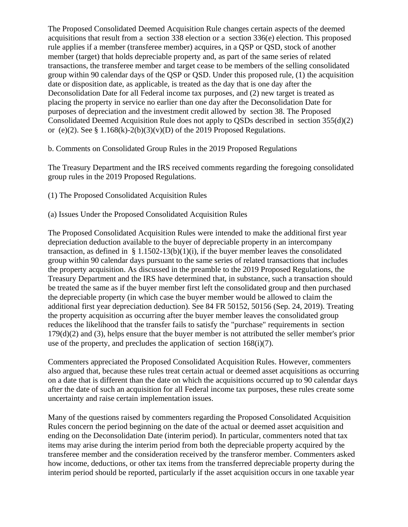The Proposed Consolidated Deemed Acquisition Rule changes certain aspects of the deemed acquisitions that result from a section 338 election or a section 336(e) election. This proposed rule applies if a member (transferee member) acquires, in a QSP or QSD, stock of another member (target) that holds depreciable property and, as part of the same series of related transactions, the transferee member and target cease to be members of the selling consolidated group within 90 calendar days of the QSP or QSD. Under this proposed rule, (1) the acquisition date or disposition date, as applicable, is treated as the day that is one day after the Deconsolidation Date for all Federal income tax purposes, and (2) new target is treated as placing the property in service no earlier than one day after the Deconsolidation Date for purposes of depreciation and the investment credit allowed by section 38. The Proposed Consolidated Deemed Acquisition Rule does not apply to QSDs described in section 355(d)(2) or (e)(2). See § 1.168(k)-2(b)(3)(v)(D) of the 2019 Proposed Regulations.

b. Comments on Consolidated Group Rules in the 2019 Proposed Regulations

The Treasury Department and the IRS received comments regarding the foregoing consolidated group rules in the 2019 Proposed Regulations.

(1) The Proposed Consolidated Acquisition Rules

(a) Issues Under the Proposed Consolidated Acquisition Rules

The Proposed Consolidated Acquisition Rules were intended to make the additional first year depreciation deduction available to the buyer of depreciable property in an intercompany transaction, as defined in §  $1.1502 - 13(b)(1)(i)$ , if the buyer member leaves the consolidated group within 90 calendar days pursuant to the same series of related transactions that includes the property acquisition. As discussed in the preamble to the 2019 Proposed Regulations, the Treasury Department and the IRS have determined that, in substance, such a transaction should be treated the same as if the buyer member first left the consolidated group and then purchased the depreciable property (in which case the buyer member would be allowed to claim the additional first year depreciation deduction). See 84 FR 50152, 50156 (Sep. 24, 2019). Treating the property acquisition as occurring after the buyer member leaves the consolidated group reduces the likelihood that the transfer fails to satisfy the "purchase" requirements in section  $179(d)(2)$  and (3), helps ensure that the buyer member is not attributed the seller member's prior use of the property, and precludes the application of section  $168(i)(7)$ .

Commenters appreciated the Proposed Consolidated Acquisition Rules. However, commenters also argued that, because these rules treat certain actual or deemed asset acquisitions as occurring on a date that is different than the date on which the acquisitions occurred up to 90 calendar days after the date of such an acquisition for all Federal income tax purposes, these rules create some uncertainty and raise certain implementation issues.

Many of the questions raised by commenters regarding the Proposed Consolidated Acquisition Rules concern the period beginning on the date of the actual or deemed asset acquisition and ending on the Deconsolidation Date (interim period). In particular, commenters noted that tax items may arise during the interim period from both the depreciable property acquired by the transferee member and the consideration received by the transferor member. Commenters asked how income, deductions, or other tax items from the transferred depreciable property during the interim period should be reported, particularly if the asset acquisition occurs in one taxable year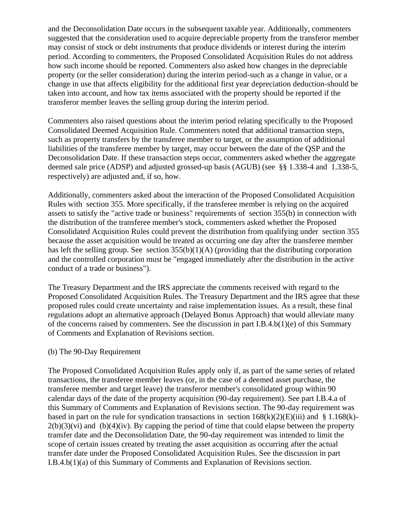and the Deconsolidation Date occurs in the subsequent taxable year. Additionally, commenters suggested that the consideration used to acquire depreciable property from the transferor member may consist of stock or debt instruments that produce dividends or interest during the interim period. According to commenters, the Proposed Consolidated Acquisition Rules do not address how such income should be reported. Commenters also asked how changes in the depreciable property (or the seller consideration) during the interim period-such as a change in value, or a change in use that affects eligibility for the additional first year depreciation deduction-should be taken into account, and how tax items associated with the property should be reported if the transferor member leaves the selling group during the interim period.

Commenters also raised questions about the interim period relating specifically to the Proposed Consolidated Deemed Acquisition Rule. Commenters noted that additional transaction steps, such as property transfers by the transferee member to target, or the assumption of additional liabilities of the transferee member by target, may occur between the date of the QSP and the Deconsolidation Date. If these transaction steps occur, commenters asked whether the aggregate deemed sale price (ADSP) and adjusted grossed-up basis (AGUB) (see §§ 1.338-4 and 1.338-5, respectively) are adjusted and, if so, how.

Additionally, commenters asked about the interaction of the Proposed Consolidated Acquisition Rules with section 355. More specifically, if the transferee member is relying on the acquired assets to satisfy the "active trade or business" requirements of section 355(b) in connection with the distribution of the transferee member's stock, commenters asked whether the Proposed Consolidated Acquisition Rules could prevent the distribution from qualifying under section 355 because the asset acquisition would be treated as occurring one day after the transferee member has left the selling group. See section  $355(b)(1)(A)$  (providing that the distributing corporation and the controlled corporation must be "engaged immediately after the distribution in the active conduct of a trade or business").

The Treasury Department and the IRS appreciate the comments received with regard to the Proposed Consolidated Acquisition Rules. The Treasury Department and the IRS agree that these proposed rules could create uncertainty and raise implementation issues. As a result, these final regulations adopt an alternative approach (Delayed Bonus Approach) that would alleviate many of the concerns raised by commenters. See the discussion in part I.B.4.b(1)(e) of this Summary of Comments and Explanation of Revisions section.

## (b) The 90-Day Requirement

The Proposed Consolidated Acquisition Rules apply only if, as part of the same series of related transactions, the transferee member leaves (or, in the case of a deemed asset purchase, the transferee member and target leave) the transferor member's consolidated group within 90 calendar days of the date of the property acquisition (90-day requirement). See part I.B.4.a of this Summary of Comments and Explanation of Revisions section. The 90-day requirement was based in part on the rule for syndication transactions in section  $168(k)(2)(E)(iii)$  and § 1.168(k)- $2(b)(3)(vi)$  and  $(b)(4)(iv)$ . By capping the period of time that could elapse between the property transfer date and the Deconsolidation Date, the 90-day requirement was intended to limit the scope of certain issues created by treating the asset acquisition as occurring after the actual transfer date under the Proposed Consolidated Acquisition Rules. See the discussion in part I.B.4.b(1)(a) of this Summary of Comments and Explanation of Revisions section.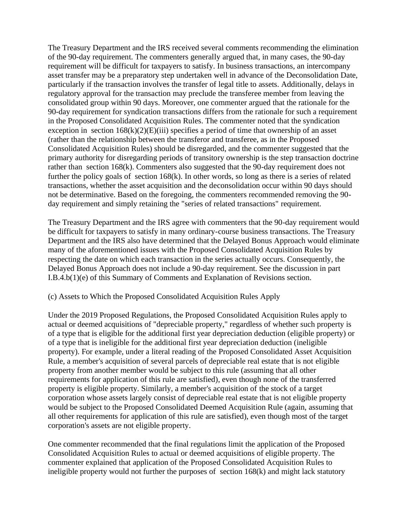The Treasury Department and the IRS received several comments recommending the elimination of the 90-day requirement. The commenters generally argued that, in many cases, the 90-day requirement will be difficult for taxpayers to satisfy. In business transactions, an intercompany asset transfer may be a preparatory step undertaken well in advance of the Deconsolidation Date, particularly if the transaction involves the transfer of legal title to assets. Additionally, delays in regulatory approval for the transaction may preclude the transferee member from leaving the consolidated group within 90 days. Moreover, one commenter argued that the rationale for the 90-day requirement for syndication transactions differs from the rationale for such a requirement in the Proposed Consolidated Acquisition Rules. The commenter noted that the syndication exception in section  $168(k)(2)(E)(iii)$  specifies a period of time that ownership of an asset (rather than the relationship between the transferor and transferee, as in the Proposed Consolidated Acquisition Rules) should be disregarded, and the commenter suggested that the primary authority for disregarding periods of transitory ownership is the step transaction doctrine rather than section 168(k). Commenters also suggested that the 90-day requirement does not further the policy goals of section 168(k). In other words, so long as there is a series of related transactions, whether the asset acquisition and the deconsolidation occur within 90 days should not be determinative. Based on the foregoing, the commenters recommended removing the 90 day requirement and simply retaining the "series of related transactions" requirement.

The Treasury Department and the IRS agree with commenters that the 90-day requirement would be difficult for taxpayers to satisfy in many ordinary-course business transactions. The Treasury Department and the IRS also have determined that the Delayed Bonus Approach would eliminate many of the aforementioned issues with the Proposed Consolidated Acquisition Rules by respecting the date on which each transaction in the series actually occurs. Consequently, the Delayed Bonus Approach does not include a 90-day requirement. See the discussion in part I.B.4.b(1)(e) of this Summary of Comments and Explanation of Revisions section.

## (c) Assets to Which the Proposed Consolidated Acquisition Rules Apply

Under the 2019 Proposed Regulations, the Proposed Consolidated Acquisition Rules apply to actual or deemed acquisitions of "depreciable property," regardless of whether such property is of a type that is eligible for the additional first year depreciation deduction (eligible property) or of a type that is ineligible for the additional first year depreciation deduction (ineligible property). For example, under a literal reading of the Proposed Consolidated Asset Acquisition Rule, a member's acquisition of several parcels of depreciable real estate that is not eligible property from another member would be subject to this rule (assuming that all other requirements for application of this rule are satisfied), even though none of the transferred property is eligible property. Similarly, a member's acquisition of the stock of a target corporation whose assets largely consist of depreciable real estate that is not eligible property would be subject to the Proposed Consolidated Deemed Acquisition Rule (again, assuming that all other requirements for application of this rule are satisfied), even though most of the target corporation's assets are not eligible property.

One commenter recommended that the final regulations limit the application of the Proposed Consolidated Acquisition Rules to actual or deemed acquisitions of eligible property. The commenter explained that application of the Proposed Consolidated Acquisition Rules to ineligible property would not further the purposes of section 168(k) and might lack statutory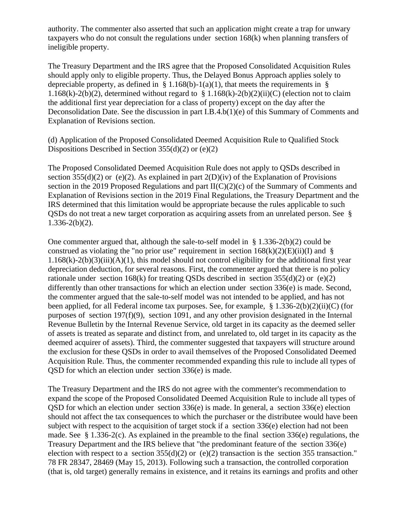authority. The commenter also asserted that such an application might create a trap for unwary taxpayers who do not consult the regulations under section 168(k) when planning transfers of ineligible property.

The Treasury Department and the IRS agree that the Proposed Consolidated Acquisition Rules should apply only to eligible property. Thus, the Delayed Bonus Approach applies solely to depreciable property, as defined in § 1.168(b)-1(a)(1), that meets the requirements in § 1.168(k)-2(b)(2), determined without regard to  $\S 1.168(k)$ -2(b)(2)(ii)(C) (election not to claim the additional first year depreciation for a class of property) except on the day after the Deconsolidation Date. See the discussion in part I.B.4.b(1)(e) of this Summary of Comments and Explanation of Revisions section.

(d) Application of the Proposed Consolidated Deemed Acquisition Rule to Qualified Stock Dispositions Described in Section  $355(d)(2)$  or (e)(2)

The Proposed Consolidated Deemed Acquisition Rule does not apply to QSDs described in section 355(d)(2) or (e)(2). As explained in part  $2(D)(iv)$  of the Explanation of Provisions section in the 2019 Proposed Regulations and part II(C)(2)(c) of the Summary of Comments and Explanation of Revisions section in the 2019 Final Regulations, the Treasury Department and the IRS determined that this limitation would be appropriate because the rules applicable to such QSDs do not treat a new target corporation as acquiring assets from an unrelated person. See §  $1.336 - 2(b)(2)$ .

One commenter argued that, although the sale-to-self model in § 1.336-2(b)(2) could be construed as violating the "no prior use" requirement in section  $168(k)(2)(E)(ii)(I)$  and §  $1.168(k) - 2(b)(3)(iii)(A)(1)$ , this model should not control eligibility for the additional first year depreciation deduction, for several reasons. First, the commenter argued that there is no policy rationale under section  $168(k)$  for treating QSDs described in section  $355(d)(2)$  or (e)(2) differently than other transactions for which an election under section 336(e) is made. Second, the commenter argued that the sale-to-self model was not intended to be applied, and has not been applied, for all Federal income tax purposes. See, for example, § 1.336-2(b)(2)(ii)(C) (for purposes of section 197(f)(9), section 1091, and any other provision designated in the Internal Revenue Bulletin by the Internal Revenue Service, old target in its capacity as the deemed seller of assets is treated as separate and distinct from, and unrelated to, old target in its capacity as the deemed acquirer of assets). Third, the commenter suggested that taxpayers will structure around the exclusion for these QSDs in order to avail themselves of the Proposed Consolidated Deemed Acquisition Rule. Thus, the commenter recommended expanding this rule to include all types of QSD for which an election under section 336(e) is made.

The Treasury Department and the IRS do not agree with the commenter's recommendation to expand the scope of the Proposed Consolidated Deemed Acquisition Rule to include all types of OSD for which an election under section  $336(e)$  is made. In general, a section  $336(e)$  election should not affect the tax consequences to which the purchaser or the distributee would have been subject with respect to the acquisition of target stock if a section 336(e) election had not been made. See § 1.336-2(c). As explained in the preamble to the final section 336(e) regulations, the Treasury Department and the IRS believe that "the predominant feature of the section 336(e) election with respect to a section  $355(d)(2)$  or (e)(2) transaction is the section 355 transaction." 78 FR 28347, 28469 (May 15, 2013). Following such a transaction, the controlled corporation (that is, old target) generally remains in existence, and it retains its earnings and profits and other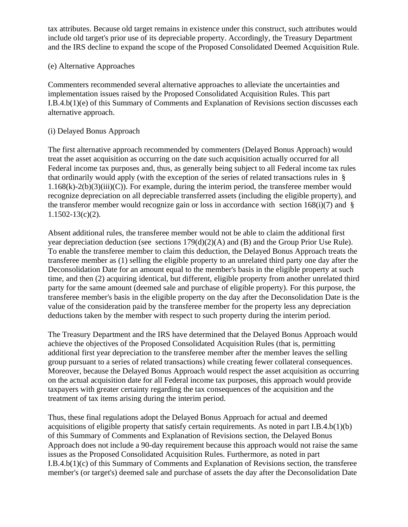tax attributes. Because old target remains in existence under this construct, such attributes would include old target's prior use of its depreciable property. Accordingly, the Treasury Department and the IRS decline to expand the scope of the Proposed Consolidated Deemed Acquisition Rule.

# (e) Alternative Approaches

Commenters recommended several alternative approaches to alleviate the uncertainties and implementation issues raised by the Proposed Consolidated Acquisition Rules. This part I.B.4.b(1)(e) of this Summary of Comments and Explanation of Revisions section discusses each alternative approach.

## (i) Delayed Bonus Approach

The first alternative approach recommended by commenters (Delayed Bonus Approach) would treat the asset acquisition as occurring on the date such acquisition actually occurred for all Federal income tax purposes and, thus, as generally being subject to all Federal income tax rules that ordinarily would apply (with the exception of the series of related transactions rules in §  $1.168(k)-2(b)(3)(iii)(C)$ . For example, during the interim period, the transferee member would recognize depreciation on all depreciable transferred assets (including the eligible property), and the transferor member would recognize gain or loss in accordance with section  $168(i)(7)$  and § 1.1502-13(c)(2).

Absent additional rules, the transferee member would not be able to claim the additional first year depreciation deduction (see sections 179(d)(2)(A) and (B) and the Group Prior Use Rule). To enable the transferee member to claim this deduction, the Delayed Bonus Approach treats the transferee member as (1) selling the eligible property to an unrelated third party one day after the Deconsolidation Date for an amount equal to the member's basis in the eligible property at such time, and then (2) acquiring identical, but different, eligible property from another unrelated third party for the same amount (deemed sale and purchase of eligible property). For this purpose, the transferee member's basis in the eligible property on the day after the Deconsolidation Date is the value of the consideration paid by the transferee member for the property less any depreciation deductions taken by the member with respect to such property during the interim period.

The Treasury Department and the IRS have determined that the Delayed Bonus Approach would achieve the objectives of the Proposed Consolidated Acquisition Rules (that is, permitting additional first year depreciation to the transferee member after the member leaves the selling group pursuant to a series of related transactions) while creating fewer collateral consequences. Moreover, because the Delayed Bonus Approach would respect the asset acquisition as occurring on the actual acquisition date for all Federal income tax purposes, this approach would provide taxpayers with greater certainty regarding the tax consequences of the acquisition and the treatment of tax items arising during the interim period.

Thus, these final regulations adopt the Delayed Bonus Approach for actual and deemed acquisitions of eligible property that satisfy certain requirements. As noted in part I.B.4.b(1)(b) of this Summary of Comments and Explanation of Revisions section, the Delayed Bonus Approach does not include a 90-day requirement because this approach would not raise the same issues as the Proposed Consolidated Acquisition Rules. Furthermore, as noted in part I.B.4.b(1)(c) of this Summary of Comments and Explanation of Revisions section, the transferee member's (or target's) deemed sale and purchase of assets the day after the Deconsolidation Date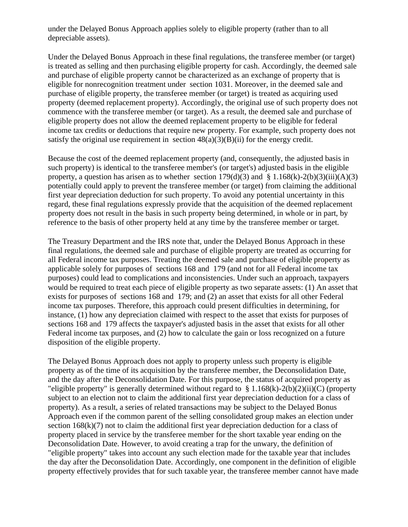under the Delayed Bonus Approach applies solely to eligible property (rather than to all depreciable assets).

Under the Delayed Bonus Approach in these final regulations, the transferee member (or target) is treated as selling and then purchasing eligible property for cash. Accordingly, the deemed sale and purchase of eligible property cannot be characterized as an exchange of property that is eligible for nonrecognition treatment under section 1031. Moreover, in the deemed sale and purchase of eligible property, the transferee member (or target) is treated as acquiring used property (deemed replacement property). Accordingly, the original use of such property does not commence with the transferee member (or target). As a result, the deemed sale and purchase of eligible property does not allow the deemed replacement property to be eligible for federal income tax credits or deductions that require new property. For example, such property does not satisfy the original use requirement in section  $48(a)(3)(B)(ii)$  for the energy credit.

Because the cost of the deemed replacement property (and, consequently, the adjusted basis in such property) is identical to the transferee member's (or target's) adjusted basis in the eligible property, a question has arisen as to whether section  $179(d)(3)$  and §  $1.168(k)-2(b)(3)(iii)(A)(3)$ potentially could apply to prevent the transferee member (or target) from claiming the additional first year depreciation deduction for such property. To avoid any potential uncertainty in this regard, these final regulations expressly provide that the acquisition of the deemed replacement property does not result in the basis in such property being determined, in whole or in part, by reference to the basis of other property held at any time by the transferee member or target.

The Treasury Department and the IRS note that, under the Delayed Bonus Approach in these final regulations, the deemed sale and purchase of eligible property are treated as occurring for all Federal income tax purposes. Treating the deemed sale and purchase of eligible property as applicable solely for purposes of sections 168 and 179 (and not for all Federal income tax purposes) could lead to complications and inconsistencies. Under such an approach, taxpayers would be required to treat each piece of eligible property as two separate assets: (1) An asset that exists for purposes of sections 168 and 179; and (2) an asset that exists for all other Federal income tax purposes. Therefore, this approach could present difficulties in determining, for instance, (1) how any depreciation claimed with respect to the asset that exists for purposes of sections 168 and 179 affects the taxpayer's adjusted basis in the asset that exists for all other Federal income tax purposes, and (2) how to calculate the gain or loss recognized on a future disposition of the eligible property.

The Delayed Bonus Approach does not apply to property unless such property is eligible property as of the time of its acquisition by the transferee member, the Deconsolidation Date, and the day after the Deconsolidation Date. For this purpose, the status of acquired property as "eligible property" is generally determined without regard to  $\S 1.168(k)-2(b)(2)(ii)(C)$  (property subject to an election not to claim the additional first year depreciation deduction for a class of property). As a result, a series of related transactions may be subject to the Delayed Bonus Approach even if the common parent of the selling consolidated group makes an election under section 168(k)(7) not to claim the additional first year depreciation deduction for a class of property placed in service by the transferee member for the short taxable year ending on the Deconsolidation Date. However, to avoid creating a trap for the unwary, the definition of "eligible property" takes into account any such election made for the taxable year that includes the day after the Deconsolidation Date. Accordingly, one component in the definition of eligible property effectively provides that for such taxable year, the transferee member cannot have made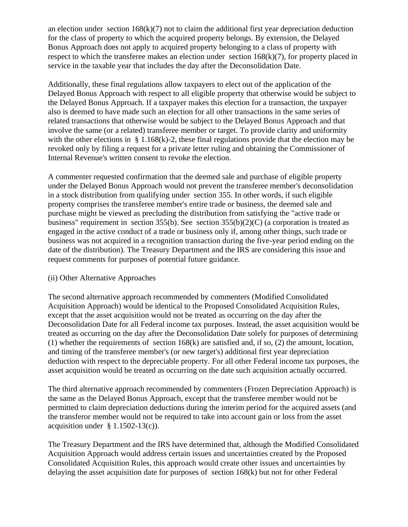an election under section  $168(k)(7)$  not to claim the additional first year depreciation deduction for the class of property to which the acquired property belongs. By extension, the Delayed Bonus Approach does not apply to acquired property belonging to a class of property with respect to which the transferee makes an election under section  $168(k)(7)$ , for property placed in service in the taxable year that includes the day after the Deconsolidation Date.

Additionally, these final regulations allow taxpayers to elect out of the application of the Delayed Bonus Approach with respect to all eligible property that otherwise would be subject to the Delayed Bonus Approach. If a taxpayer makes this election for a transaction, the taxpayer also is deemed to have made such an election for all other transactions in the same series of related transactions that otherwise would be subject to the Delayed Bonus Approach and that involve the same (or a related) transferee member or target. To provide clarity and uniformity with the other elections in  $\S 1.168(k)$ -2, these final regulations provide that the election may be revoked only by filing a request for a private letter ruling and obtaining the Commissioner of Internal Revenue's written consent to revoke the election.

A commenter requested confirmation that the deemed sale and purchase of eligible property under the Delayed Bonus Approach would not prevent the transferee member's deconsolidation in a stock distribution from qualifying under section 355. In other words, if such eligible property comprises the transferee member's entire trade or business, the deemed sale and purchase might be viewed as precluding the distribution from satisfying the "active trade or business" requirement in section 355(b). See section 355(b)(2)(C) (a corporation is treated as engaged in the active conduct of a trade or business only if, among other things, such trade or business was not acquired in a recognition transaction during the five-year period ending on the date of the distribution). The Treasury Department and the IRS are considering this issue and request comments for purposes of potential future guidance.

## (ii) Other Alternative Approaches

The second alternative approach recommended by commenters (Modified Consolidated Acquisition Approach) would be identical to the Proposed Consolidated Acquisition Rules, except that the asset acquisition would not be treated as occurring on the day after the Deconsolidation Date for all Federal income tax purposes. Instead, the asset acquisition would be treated as occurring on the day after the Deconsolidation Date solely for purposes of determining (1) whether the requirements of section  $168(k)$  are satisfied and, if so, (2) the amount, location, and timing of the transferee member's (or new target's) additional first year depreciation deduction with respect to the depreciable property. For all other Federal income tax purposes, the asset acquisition would be treated as occurring on the date such acquisition actually occurred.

The third alternative approach recommended by commenters (Frozen Depreciation Approach) is the same as the Delayed Bonus Approach, except that the transferee member would not be permitted to claim depreciation deductions during the interim period for the acquired assets (and the transferor member would not be required to take into account gain or loss from the asset acquisition under  $§ 1.1502-13(c)$ .

The Treasury Department and the IRS have determined that, although the Modified Consolidated Acquisition Approach would address certain issues and uncertainties created by the Proposed Consolidated Acquisition Rules, this approach would create other issues and uncertainties by delaying the asset acquisition date for purposes of section 168(k) but not for other Federal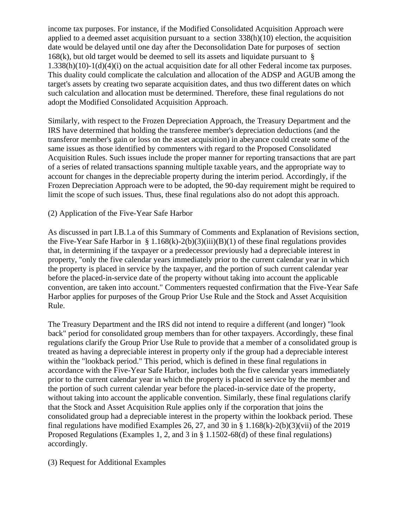income tax purposes. For instance, if the Modified Consolidated Acquisition Approach were applied to a deemed asset acquisition pursuant to a section  $338(h)(10)$  election, the acquisition date would be delayed until one day after the Deconsolidation Date for purposes of section 168 $(k)$ , but old target would be deemed to sell its assets and liquidate pursuant to  $\hat{\S}$ 1.338(h)(10)-1(d)(4)(i) on the actual acquisition date for all other Federal income tax purposes. This duality could complicate the calculation and allocation of the ADSP and AGUB among the target's assets by creating two separate acquisition dates, and thus two different dates on which such calculation and allocation must be determined. Therefore, these final regulations do not adopt the Modified Consolidated Acquisition Approach.

Similarly, with respect to the Frozen Depreciation Approach, the Treasury Department and the IRS have determined that holding the transferee member's depreciation deductions (and the transferor member's gain or loss on the asset acquisition) in abeyance could create some of the same issues as those identified by commenters with regard to the Proposed Consolidated Acquisition Rules. Such issues include the proper manner for reporting transactions that are part of a series of related transactions spanning multiple taxable years, and the appropriate way to account for changes in the depreciable property during the interim period. Accordingly, if the Frozen Depreciation Approach were to be adopted, the 90-day requirement might be required to limit the scope of such issues. Thus, these final regulations also do not adopt this approach.

## (2) Application of the Five-Year Safe Harbor

As discussed in part I.B.1.a of this Summary of Comments and Explanation of Revisions section, the Five-Year Safe Harbor in § 1.168(k)-2(b)(3)(iii)(B)(1) of these final regulations provides that, in determining if the taxpayer or a predecessor previously had a depreciable interest in property, "only the five calendar years immediately prior to the current calendar year in which the property is placed in service by the taxpayer, and the portion of such current calendar year before the placed-in-service date of the property without taking into account the applicable convention, are taken into account." Commenters requested confirmation that the Five-Year Safe Harbor applies for purposes of the Group Prior Use Rule and the Stock and Asset Acquisition Rule.

The Treasury Department and the IRS did not intend to require a different (and longer) "look back" period for consolidated group members than for other taxpayers. Accordingly, these final regulations clarify the Group Prior Use Rule to provide that a member of a consolidated group is treated as having a depreciable interest in property only if the group had a depreciable interest within the "lookback period." This period, which is defined in these final regulations in accordance with the Five-Year Safe Harbor, includes both the five calendar years immediately prior to the current calendar year in which the property is placed in service by the member and the portion of such current calendar year before the placed-in-service date of the property, without taking into account the applicable convention. Similarly, these final regulations clarify that the Stock and Asset Acquisition Rule applies only if the corporation that joins the consolidated group had a depreciable interest in the property within the lookback period. These final regulations have modified Examples 26, 27, and 30 in  $\S 1.168(k)$ -2(b)(3)(vii) of the 2019 Proposed Regulations (Examples 1, 2, and 3 in § 1.1502-68(d) of these final regulations) accordingly.

(3) Request for Additional Examples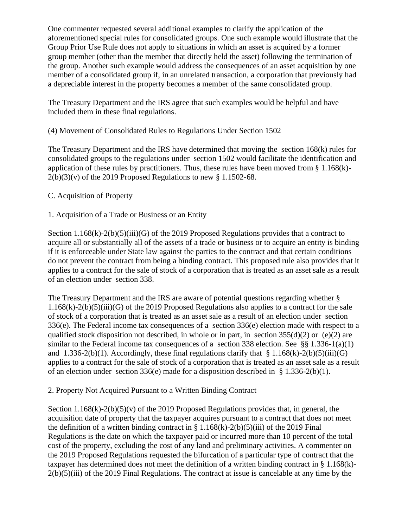One commenter requested several additional examples to clarify the application of the aforementioned special rules for consolidated groups. One such example would illustrate that the Group Prior Use Rule does not apply to situations in which an asset is acquired by a former group member (other than the member that directly held the asset) following the termination of the group. Another such example would address the consequences of an asset acquisition by one member of a consolidated group if, in an unrelated transaction, a corporation that previously had a depreciable interest in the property becomes a member of the same consolidated group.

The Treasury Department and the IRS agree that such examples would be helpful and have included them in these final regulations.

## (4) Movement of Consolidated Rules to Regulations Under Section 1502

The Treasury Department and the IRS have determined that moving the section 168(k) rules for consolidated groups to the regulations under section 1502 would facilitate the identification and application of these rules by practitioners. Thus, these rules have been moved from  $\S 1.168(k)$ - $2(b)(3)(v)$  of the 2019 Proposed Regulations to new § 1.1502-68.

## C. Acquisition of Property

1. Acquisition of a Trade or Business or an Entity

Section 1.168(k)-2(b)(5)(iii)(G) of the 2019 Proposed Regulations provides that a contract to acquire all or substantially all of the assets of a trade or business or to acquire an entity is binding if it is enforceable under State law against the parties to the contract and that certain conditions do not prevent the contract from being a binding contract. This proposed rule also provides that it applies to a contract for the sale of stock of a corporation that is treated as an asset sale as a result of an election under section 338.

The Treasury Department and the IRS are aware of potential questions regarding whether § 1.168(k)-2(b)(5)(iii)(G) of the 2019 Proposed Regulations also applies to a contract for the sale of stock of a corporation that is treated as an asset sale as a result of an election under section 336(e). The Federal income tax consequences of a section 336(e) election made with respect to a qualified stock disposition not described, in whole or in part, in section  $355(d)(2)$  or (e)(2) are similar to the Federal income tax consequences of a section 338 election. See §§ 1.336-1(a)(1) and  $1.336-2(b)(1)$ . Accordingly, these final regulations clarify that §  $1.168(k)-2(b)(5)(iii)(G)$ applies to a contract for the sale of stock of a corporation that is treated as an asset sale as a result of an election under section 336(e) made for a disposition described in § 1.336-2(b)(1).

2. Property Not Acquired Pursuant to a Written Binding Contract

Section 1.168 $(k)$ -2(b)(5)(v) of the 2019 Proposed Regulations provides that, in general, the acquisition date of property that the taxpayer acquires pursuant to a contract that does not meet the definition of a written binding contract in §  $1.168(k) - 2(b)(5)(iii)$  of the 2019 Final Regulations is the date on which the taxpayer paid or incurred more than 10 percent of the total cost of the property, excluding the cost of any land and preliminary activities. A commenter on the 2019 Proposed Regulations requested the bifurcation of a particular type of contract that the taxpayer has determined does not meet the definition of a written binding contract in § 1.168(k)- 2(b)(5)(iii) of the 2019 Final Regulations. The contract at issue is cancelable at any time by the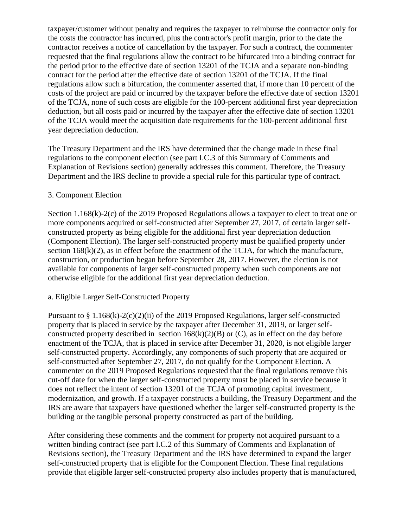taxpayer/customer without penalty and requires the taxpayer to reimburse the contractor only for the costs the contractor has incurred, plus the contractor's profit margin, prior to the date the contractor receives a notice of cancellation by the taxpayer. For such a contract, the commenter requested that the final regulations allow the contract to be bifurcated into a binding contract for the period prior to the effective date of section 13201 of the TCJA and a separate non-binding contract for the period after the effective date of section 13201 of the TCJA. If the final regulations allow such a bifurcation, the commenter asserted that, if more than 10 percent of the costs of the project are paid or incurred by the taxpayer before the effective date of section 13201 of the TCJA, none of such costs are eligible for the 100-percent additional first year depreciation deduction, but all costs paid or incurred by the taxpayer after the effective date of section 13201 of the TCJA would meet the acquisition date requirements for the 100-percent additional first year depreciation deduction.

The Treasury Department and the IRS have determined that the change made in these final regulations to the component election (see part I.C.3 of this Summary of Comments and Explanation of Revisions section) generally addresses this comment. Therefore, the Treasury Department and the IRS decline to provide a special rule for this particular type of contract.

## 3. Component Election

Section 1.168(k)-2(c) of the 2019 Proposed Regulations allows a taxpayer to elect to treat one or more components acquired or self-constructed after September 27, 2017, of certain larger selfconstructed property as being eligible for the additional first year depreciation deduction (Component Election). The larger self-constructed property must be qualified property under section  $168(k)(2)$ , as in effect before the enactment of the TCJA, for which the manufacture, construction, or production began before September 28, 2017. However, the election is not available for components of larger self-constructed property when such components are not otherwise eligible for the additional first year depreciation deduction.

# a. Eligible Larger Self-Constructed Property

Pursuant to § 1.168(k)-2(c)(2)(ii) of the 2019 Proposed Regulations, larger self-constructed property that is placed in service by the taxpayer after December 31, 2019, or larger selfconstructed property described in section  $168(k)(2)(B)$  or (C), as in effect on the day before enactment of the TCJA, that is placed in service after December 31, 2020, is not eligible larger self-constructed property. Accordingly, any components of such property that are acquired or self-constructed after September 27, 2017, do not qualify for the Component Election. A commenter on the 2019 Proposed Regulations requested that the final regulations remove this cut-off date for when the larger self-constructed property must be placed in service because it does not reflect the intent of section 13201 of the TCJA of promoting capital investment, modernization, and growth. If a taxpayer constructs a building, the Treasury Department and the IRS are aware that taxpayers have questioned whether the larger self-constructed property is the building or the tangible personal property constructed as part of the building.

After considering these comments and the comment for property not acquired pursuant to a written binding contract (see part I.C.2 of this Summary of Comments and Explanation of Revisions section), the Treasury Department and the IRS have determined to expand the larger self-constructed property that is eligible for the Component Election. These final regulations provide that eligible larger self-constructed property also includes property that is manufactured,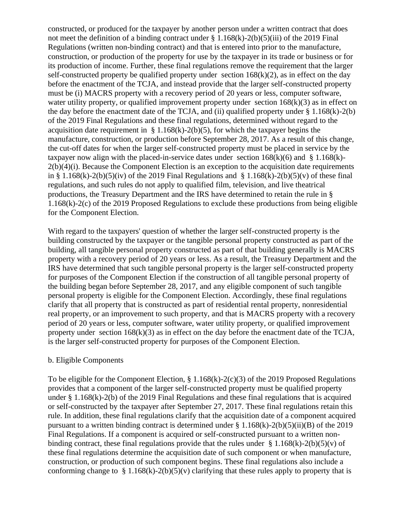constructed, or produced for the taxpayer by another person under a written contract that does not meet the definition of a binding contract under  $\S$  1.168(k)-2(b)(5)(iii) of the 2019 Final Regulations (written non-binding contract) and that is entered into prior to the manufacture, construction, or production of the property for use by the taxpayer in its trade or business or for its production of income. Further, these final regulations remove the requirement that the larger self-constructed property be qualified property under section  $168(k)(2)$ , as in effect on the day before the enactment of the TCJA, and instead provide that the larger self-constructed property must be (i) MACRS property with a recovery period of 20 years or less, computer software, water utility property, or qualified improvement property under section  $168(k)(3)$  as in effect on the day before the enactment date of the TCJA, and (ii) qualified property under  $\S 1.168(k) - 2(b)$ of the 2019 Final Regulations and these final regulations, determined without regard to the acquisition date requirement in  $\S 1.168(k)$ -2(b)(5), for which the taxpayer begins the manufacture, construction, or production before September 28, 2017. As a result of this change, the cut-off dates for when the larger self-constructed property must be placed in service by the taxpayer now align with the placed-in-service dates under section  $168(k)(6)$  and § 1.168(k)- $2(b)(4)(i)$ . Because the Component Election is an exception to the acquisition date requirements in § 1.168(k)-2(b)(5)(iv) of the 2019 Final Regulations and § 1.168(k)-2(b)(5)(v) of these final regulations, and such rules do not apply to qualified film, television, and live theatrical productions, the Treasury Department and the IRS have determined to retain the rule in § 1.168(k)-2(c) of the 2019 Proposed Regulations to exclude these productions from being eligible for the Component Election.

With regard to the taxpayers' question of whether the larger self-constructed property is the building constructed by the taxpayer or the tangible personal property constructed as part of the building, all tangible personal property constructed as part of that building generally is MACRS property with a recovery period of 20 years or less. As a result, the Treasury Department and the IRS have determined that such tangible personal property is the larger self-constructed property for purposes of the Component Election if the construction of all tangible personal property of the building began before September 28, 2017, and any eligible component of such tangible personal property is eligible for the Component Election. Accordingly, these final regulations clarify that all property that is constructed as part of residential rental property, nonresidential real property, or an improvement to such property, and that is MACRS property with a recovery period of 20 years or less, computer software, water utility property, or qualified improvement property under section  $168(k)(3)$  as in effect on the day before the enactment date of the TCJA, is the larger self-constructed property for purposes of the Component Election.

## b. Eligible Components

To be eligible for the Component Election, § 1.168(k)-2(c)(3) of the 2019 Proposed Regulations provides that a component of the larger self-constructed property must be qualified property under § 1.168(k)-2(b) of the 2019 Final Regulations and these final regulations that is acquired or self-constructed by the taxpayer after September 27, 2017. These final regulations retain this rule. In addition, these final regulations clarify that the acquisition date of a component acquired pursuant to a written binding contract is determined under  $\S 1.168(k) - 2(b)(5)(ii)(B)$  of the 2019 Final Regulations. If a component is acquired or self-constructed pursuant to a written nonbinding contract, these final regulations provide that the rules under  $\S 1.168(k) - 2(b)(5)(v)$  of these final regulations determine the acquisition date of such component or when manufacture, construction, or production of such component begins. These final regulations also include a conforming change to  $\S 1.168(k)-2(b)(5)(v)$  clarifying that these rules apply to property that is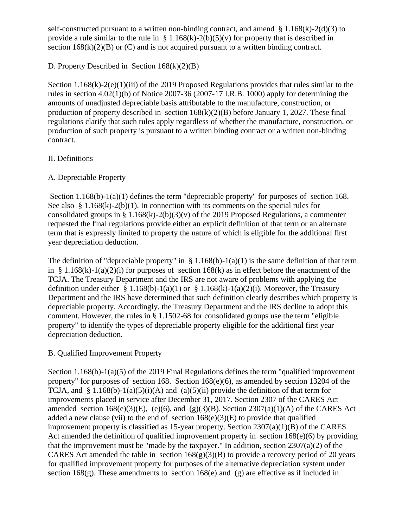self-constructed pursuant to a written non-binding contract, and amend  $\S 1.168(k) - 2(d)(3)$  to provide a rule similar to the rule in §  $1.168(k)-2(b)(5)(v)$  for property that is described in section  $168(k)(2)(B)$  or (C) and is not acquired pursuant to a written binding contract.

# D. Property Described in Section 168(k)(2)(B)

Section 1.168(k)-2(e)(1)(iii) of the 2019 Proposed Regulations provides that rules similar to the rules in section 4.02(1)(b) of Notice 2007-36 (2007-17 I.R.B. 1000) apply for determining the amounts of unadjusted depreciable basis attributable to the manufacture, construction, or production of property described in section  $168(k)(2)(B)$  before January 1, 2027. These final regulations clarify that such rules apply regardless of whether the manufacture, construction, or production of such property is pursuant to a written binding contract or a written non-binding contract.

# II. Definitions

# A. Depreciable Property

Section 1.168(b)-1(a)(1) defines the term "depreciable property" for purposes of section 168. See also § 1.168 $(k)$ -2(b)(1). In connection with its comments on the special rules for consolidated groups in §  $1.168(k)-2(b)(3)(v)$  of the 2019 Proposed Regulations, a commenter requested the final regulations provide either an explicit definition of that term or an alternate term that is expressly limited to property the nature of which is eligible for the additional first year depreciation deduction.

The definition of "depreciable property" in  $\S 1.168(b) - 1(a)(1)$  is the same definition of that term in § 1.168(k)-1(a)(2)(i) for purposes of section 168(k) as in effect before the enactment of the TCJA. The Treasury Department and the IRS are not aware of problems with applying the definition under either § 1.168(b)-1(a)(1) or § 1.168(k)-1(a)(2)(i). Moreover, the Treasury Department and the IRS have determined that such definition clearly describes which property is depreciable property. Accordingly, the Treasury Department and the IRS decline to adopt this comment. However, the rules in § 1.1502-68 for consolidated groups use the term "eligible property" to identify the types of depreciable property eligible for the additional first year depreciation deduction.

# B. Qualified Improvement Property

Section 1.168(b)-1(a)(5) of the 2019 Final Regulations defines the term "qualified improvement property" for purposes of section 168. Section 168(e)(6), as amended by section 13204 of the TCJA, and § 1.168(b)-1(a)(5)(i)(A) and (a)(5)(ii) provide the definition of that term for improvements placed in service after December 31, 2017. Section 2307 of the CARES Act amended section  $168(e)(3)(E)$ , (e)(6), and (g)(3)(B). Section  $2307(a)(1)(A)$  of the CARES Act added a new clause (vii) to the end of section  $168(e)(3)(E)$  to provide that qualified improvement property is classified as 15-year property. Section  $2307(a)(1)(B)$  of the CARES Act amended the definition of qualified improvement property in section  $168(e)(6)$  by providing that the improvement must be "made by the taxpayer." In addition, section  $2307(a)(2)$  of the CARES Act amended the table in section  $168(g)(3)(B)$  to provide a recovery period of 20 years for qualified improvement property for purposes of the alternative depreciation system under section  $168(g)$ . These amendments to section  $168(e)$  and (g) are effective as if included in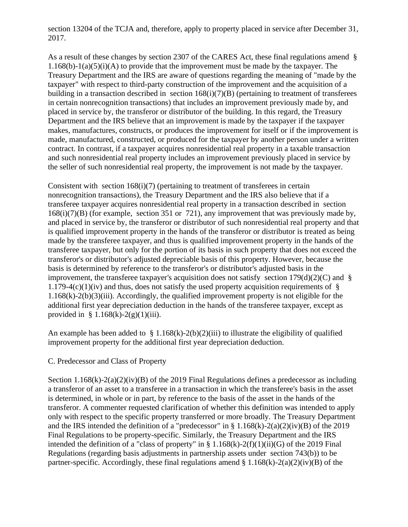section 13204 of the TCJA and, therefore, apply to property placed in service after December 31, 2017.

As a result of these changes by section 2307 of the CARES Act, these final regulations amend §  $1.168(b)-1(a)(5)(i)(A)$  to provide that the improvement must be made by the taxpayer. The Treasury Department and the IRS are aware of questions regarding the meaning of "made by the taxpayer" with respect to third-party construction of the improvement and the acquisition of a building in a transaction described in section 168(i)(7)(B) (pertaining to treatment of transferees in certain nonrecognition transactions) that includes an improvement previously made by, and placed in service by, the transferor or distributor of the building. In this regard, the Treasury Department and the IRS believe that an improvement is made by the taxpayer if the taxpayer makes, manufactures, constructs, or produces the improvement for itself or if the improvement is made, manufactured, constructed, or produced for the taxpayer by another person under a written contract. In contrast, if a taxpayer acquires nonresidential real property in a taxable transaction and such nonresidential real property includes an improvement previously placed in service by the seller of such nonresidential real property, the improvement is not made by the taxpayer.

Consistent with section  $168(i)(7)$  (pertaining to treatment of transferees in certain nonrecognition transactions), the Treasury Department and the IRS also believe that if a transferee taxpayer acquires nonresidential real property in a transaction described in section 168(i)(7)(B) (for example, section 351 or 721), any improvement that was previously made by, and placed in service by, the transferor or distributor of such nonresidential real property and that is qualified improvement property in the hands of the transferor or distributor is treated as being made by the transferee taxpayer, and thus is qualified improvement property in the hands of the transferee taxpayer, but only for the portion of its basis in such property that does not exceed the transferor's or distributor's adjusted depreciable basis of this property. However, because the basis is determined by reference to the transferor's or distributor's adjusted basis in the improvement, the transferee taxpayer's acquisition does not satisfy section  $179(d)(2)(C)$  and § 1.179-4(c)(1)(iv) and thus, does not satisfy the used property acquisition requirements of  $\S$ 1.168(k)-2(b)(3)(iii). Accordingly, the qualified improvement property is not eligible for the additional first year depreciation deduction in the hands of the transferee taxpayer, except as provided in §  $1.168(k)-2(g)(1)(iii)$ .

An example has been added to  $\S 1.168(k)-2(b)(2)(iii)$  to illustrate the eligibility of qualified improvement property for the additional first year depreciation deduction.

## C. Predecessor and Class of Property

Section 1.168 $(k)$ -2(a)(2)(iv)(B) of the 2019 Final Regulations defines a predecessor as including a transferor of an asset to a transferee in a transaction in which the transferee's basis in the asset is determined, in whole or in part, by reference to the basis of the asset in the hands of the transferor. A commenter requested clarification of whether this definition was intended to apply only with respect to the specific property transferred or more broadly. The Treasury Department and the IRS intended the definition of a "predecessor" in §  $1.168(k)-2(a)(2)(iv)(B)$  of the 2019 Final Regulations to be property-specific. Similarly, the Treasury Department and the IRS intended the definition of a "class of property" in  $\S 1.168(k)$ -2(f)(1)(ii)(G) of the 2019 Final Regulations (regarding basis adjustments in partnership assets under section 743(b)) to be partner-specific. Accordingly, these final regulations amend  $\S 1.168(k)$ -2(a)(2)(iv)(B) of the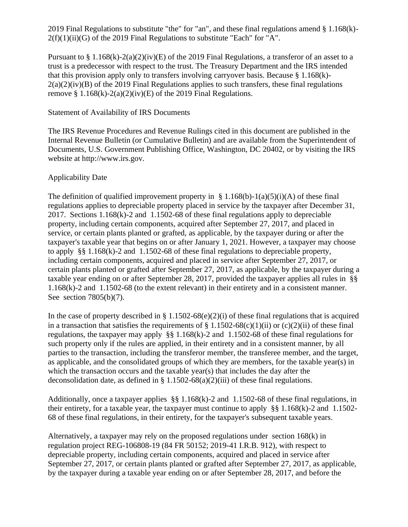2019 Final Regulations to substitute "the" for "an", and these final regulations amend § 1.168(k)-  $2(f)(1)(ii)(G)$  of the 2019 Final Regulations to substitute "Each" for "A".

Pursuant to § 1.168(k)-2(a)(2)(iv)(E) of the 2019 Final Regulations, a transferor of an asset to a trust is a predecessor with respect to the trust. The Treasury Department and the IRS intended that this provision apply only to transfers involving carryover basis. Because  $\S 1.168(k)$ - $2(a)(2)(iv)(B)$  of the 2019 Final Regulations applies to such transfers, these final regulations remove § 1.168 $(k)$ -2(a) $(2)(iv)$ (E) of the 2019 Final Regulations.

## Statement of Availability of IRS Documents

The IRS Revenue Procedures and Revenue Rulings cited in this document are published in the Internal Revenue Bulletin (or Cumulative Bulletin) and are available from the Superintendent of Documents, U.S. Government Publishing Office, Washington, DC 20402, or by visiting the IRS website at http://www.irs.gov.

# Applicability Date

The definition of qualified improvement property in § 1.168(b)-1(a)(5)(i)(A) of these final regulations applies to depreciable property placed in service by the taxpayer after December 31, 2017. Sections 1.168(k)-2 and 1.1502-68 of these final regulations apply to depreciable property, including certain components, acquired after September 27, 2017, and placed in service, or certain plants planted or grafted, as applicable, by the taxpayer during or after the taxpayer's taxable year that begins on or after January 1, 2021. However, a taxpayer may choose to apply §§ 1.168(k)-2 and 1.1502-68 of these final regulations to depreciable property, including certain components, acquired and placed in service after September 27, 2017, or certain plants planted or grafted after September 27, 2017, as applicable, by the taxpayer during a taxable year ending on or after September 28, 2017, provided the taxpayer applies all rules in §§ 1.168(k)-2 and 1.1502-68 (to the extent relevant) in their entirety and in a consistent manner. See section 7805(b)(7).

In the case of property described in § 1.1502-68(e)(2)(i) of these final regulations that is acquired in a transaction that satisfies the requirements of  $\S 1.1502-68(c)(1)(ii)$  or  $(c)(2)(ii)$  of these final regulations, the taxpayer may apply §§ 1.168(k)-2 and 1.1502-68 of these final regulations for such property only if the rules are applied, in their entirety and in a consistent manner, by all parties to the transaction, including the transferor member, the transferee member, and the target, as applicable, and the consolidated groups of which they are members, for the taxable year(s) in which the transaction occurs and the taxable year(s) that includes the day after the deconsolidation date, as defined in  $\S 1.1502-68(a)(2)(iii)$  of these final regulations.

Additionally, once a taxpayer applies §§ 1.168(k)-2 and 1.1502-68 of these final regulations, in their entirety, for a taxable year, the taxpayer must continue to apply §§ 1.168(k)-2 and 1.1502- 68 of these final regulations, in their entirety, for the taxpayer's subsequent taxable years.

Alternatively, a taxpayer may rely on the proposed regulations under section 168(k) in regulation project REG-106808-19 (84 FR 50152; 2019-41 I.R.B. 912), with respect to depreciable property, including certain components, acquired and placed in service after September 27, 2017, or certain plants planted or grafted after September 27, 2017, as applicable, by the taxpayer during a taxable year ending on or after September 28, 2017, and before the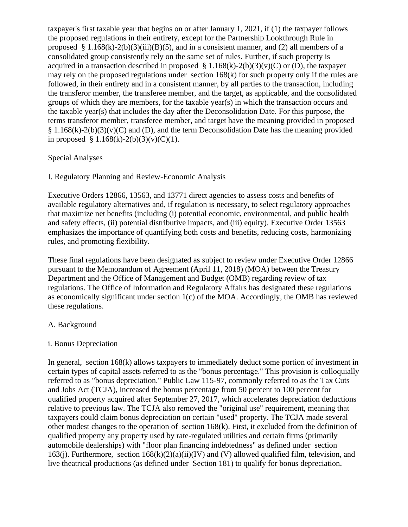taxpayer's first taxable year that begins on or after January 1, 2021, if (1) the taxpayer follows the proposed regulations in their entirety, except for the Partnership Lookthrough Rule in proposed § 1.168(k)-2(b)(3)(iii)(B)(5), and in a consistent manner, and (2) all members of a consolidated group consistently rely on the same set of rules. Further, if such property is acquired in a transaction described in proposed  $\S 1.168(k)$ -2(b)(3)(v)(C) or (D), the taxpayer may rely on the proposed regulations under section 168(k) for such property only if the rules are followed, in their entirety and in a consistent manner, by all parties to the transaction, including the transferor member, the transferee member, and the target, as applicable, and the consolidated groups of which they are members, for the taxable year(s) in which the transaction occurs and the taxable year(s) that includes the day after the Deconsolidation Date. For this purpose, the terms transferor member, transferee member, and target have the meaning provided in proposed § 1.168(k)-2(b)(3)(v)(C) and (D), and the term Deconsolidation Date has the meaning provided in proposed § 1.168(k)-2(b)(3)(v)(C)(1).

## Special Analyses

## I. Regulatory Planning and Review-Economic Analysis

Executive Orders 12866, 13563, and 13771 direct agencies to assess costs and benefits of available regulatory alternatives and, if regulation is necessary, to select regulatory approaches that maximize net benefits (including (i) potential economic, environmental, and public health and safety effects, (ii) potential distributive impacts, and (iii) equity). Executive Order 13563 emphasizes the importance of quantifying both costs and benefits, reducing costs, harmonizing rules, and promoting flexibility.

These final regulations have been designated as subject to review under Executive Order 12866 pursuant to the Memorandum of Agreement (April 11, 2018) (MOA) between the Treasury Department and the Office of Management and Budget (OMB) regarding review of tax regulations. The Office of Information and Regulatory Affairs has designated these regulations as economically significant under section 1(c) of the MOA. Accordingly, the OMB has reviewed these regulations.

## A. Background

## i. Bonus Depreciation

In general, section 168(k) allows taxpayers to immediately deduct some portion of investment in certain types of capital assets referred to as the "bonus percentage." This provision is colloquially referred to as "bonus depreciation." Public Law 115-97, commonly referred to as the Tax Cuts and Jobs Act (TCJA), increased the bonus percentage from 50 percent to 100 percent for qualified property acquired after September 27, 2017, which accelerates depreciation deductions relative to previous law. The TCJA also removed the "original use" requirement, meaning that taxpayers could claim bonus depreciation on certain "used" property. The TCJA made several other modest changes to the operation of section 168(k). First, it excluded from the definition of qualified property any property used by rate-regulated utilities and certain firms (primarily automobile dealerships) with "floor plan financing indebtedness" as defined under section 163(j). Furthermore, section  $168(k)(2)(a)(ii)(IV)$  and (V) allowed qualified film, television, and live theatrical productions (as defined under Section 181) to qualify for bonus depreciation.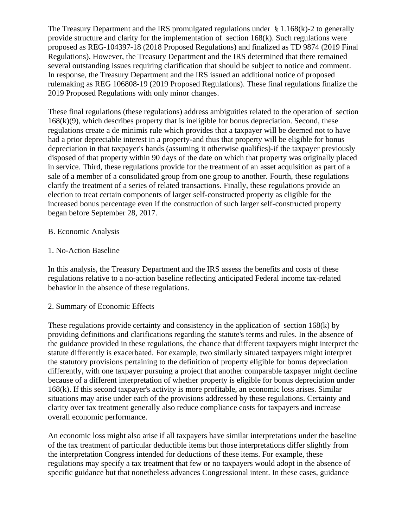The Treasury Department and the IRS promulgated regulations under  $\S 1.168(k)$ -2 to generally provide structure and clarity for the implementation of section 168(k). Such regulations were proposed as REG-104397-18 (2018 Proposed Regulations) and finalized as TD 9874 (2019 Final Regulations). However, the Treasury Department and the IRS determined that there remained several outstanding issues requiring clarification that should be subject to notice and comment. In response, the Treasury Department and the IRS issued an additional notice of proposed rulemaking as REG 106808-19 (2019 Proposed Regulations). These final regulations finalize the 2019 Proposed Regulations with only minor changes.

These final regulations (these regulations) address ambiguities related to the operation of section  $168(k)(9)$ , which describes property that is ineligible for bonus depreciation. Second, these regulations create a de minimis rule which provides that a taxpayer will be deemed not to have had a prior depreciable interest in a property-and thus that property will be eligible for bonus depreciation in that taxpayer's hands (assuming it otherwise qualifies)-if the taxpayer previously disposed of that property within 90 days of the date on which that property was originally placed in service. Third, these regulations provide for the treatment of an asset acquisition as part of a sale of a member of a consolidated group from one group to another. Fourth, these regulations clarify the treatment of a series of related transactions. Finally, these regulations provide an election to treat certain components of larger self-constructed property as eligible for the increased bonus percentage even if the construction of such larger self-constructed property began before September 28, 2017.

## B. Economic Analysis

## 1. No-Action Baseline

In this analysis, the Treasury Department and the IRS assess the benefits and costs of these regulations relative to a no-action baseline reflecting anticipated Federal income tax-related behavior in the absence of these regulations.

## 2. Summary of Economic Effects

These regulations provide certainty and consistency in the application of section 168(k) by providing definitions and clarifications regarding the statute's terms and rules. In the absence of the guidance provided in these regulations, the chance that different taxpayers might interpret the statute differently is exacerbated. For example, two similarly situated taxpayers might interpret the statutory provisions pertaining to the definition of property eligible for bonus depreciation differently, with one taxpayer pursuing a project that another comparable taxpayer might decline because of a different interpretation of whether property is eligible for bonus depreciation under 168(k). If this second taxpayer's activity is more profitable, an economic loss arises. Similar situations may arise under each of the provisions addressed by these regulations. Certainty and clarity over tax treatment generally also reduce compliance costs for taxpayers and increase overall economic performance.

An economic loss might also arise if all taxpayers have similar interpretations under the baseline of the tax treatment of particular deductible items but those interpretations differ slightly from the interpretation Congress intended for deductions of these items. For example, these regulations may specify a tax treatment that few or no taxpayers would adopt in the absence of specific guidance but that nonetheless advances Congressional intent. In these cases, guidance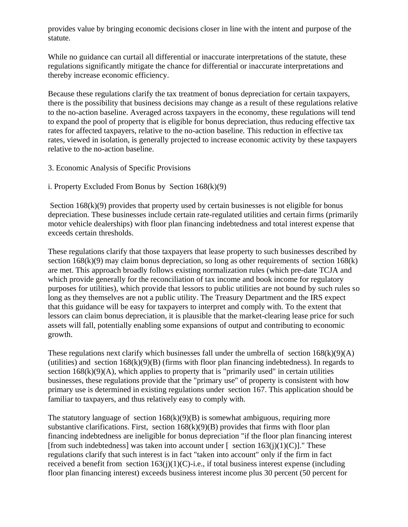provides value by bringing economic decisions closer in line with the intent and purpose of the statute.

While no guidance can curtail all differential or inaccurate interpretations of the statute, these regulations significantly mitigate the chance for differential or inaccurate interpretations and thereby increase economic efficiency.

Because these regulations clarify the tax treatment of bonus depreciation for certain taxpayers, there is the possibility that business decisions may change as a result of these regulations relative to the no-action baseline. Averaged across taxpayers in the economy, these regulations will tend to expand the pool of property that is eligible for bonus depreciation, thus reducing effective tax rates for affected taxpayers, relative to the no-action baseline. This reduction in effective tax rates, viewed in isolation, is generally projected to increase economic activity by these taxpayers relative to the no-action baseline.

3. Economic Analysis of Specific Provisions

# i. Property Excluded From Bonus by Section  $168(k)(9)$

Section  $168(k)(9)$  provides that property used by certain businesses is not eligible for bonus depreciation. These businesses include certain rate-regulated utilities and certain firms (primarily motor vehicle dealerships) with floor plan financing indebtedness and total interest expense that exceeds certain thresholds.

These regulations clarify that those taxpayers that lease property to such businesses described by section  $168(k)(9)$  may claim bonus depreciation, so long as other requirements of section  $168(k)$ are met. This approach broadly follows existing normalization rules (which pre-date TCJA and which provide generally for the reconciliation of tax income and book income for regulatory purposes for utilities), which provide that lessors to public utilities are not bound by such rules so long as they themselves are not a public utility. The Treasury Department and the IRS expect that this guidance will be easy for taxpayers to interpret and comply with. To the extent that lessors can claim bonus depreciation, it is plausible that the market-clearing lease price for such assets will fall, potentially enabling some expansions of output and contributing to economic growth.

These regulations next clarify which businesses fall under the umbrella of section  $168(k)(9)(A)$ (utilities) and section  $168(k)(9)(B)$  (firms with floor plan financing indebtedness). In regards to section  $168(k)(9)(A)$ , which applies to property that is "primarily used" in certain utilities businesses, these regulations provide that the "primary use" of property is consistent with how primary use is determined in existing regulations under section 167. This application should be familiar to taxpayers, and thus relatively easy to comply with.

The statutory language of section  $168(k)(9)(B)$  is somewhat ambiguous, requiring more substantive clarifications. First, section  $168(k)(9)(B)$  provides that firms with floor plan financing indebtedness are ineligible for bonus depreciation "if the floor plan financing interest [from such indebtedness] was taken into account under  $\lceil$  section 163(j)(1)(C)]." These regulations clarify that such interest is in fact "taken into account" only if the firm in fact received a benefit from section  $163(j)(1)(C)$ -i.e., if total business interest expense (including floor plan financing interest) exceeds business interest income plus 30 percent (50 percent for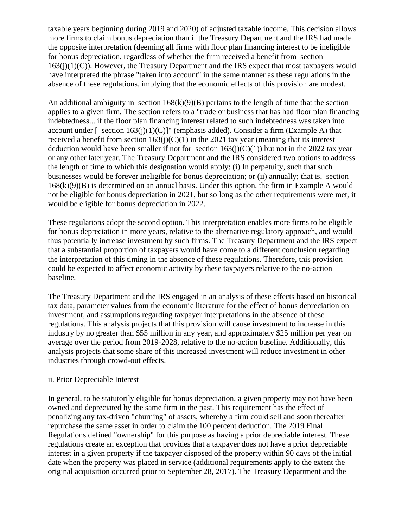taxable years beginning during 2019 and 2020) of adjusted taxable income. This decision allows more firms to claim bonus depreciation than if the Treasury Department and the IRS had made the opposite interpretation (deeming all firms with floor plan financing interest to be ineligible for bonus depreciation, regardless of whether the firm received a benefit from section  $163(j)(1)(C)$ ). However, the Treasury Department and the IRS expect that most taxpayers would have interpreted the phrase "taken into account" in the same manner as these regulations in the absence of these regulations, implying that the economic effects of this provision are modest.

An additional ambiguity in section  $168(k)(9)(B)$  pertains to the length of time that the section applies to a given firm. The section refers to a "trade or business that has had floor plan financing indebtedness... if the floor plan financing interest related to such indebtedness was taken into account under  $\lceil \cdot \text{section 163(i)(1)(C)} \rceil$  (emphasis added). Consider a firm (Example A) that received a benefit from section  $163(j)(C)(1)$  in the 2021 tax year (meaning that its interest deduction would have been smaller if not for section  $163(j)(C)(1)$ ) but not in the 2022 tax year or any other later year. The Treasury Department and the IRS considered two options to address the length of time to which this designation would apply: (i) In perpetuity, such that such businesses would be forever ineligible for bonus depreciation; or (ii) annually; that is, section  $168(k)(9)(B)$  is determined on an annual basis. Under this option, the firm in Example A would not be eligible for bonus depreciation in 2021, but so long as the other requirements were met, it would be eligible for bonus depreciation in 2022.

These regulations adopt the second option. This interpretation enables more firms to be eligible for bonus depreciation in more years, relative to the alternative regulatory approach, and would thus potentially increase investment by such firms. The Treasury Department and the IRS expect that a substantial proportion of taxpayers would have come to a different conclusion regarding the interpretation of this timing in the absence of these regulations. Therefore, this provision could be expected to affect economic activity by these taxpayers relative to the no-action baseline.

The Treasury Department and the IRS engaged in an analysis of these effects based on historical tax data, parameter values from the economic literature for the effect of bonus depreciation on investment, and assumptions regarding taxpayer interpretations in the absence of these regulations. This analysis projects that this provision will cause investment to increase in this industry by no greater than \$55 million in any year, and approximately \$25 million per year on average over the period from 2019-2028, relative to the no-action baseline. Additionally, this analysis projects that some share of this increased investment will reduce investment in other industries through crowd-out effects.

## ii. Prior Depreciable Interest

In general, to be statutorily eligible for bonus depreciation, a given property may not have been owned and depreciated by the same firm in the past. This requirement has the effect of penalizing any tax-driven "churning" of assets, whereby a firm could sell and soon thereafter repurchase the same asset in order to claim the 100 percent deduction. The 2019 Final Regulations defined "ownership" for this purpose as having a prior depreciable interest. These regulations create an exception that provides that a taxpayer does not have a prior depreciable interest in a given property if the taxpayer disposed of the property within 90 days of the initial date when the property was placed in service (additional requirements apply to the extent the original acquisition occurred prior to September 28, 2017). The Treasury Department and the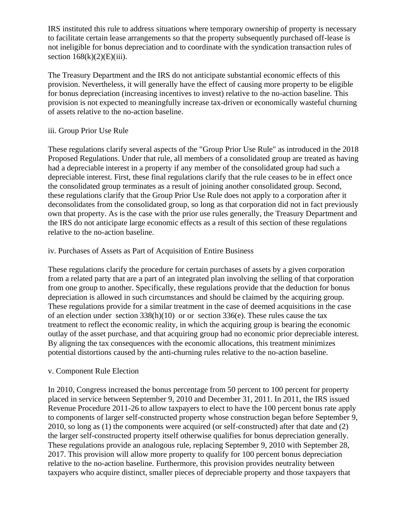IRS instituted this rule to address situations where temporary ownership of property is necessary to facilitate certain lease arrangements so that the property subsequently purchased off-lease is not ineligible for bonus depreciation and to coordinate with the syndication transaction rules of section  $168(k)(2)(E)(iii)$ .

The Treasury Department and the IRS do not anticipate substantial economic effects of this provision. Nevertheless, it will generally have the effect of causing more property to be eligible for bonus depreciation (increasing incentives to invest) relative to the no-action baseline. This provision is not expected to meaningfully increase tax-driven or economically wasteful churning of assets relative to the no-action baseline.

## iii. Group Prior Use Rule

These regulations clarify several aspects of the "Group Prior Use Rule" as introduced in the 2018 Proposed Regulations. Under that rule, all members of a consolidated group are treated as having had a depreciable interest in a property if any member of the consolidated group had such a depreciable interest. First, these final regulations clarify that the rule ceases to be in effect once the consolidated group terminates as a result of joining another consolidated group. Second, these regulations clarify that the Group Prior Use Rule does not apply to a corporation after it deconsolidates from the consolidated group, so long as that corporation did not in fact previously own that property. As is the case with the prior use rules generally, the Treasury Department and the IRS do not anticipate large economic effects as a result of this section of these regulations relative to the no-action baseline.

## iv. Purchases of Assets as Part of Acquisition of Entire Business

These regulations clarify the procedure for certain purchases of assets by a given corporation from a related party that are a part of an integrated plan involving the selling of that corporation from one group to another. Specifically, these regulations provide that the deduction for bonus depreciation is allowed in such circumstances and should be claimed by the acquiring group. These regulations provide for a similar treatment in the case of deemed acquisitions in the case of an election under section  $338(h)(10)$  or or section  $336(e)$ . These rules cause the tax treatment to reflect the economic reality, in which the acquiring group is bearing the economic outlay of the asset purchase, and that acquiring group had no economic prior depreciable interest. By aligning the tax consequences with the economic allocations, this treatment minimizes potential distortions caused by the anti-churning rules relative to the no-action baseline.

## v. Component Rule Election

In 2010, Congress increased the bonus percentage from 50 percent to 100 percent for property placed in service between September 9, 2010 and December 31, 2011. In 2011, the IRS issued Revenue Procedure 2011-26 to allow taxpayers to elect to have the 100 percent bonus rate apply to components of larger self-constructed property whose construction began before September 9, 2010, so long as (1) the components were acquired (or self-constructed) after that date and (2) the larger self-constructed property itself otherwise qualifies for bonus depreciation generally. These regulations provide an analogous rule, replacing September 9, 2010 with September 28, 2017. This provision will allow more property to qualify for 100 percent bonus depreciation relative to the no-action baseline. Furthermore, this provision provides neutrality between taxpayers who acquire distinct, smaller pieces of depreciable property and those taxpayers that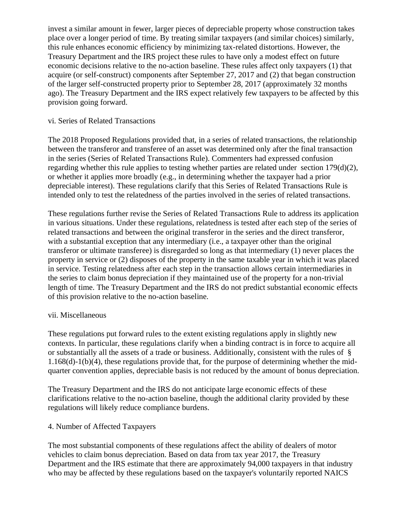invest a similar amount in fewer, larger pieces of depreciable property whose construction takes place over a longer period of time. By treating similar taxpayers (and similar choices) similarly, this rule enhances economic efficiency by minimizing tax-related distortions. However, the Treasury Department and the IRS project these rules to have only a modest effect on future economic decisions relative to the no-action baseline. These rules affect only taxpayers (1) that acquire (or self-construct) components after September 27, 2017 and (2) that began construction of the larger self-constructed property prior to September 28, 2017 (approximately 32 months ago). The Treasury Department and the IRS expect relatively few taxpayers to be affected by this provision going forward.

## vi. Series of Related Transactions

The 2018 Proposed Regulations provided that, in a series of related transactions, the relationship between the transferor and transferee of an asset was determined only after the final transaction in the series (Series of Related Transactions Rule). Commenters had expressed confusion regarding whether this rule applies to testing whether parties are related under section  $179(d)(2)$ , or whether it applies more broadly (e.g., in determining whether the taxpayer had a prior depreciable interest). These regulations clarify that this Series of Related Transactions Rule is intended only to test the relatedness of the parties involved in the series of related transactions.

These regulations further revise the Series of Related Transactions Rule to address its application in various situations. Under these regulations, relatedness is tested after each step of the series of related transactions and between the original transferor in the series and the direct transferor, with a substantial exception that any intermediary (i.e., a taxpayer other than the original transferor or ultimate transferee) is disregarded so long as that intermediary (1) never places the property in service or (2) disposes of the property in the same taxable year in which it was placed in service. Testing relatedness after each step in the transaction allows certain intermediaries in the series to claim bonus depreciation if they maintained use of the property for a non-trivial length of time. The Treasury Department and the IRS do not predict substantial economic effects of this provision relative to the no-action baseline.

## vii. Miscellaneous

These regulations put forward rules to the extent existing regulations apply in slightly new contexts. In particular, these regulations clarify when a binding contract is in force to acquire all or substantially all the assets of a trade or business. Additionally, consistent with the rules of § 1.168(d)-1(b)(4), these regulations provide that, for the purpose of determining whether the midquarter convention applies, depreciable basis is not reduced by the amount of bonus depreciation.

The Treasury Department and the IRS do not anticipate large economic effects of these clarifications relative to the no-action baseline, though the additional clarity provided by these regulations will likely reduce compliance burdens.

## 4. Number of Affected Taxpayers

The most substantial components of these regulations affect the ability of dealers of motor vehicles to claim bonus depreciation. Based on data from tax year 2017, the Treasury Department and the IRS estimate that there are approximately 94,000 taxpayers in that industry who may be affected by these regulations based on the taxpayer's voluntarily reported NAICS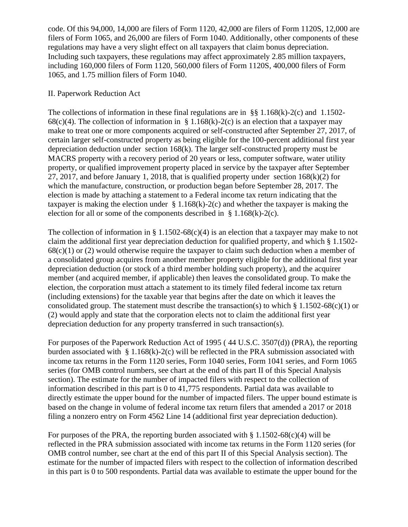code. Of this 94,000, 14,000 are filers of Form 1120, 42,000 are filers of Form 1120S, 12,000 are filers of Form 1065, and 26,000 are filers of Form 1040. Additionally, other components of these regulations may have a very slight effect on all taxpayers that claim bonus depreciation. Including such taxpayers, these regulations may affect approximately 2.85 million taxpayers, including 160,000 filers of Form 1120, 560,000 filers of Form 1120S, 400,000 filers of Form 1065, and 1.75 million filers of Form 1040.

## II. Paperwork Reduction Act

The collections of information in these final regulations are in §§  $1.168(k)-2(c)$  and  $1.1502-$ 68(c)(4). The collection of information in § 1.168(k)-2(c) is an election that a taxpayer may make to treat one or more components acquired or self-constructed after September 27, 2017, of certain larger self-constructed property as being eligible for the 100-percent additional first year depreciation deduction under section 168(k). The larger self-constructed property must be MACRS property with a recovery period of 20 years or less, computer software, water utility property, or qualified improvement property placed in service by the taxpayer after September 27, 2017, and before January 1, 2018, that is qualified property under section  $168(k)(2)$  for which the manufacture, construction, or production began before September 28, 2017. The election is made by attaching a statement to a Federal income tax return indicating that the taxpayer is making the election under  $\S 1.168(k)-2(c)$  and whether the taxpayer is making the election for all or some of the components described in § 1.168(k)-2(c).

The collection of information in § 1.1502-68(c)(4) is an election that a taxpayer may make to not claim the additional first year depreciation deduction for qualified property, and which § 1.1502-  $68(c)(1)$  or (2) would otherwise require the taxpayer to claim such deduction when a member of a consolidated group acquires from another member property eligible for the additional first year depreciation deduction (or stock of a third member holding such property), and the acquirer member (and acquired member, if applicable) then leaves the consolidated group. To make the election, the corporation must attach a statement to its timely filed federal income tax return (including extensions) for the taxable year that begins after the date on which it leaves the consolidated group. The statement must describe the transaction(s) to which § 1.1502-68(c)(1) or (2) would apply and state that the corporation elects not to claim the additional first year depreciation deduction for any property transferred in such transaction(s).

For purposes of the Paperwork Reduction Act of 1995 ( 44 U.S.C. 3507(d)) (PRA), the reporting burden associated with  $\S 1.168(k)-2(c)$  will be reflected in the PRA submission associated with income tax returns in the Form 1120 series, Form 1040 series, Form 1041 series, and Form 1065 series (for OMB control numbers, see chart at the end of this part II of this Special Analysis section). The estimate for the number of impacted filers with respect to the collection of information described in this part is 0 to 41,775 respondents. Partial data was available to directly estimate the upper bound for the number of impacted filers. The upper bound estimate is based on the change in volume of federal income tax return filers that amended a 2017 or 2018 filing a nonzero entry on Form 4562 Line 14 (additional first year depreciation deduction).

For purposes of the PRA, the reporting burden associated with  $\S 1.1502-68(c)(4)$  will be reflected in the PRA submission associated with income tax returns in the Form 1120 series (for OMB control number, see chart at the end of this part II of this Special Analysis section). The estimate for the number of impacted filers with respect to the collection of information described in this part is 0 to 500 respondents. Partial data was available to estimate the upper bound for the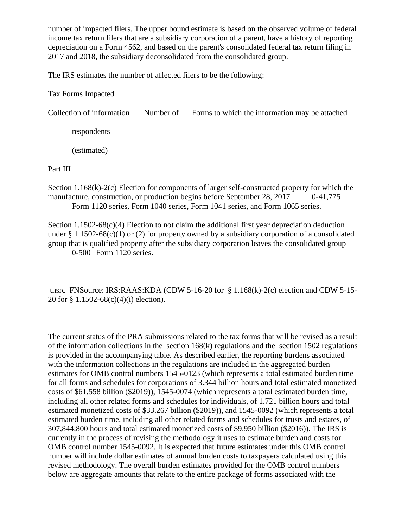number of impacted filers. The upper bound estimate is based on the observed volume of federal income tax return filers that are a subsidiary corporation of a parent, have a history of reporting depreciation on a Form 4562, and based on the parent's consolidated federal tax return filing in 2017 and 2018, the subsidiary deconsolidated from the consolidated group.

The IRS estimates the number of affected filers to be the following:

Tax Forms Impacted

Collection of information Number of Forms to which the information may be attached

respondents

(estimated)

Part III

Section 1.168(k)-2(c) Election for components of larger self-constructed property for which the manufacture, construction, or production begins before September 28, 2017 0-41,775 Form 1120 series, Form 1040 series, Form 1041 series, and Form 1065 series.

Section 1.1502-68 $(c)(4)$  Election to not claim the additional first year depreciation deduction under § 1.1502-68(c)(1) or (2) for property owned by a subsidiary corporation of a consolidated group that is qualified property after the subsidiary corporation leaves the consolidated group 0-500 Form 1120 series.

tnsrc FNSource: IRS:RAAS:KDA (CDW 5-16-20 for § 1.168(k)-2(c) election and CDW 5-15- 20 for § 1.1502-68(c)(4)(i) election).

The current status of the PRA submissions related to the tax forms that will be revised as a result of the information collections in the section 168(k) regulations and the section 1502 regulations is provided in the accompanying table. As described earlier, the reporting burdens associated with the information collections in the regulations are included in the aggregated burden estimates for OMB control numbers 1545-0123 (which represents a total estimated burden time for all forms and schedules for corporations of 3.344 billion hours and total estimated monetized costs of \$61.558 billion (\$2019)), 1545-0074 (which represents a total estimated burden time, including all other related forms and schedules for individuals, of 1.721 billion hours and total estimated monetized costs of \$33.267 billion (\$2019)), and 1545-0092 (which represents a total estimated burden time, including all other related forms and schedules for trusts and estates, of 307,844,800 hours and total estimated monetized costs of \$9.950 billion (\$2016)). The IRS is currently in the process of revising the methodology it uses to estimate burden and costs for OMB control number 1545-0092. It is expected that future estimates under this OMB control number will include dollar estimates of annual burden costs to taxpayers calculated using this revised methodology. The overall burden estimates provided for the OMB control numbers below are aggregate amounts that relate to the entire package of forms associated with the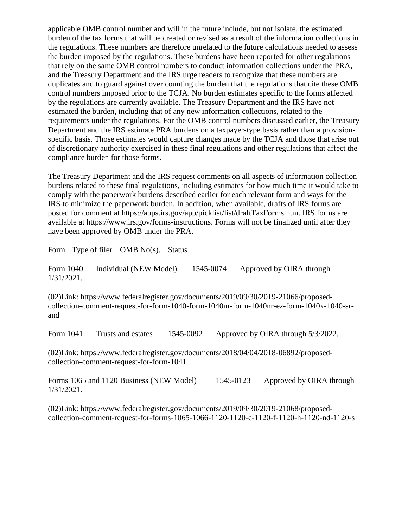applicable OMB control number and will in the future include, but not isolate, the estimated burden of the tax forms that will be created or revised as a result of the information collections in the regulations. These numbers are therefore unrelated to the future calculations needed to assess the burden imposed by the regulations. These burdens have been reported for other regulations that rely on the same OMB control numbers to conduct information collections under the PRA, and the Treasury Department and the IRS urge readers to recognize that these numbers are duplicates and to guard against over counting the burden that the regulations that cite these OMB control numbers imposed prior to the TCJA. No burden estimates specific to the forms affected by the regulations are currently available. The Treasury Department and the IRS have not estimated the burden, including that of any new information collections, related to the requirements under the regulations. For the OMB control numbers discussed earlier, the Treasury Department and the IRS estimate PRA burdens on a taxpayer-type basis rather than a provisionspecific basis. Those estimates would capture changes made by the TCJA and those that arise out of discretionary authority exercised in these final regulations and other regulations that affect the compliance burden for those forms.

The Treasury Department and the IRS request comments on all aspects of information collection burdens related to these final regulations, including estimates for how much time it would take to comply with the paperwork burdens described earlier for each relevant form and ways for the IRS to minimize the paperwork burden. In addition, when available, drafts of IRS forms are posted for comment at https://apps.irs.gov/app/picklist/list/draftTaxForms.htm. IRS forms are available at https://www.irs.gov/forms-instructions. Forms will not be finalized until after they have been approved by OMB under the PRA.

Form Type of filer OMB No(s). Status

Form 1040 Individual (NEW Model) 1545-0074 Approved by OIRA through 1/31/2021.

(02)Link: https://www.federalregister.gov/documents/2019/09/30/2019-21066/proposedcollection-comment-request-for-form-1040-form-1040nr-form-1040nr-ez-form-1040x-1040-srand

Form 1041 Trusts and estates 1545-0092 Approved by OIRA through 5/3/2022.

(02)Link: https://www.federalregister.gov/documents/2018/04/04/2018-06892/proposedcollection-comment-request-for-form-1041

Forms 1065 and 1120 Business (NEW Model) 1545-0123 Approved by OIRA through 1/31/2021.

(02)Link: https://www.federalregister.gov/documents/2019/09/30/2019-21068/proposedcollection-comment-request-for-forms-1065-1066-1120-1120-c-1120-f-1120-h-1120-nd-1120-s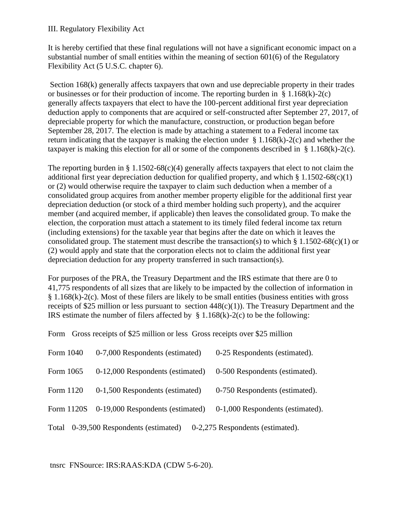## III. Regulatory Flexibility Act

It is hereby certified that these final regulations will not have a significant economic impact on a substantial number of small entities within the meaning of section 601(6) of the Regulatory Flexibility Act (5 U.S.C. chapter 6).

Section 168(k) generally affects taxpayers that own and use depreciable property in their trades or businesses or for their production of income. The reporting burden in  $\S 1.168(k)-2(c)$ generally affects taxpayers that elect to have the 100-percent additional first year depreciation deduction apply to components that are acquired or self-constructed after September 27, 2017, of depreciable property for which the manufacture, construction, or production began before September 28, 2017. The election is made by attaching a statement to a Federal income tax return indicating that the taxpayer is making the election under  $\S 1.168(k)-2(c)$  and whether the taxpayer is making this election for all or some of the components described in  $\S 1.168(k)-2(c)$ .

The reporting burden in  $\S 1.1502-68(c)(4)$  generally affects taxpayers that elect to not claim the additional first year depreciation deduction for qualified property, and which  $\S 1.1502-68(c)(1)$ or (2) would otherwise require the taxpayer to claim such deduction when a member of a consolidated group acquires from another member property eligible for the additional first year depreciation deduction (or stock of a third member holding such property), and the acquirer member (and acquired member, if applicable) then leaves the consolidated group. To make the election, the corporation must attach a statement to its timely filed federal income tax return (including extensions) for the taxable year that begins after the date on which it leaves the consolidated group. The statement must describe the transaction(s) to which  $\S 1.1502-68(c)(1)$  or (2) would apply and state that the corporation elects not to claim the additional first year depreciation deduction for any property transferred in such transaction(s).

For purposes of the PRA, the Treasury Department and the IRS estimate that there are 0 to 41,775 respondents of all sizes that are likely to be impacted by the collection of information in § 1.168(k)-2(c). Most of these filers are likely to be small entities (business entities with gross receipts of \$25 million or less pursuant to section  $448(c)(1)$ ). The Treasury Department and the IRS estimate the number of filers affected by  $\S$  1.168(k)-2(c) to be the following:

Form Gross receipts of \$25 million or less Gross receipts over \$25 million

| Form 1040                                                                     | 0-7,000 Respondents (estimated)  | 0-25 Respondents (estimated).    |
|-------------------------------------------------------------------------------|----------------------------------|----------------------------------|
| Form 1065                                                                     | 0-12,000 Respondents (estimated) | 0-500 Respondents (estimated).   |
| Form 1120                                                                     | 0-1,500 Respondents (estimated)  | 0-750 Respondents (estimated).   |
| Form 1120S                                                                    | 0-19,000 Respondents (estimated) | 0-1,000 Respondents (estimated). |
| 0-39,500 Respondents (estimated)<br>0-2,275 Respondents (estimated).<br>Total |                                  |                                  |

tnsrc FNSource: IRS:RAAS:KDA (CDW 5-6-20).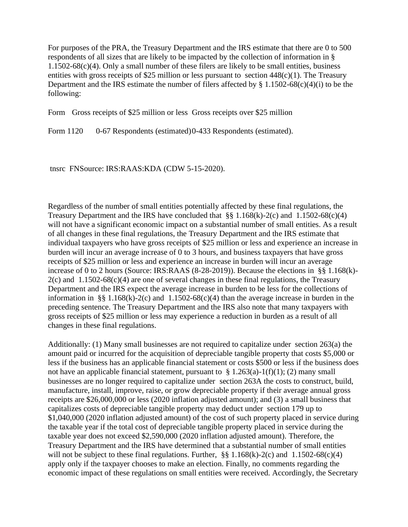For purposes of the PRA, the Treasury Department and the IRS estimate that there are 0 to 500 respondents of all sizes that are likely to be impacted by the collection of information in §  $1.1502-68(c)(4)$ . Only a small number of these filers are likely to be small entities, business entities with gross receipts of \$25 million or less pursuant to section 448(c)(1). The Treasury Department and the IRS estimate the number of filers affected by  $\S 1.1502-68(c)(4)(i)$  to be the following:

Form Gross receipts of \$25 million or less Gross receipts over \$25 million

Form 1120 0-67 Respondents (estimated) 0-433 Respondents (estimated).

tnsrc FNSource: IRS:RAAS:KDA (CDW 5-15-2020).

Regardless of the number of small entities potentially affected by these final regulations, the Treasury Department and the IRS have concluded that  $\S$ § 1.168(k)-2(c) and 1.1502-68(c)(4) will not have a significant economic impact on a substantial number of small entities. As a result of all changes in these final regulations, the Treasury Department and the IRS estimate that individual taxpayers who have gross receipts of \$25 million or less and experience an increase in burden will incur an average increase of 0 to 3 hours, and business taxpayers that have gross receipts of \$25 million or less and experience an increase in burden will incur an average increase of 0 to 2 hours (Source: IRS:RAAS (8-28-2019)). Because the elections in §§ 1.168(k)-  $2(c)$  and 1.1502-68 $(c)(4)$  are one of several changes in these final regulations, the Treasury Department and the IRS expect the average increase in burden to be less for the collections of information in §§ 1.168(k)-2(c) and 1.1502-68(c)(4) than the average increase in burden in the preceding sentence. The Treasury Department and the IRS also note that many taxpayers with gross receipts of \$25 million or less may experience a reduction in burden as a result of all changes in these final regulations.

Additionally: (1) Many small businesses are not required to capitalize under section 263(a) the amount paid or incurred for the acquisition of depreciable tangible property that costs \$5,000 or less if the business has an applicable financial statement or costs \$500 or less if the business does not have an applicable financial statement, pursuant to  $\S 1.263(a)-1(f)(1)$ ; (2) many small businesses are no longer required to capitalize under section 263A the costs to construct, build, manufacture, install, improve, raise, or grow depreciable property if their average annual gross receipts are \$26,000,000 or less (2020 inflation adjusted amount); and (3) a small business that capitalizes costs of depreciable tangible property may deduct under section 179 up to \$1,040,000 (2020 inflation adjusted amount) of the cost of such property placed in service during the taxable year if the total cost of depreciable tangible property placed in service during the taxable year does not exceed \$2,590,000 (2020 inflation adjusted amount). Therefore, the Treasury Department and the IRS have determined that a substantial number of small entities will not be subject to these final regulations. Further,  $\S$ § 1.168(k)-2(c) and 1.1502-68(c)(4) apply only if the taxpayer chooses to make an election. Finally, no comments regarding the economic impact of these regulations on small entities were received. Accordingly, the Secretary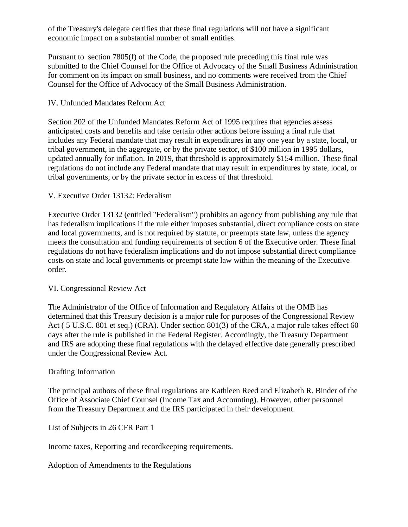of the Treasury's delegate certifies that these final regulations will not have a significant economic impact on a substantial number of small entities.

Pursuant to section 7805(f) of the Code, the proposed rule preceding this final rule was submitted to the Chief Counsel for the Office of Advocacy of the Small Business Administration for comment on its impact on small business, and no comments were received from the Chief Counsel for the Office of Advocacy of the Small Business Administration.

# IV. Unfunded Mandates Reform Act

Section 202 of the Unfunded Mandates Reform Act of 1995 requires that agencies assess anticipated costs and benefits and take certain other actions before issuing a final rule that includes any Federal mandate that may result in expenditures in any one year by a state, local, or tribal government, in the aggregate, or by the private sector, of \$100 million in 1995 dollars, updated annually for inflation. In 2019, that threshold is approximately \$154 million. These final regulations do not include any Federal mandate that may result in expenditures by state, local, or tribal governments, or by the private sector in excess of that threshold.

## V. Executive Order 13132: Federalism

Executive Order 13132 (entitled "Federalism") prohibits an agency from publishing any rule that has federalism implications if the rule either imposes substantial, direct compliance costs on state and local governments, and is not required by statute, or preempts state law, unless the agency meets the consultation and funding requirements of section 6 of the Executive order. These final regulations do not have federalism implications and do not impose substantial direct compliance costs on state and local governments or preempt state law within the meaning of the Executive order.

## VI. Congressional Review Act

The Administrator of the Office of Information and Regulatory Affairs of the OMB has determined that this Treasury decision is a major rule for purposes of the Congressional Review Act ( 5 U.S.C. 801 et seq.) (CRA). Under section 801(3) of the CRA, a major rule takes effect 60 days after the rule is published in the Federal Register. Accordingly, the Treasury Department and IRS are adopting these final regulations with the delayed effective date generally prescribed under the Congressional Review Act.

## Drafting Information

The principal authors of these final regulations are Kathleen Reed and Elizabeth R. Binder of the Office of Associate Chief Counsel (Income Tax and Accounting). However, other personnel from the Treasury Department and the IRS participated in their development.

List of Subjects in 26 CFR Part 1

Income taxes, Reporting and recordkeeping requirements.

Adoption of Amendments to the Regulations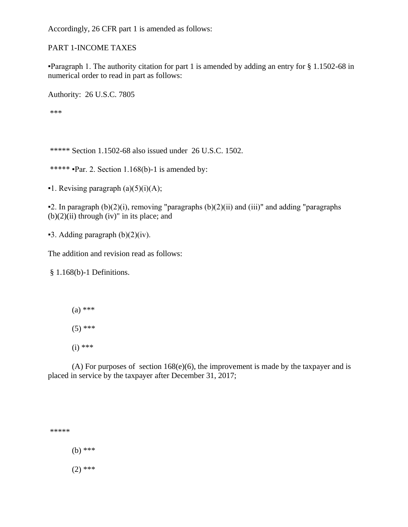Accordingly, 26 CFR part 1 is amended as follows:

PART 1-INCOME TAXES

▪Paragraph 1. The authority citation for part 1 is amended by adding an entry for § 1.1502-68 in numerical order to read in part as follows:

Authority: 26 U.S.C. 7805

\*\*\*

\*\*\*\*\* Section 1.1502-68 also issued under 26 U.S.C. 1502.

\*\*\*\*\*  $\text{Par. 2. Section } 1.168(b)-1$  is amended by:

 $\blacksquare$ 1. Revising paragraph (a)(5)(i)(A);

 $\bullet$ 2. In paragraph (b)(2)(i), removing "paragraphs (b)(2)(ii) and (iii)" and adding "paragraphs  $(b)(2)(ii)$  through  $(iv)$ " in its place; and

 $\blacktriangleright$  3. Adding paragraph (b)(2)(iv).

The addition and revision read as follows:

§ 1.168(b)-1 Definitions.

(a) \*\*\*

 $(5)$  \*\*\*

(i) \*\*\*

(A) For purposes of section  $168(e)(6)$ , the improvement is made by the taxpayer and is placed in service by the taxpayer after December 31, 2017;

\*\*\*\*\* (b) \*\*\*  $(2)$  \*\*\*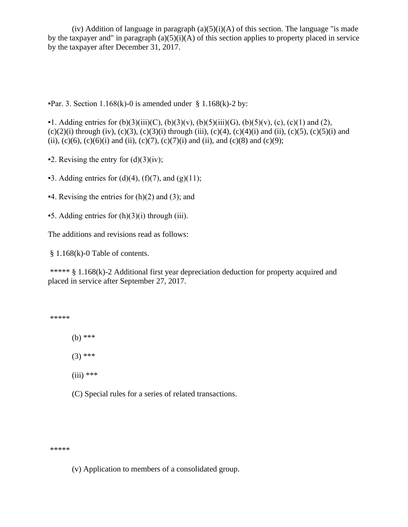(iv) Addition of language in paragraph  $(a)(5)(i)(A)$  of this section. The language "is made by the taxpayer and" in paragraph  $(a)(5)(i)(A)$  of this section applies to property placed in service by the taxpayer after December 31, 2017.

**•Par. 3. Section 1.168(k)-0 is amended under § 1.168(k)-2 by:** 

 $\bullet$ 1. Adding entries for (b)(3)(iii)(C), (b)(3)(v), (b)(5)(iii)(G), (b)(5)(v), (c), (c)(1) and (2),  $(c)(2)(i)$  through (iv),  $(c)(3)$ ,  $(c)(3)(i)$  through (iii),  $(c)(4)$ ,  $(c)(4)(i)$  and (ii),  $(c)(5)$ ,  $(c)(5)(i)$  and (ii), (c)(6), (c)(6)(i) and (ii), (c)(7), (c)(7)(i) and (ii), and (c)(8) and (c)(9);

- $\blacktriangleright$  2. Revising the entry for (d)(3)(iv);
- $\bullet$ 3. Adding entries for (d)(4), (f)(7), and (g)(11);
- $-4$ . Revising the entries for (h)(2) and (3); and
- $\bullet$  5. Adding entries for  $(h)(3)(i)$  through (iii).

The additions and revisions read as follows:

§ 1.168(k)-0 Table of contents.

\*\*\*\*\* § 1.168(k)-2 Additional first year depreciation deduction for property acquired and placed in service after September 27, 2017.

\*\*\*\*\*

(b) \*\*\*

 $(3)$  \*\*\*

- $(iii)$  \*\*\*
- (C) Special rules for a series of related transactions.

\*\*\*\*\*

(v) Application to members of a consolidated group.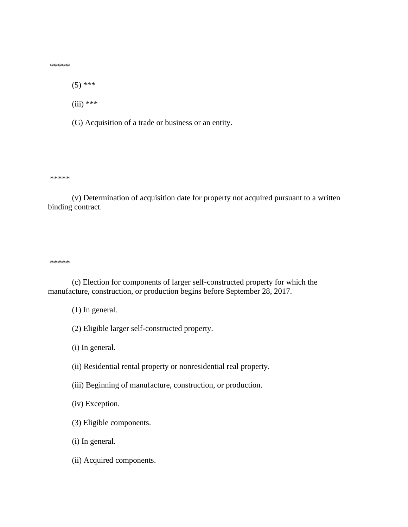\*\*\*\*\*

 $(5)$  \*\*\*

 $(iii)$  \*\*\*

(G) Acquisition of a trade or business or an entity.

\*\*\*\*\*

(v) Determination of acquisition date for property not acquired pursuant to a written binding contract.

\*\*\*\*\*

(c) Election for components of larger self-constructed property for which the manufacture, construction, or production begins before September 28, 2017.

(1) In general.

(2) Eligible larger self-constructed property.

(i) In general.

- (ii) Residential rental property or nonresidential real property.
- (iii) Beginning of manufacture, construction, or production.

(iv) Exception.

- (3) Eligible components.
- (i) In general.
- (ii) Acquired components.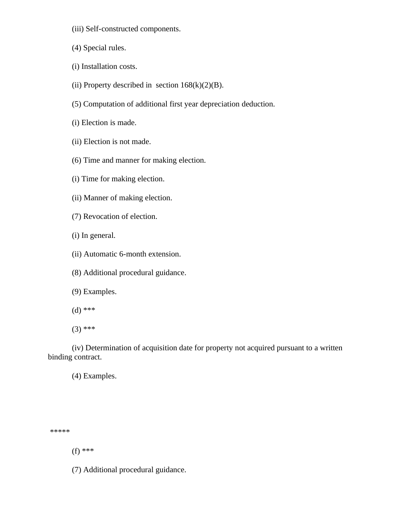- (iii) Self-constructed components.
- (4) Special rules.
- (i) Installation costs.
- (ii) Property described in section  $168(k)(2)(B)$ .
- (5) Computation of additional first year depreciation deduction.
- (i) Election is made.
- (ii) Election is not made.
- (6) Time and manner for making election.
- (i) Time for making election.
- (ii) Manner of making election.
- (7) Revocation of election.
- (i) In general.
- (ii) Automatic 6-month extension.
- (8) Additional procedural guidance.
- (9) Examples.
- (d) \*\*\*
- (3) \*\*\*

(iv) Determination of acquisition date for property not acquired pursuant to a written binding contract.

(4) Examples.

\*\*\*\*\*

(f) \*\*\*

(7) Additional procedural guidance.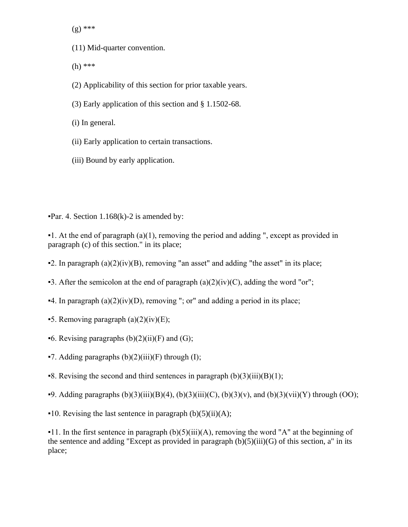(g) \*\*\*

- (11) Mid-quarter convention.
- (h) \*\*\*
- (2) Applicability of this section for prior taxable years.
- (3) Early application of this section and § 1.1502-68.
- (i) In general.
- (ii) Early application to certain transactions.
- (iii) Bound by early application.

 $\text{·Par. } 4$ . Section 1.168(k)-2 is amended by:

 $\bullet$  1. At the end of paragraph (a)(1), removing the period and adding ", except as provided in paragraph (c) of this section." in its place;

- $\bullet$ 2. In paragraph (a)(2)(iv)(B), removing "an asset" and adding "the asset" in its place;
- $\bullet$ 3. After the semicolon at the end of paragraph (a)(2)(iv)(C), adding the word "or";
- $\blacktriangleright$ 4. In paragraph (a)(2)(iv)(D), removing "; or" and adding a period in its place;
- **-5.** Removing paragraph  $(a)(2)(iv)(E)$ ;
- $\bullet$ 6. Revising paragraphs (b)(2)(ii)(F) and (G);
- $\blacktriangleright$  7. Adding paragraphs (b)(2)(iii)(F) through (I);
- **•8.** Revising the second and third sentences in paragraph  $(b)(3)(iii)(B)(1);$
- **•9.** Adding paragraphs  $(b)(3)(iii)(B)(4)$ ,  $(b)(3)(iii)(C)$ ,  $(b)(3)(v)$ , and  $(b)(3)(vii)(Y)$  through  $(OO)$ ;
- $\bullet$ 10. Revising the last sentence in paragraph (b)(5)(ii)(A);

 $\bullet$  11. In the first sentence in paragraph (b)(5)(iii)(A), removing the word "A" at the beginning of the sentence and adding "Except as provided in paragraph (b)(5)(iii)(G) of this section, a" in its place;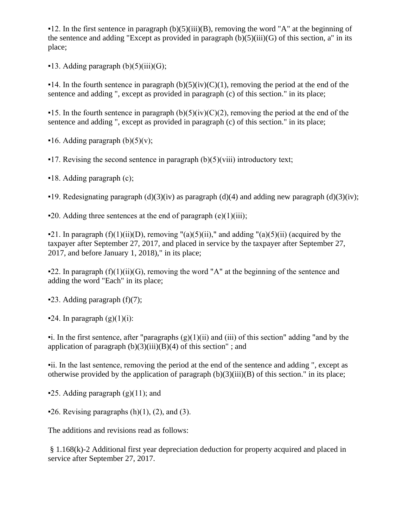$\bullet$ 12. In the first sentence in paragraph (b)(5)(iii)(B), removing the word "A" at the beginning of the sentence and adding "Except as provided in paragraph  $(b)(5)(iii)(G)$  of this section, a" in its place;

 $\bullet$ 13. Adding paragraph (b)(5)(iii)(G);

 $\bullet$  14. In the fourth sentence in paragraph (b)(5)(iv)(C)(1), removing the period at the end of the sentence and adding ", except as provided in paragraph (c) of this section." in its place;

 $\bullet$  15. In the fourth sentence in paragraph (b)(5)(iv)(C)(2), removing the period at the end of the sentence and adding ", except as provided in paragraph (c) of this section." in its place;

 $\blacksquare$ 16. Adding paragraph (b)(5)(v);

 $\bullet$  17. Revising the second sentence in paragraph (b)(5)(viii) introductory text;

▪18. Adding paragraph (c);

 $\bullet$ 19. Redesignating paragraph (d)(3)(iv) as paragraph (d)(4) and adding new paragraph (d)(3)(iv);

 $\bullet$  20. Adding three sentences at the end of paragraph (e)(1)(iii);

 $\bullet$ 21. In paragraph (f)(1)(ii)(D), removing "(a)(5)(ii)," and adding "(a)(5)(ii) (acquired by the taxpayer after September 27, 2017, and placed in service by the taxpayer after September 27, 2017, and before January 1, 2018)," in its place;

 $\text{-22. In paragraph (f)(1)(ii)(G), removing the word "A" at the beginning of the sentence and$ adding the word "Each" in its place;

 $\blacktriangleright$  23. Adding paragraph (f)(7);

 $\blacktriangleright$  24. In paragraph  $(g)(1)(i)$ :

 $\bullet$ i. In the first sentence, after "paragraphs  $(g)(1)(ii)$  and  $(iii)$  of this section" adding "and by the application of paragraph  $(b)(3)(iii)(B)(4)$  of this section"; and

▪ii. In the last sentence, removing the period at the end of the sentence and adding ", except as otherwise provided by the application of paragraph  $(b)(3)(iii)(B)$  of this section." in its place;

**-25.** Adding paragraph  $(g)(11)$ ; and

 $\bullet$  26. Revising paragraphs (h)(1), (2), and (3).

The additions and revisions read as follows:

§ 1.168(k)-2 Additional first year depreciation deduction for property acquired and placed in service after September 27, 2017.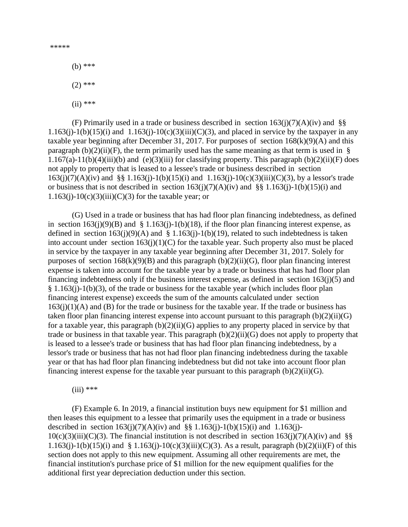\*\*\*\*\*

(b) \*\*\*

 $(2)$  \*\*\*

 $(ii)$  \*\*\*

(F) Primarily used in a trade or business described in section  $163(j)(7)(A)(iv)$  and §§ 1.163(j)-1(b)(15)(i) and 1.163(j)-10(c)(3)(iii)(C)(3), and placed in service by the taxpayer in any taxable year beginning after December 31, 2017. For purposes of section  $168(k)(9)(A)$  and this paragraph (b)(2)(ii)(F), the term primarily used has the same meaning as that term is used in § 1.167(a)-11(b)(4)(iii)(b) and (e)(3)(iii) for classifying property. This paragraph (b)(2)(ii)(F) does not apply to property that is leased to a lessee's trade or business described in section  $163(j)(7)(A)(iv)$  and §§ 1.163(j)-1(b)(15)(i) and 1.163(j)-10(c)(3)(iii)(C)(3), by a lessor's trade or business that is not described in section  $163(j)(7)(A)(iv)$  and §§ 1.163(j)-1(b)(15)(i) and  $1.163(j)-10(c)(3)(iii)(C)(3)$  for the taxable year; or

(G) Used in a trade or business that has had floor plan financing indebtedness, as defined in section  $163(i)(9)(B)$  and § 1.163(j)-1(b)(18), if the floor plan financing interest expense, as defined in section  $163(i)(9)(A)$  and § 1.163(j)-1(b)(19), related to such indebtedness is taken into account under section  $163(i)(1)(C)$  for the taxable year. Such property also must be placed in service by the taxpayer in any taxable year beginning after December 31, 2017. Solely for purposes of section  $168(k)(9)(B)$  and this paragraph  $(b)(2)(ii)(G)$ , floor plan financing interest expense is taken into account for the taxable year by a trade or business that has had floor plan financing indebtedness only if the business interest expense, as defined in section  $163(i)(5)$  and § 1.163(j)-1(b)(3), of the trade or business for the taxable year (which includes floor plan financing interest expense) exceeds the sum of the amounts calculated under section  $163(i)(1)(A)$  and (B) for the trade or business for the taxable year. If the trade or business has taken floor plan financing interest expense into account pursuant to this paragraph  $(b)(2)(ii)(G)$ for a taxable year, this paragraph  $(b)(2)(ii)(G)$  applies to any property placed in service by that trade or business in that taxable year. This paragraph  $(b)(2)(ii)(G)$  does not apply to property that is leased to a lessee's trade or business that has had floor plan financing indebtedness, by a lessor's trade or business that has not had floor plan financing indebtedness during the taxable year or that has had floor plan financing indebtedness but did not take into account floor plan financing interest expense for the taxable year pursuant to this paragraph  $(b)(2)(ii)(G)$ .

 $(iii)$  \*\*\*

(F) Example 6. In 2019, a financial institution buys new equipment for \$1 million and then leases this equipment to a lessee that primarily uses the equipment in a trade or business described in section  $163(j)(7)(A)(iv)$  and §§ 1.163(j)-1(b)(15)(i) and 1.163(j)- $10(c)(3)(iii)(C)(3)$ . The financial institution is not described in section  $163(i)(7)(A)(iv)$  and §§ 1.163(j)-1(b)(15)(i) and § 1.163(j)-10(c)(3)(iii)(C)(3). As a result, paragraph (b)(2)(ii)(F) of this section does not apply to this new equipment. Assuming all other requirements are met, the financial institution's purchase price of \$1 million for the new equipment qualifies for the additional first year depreciation deduction under this section.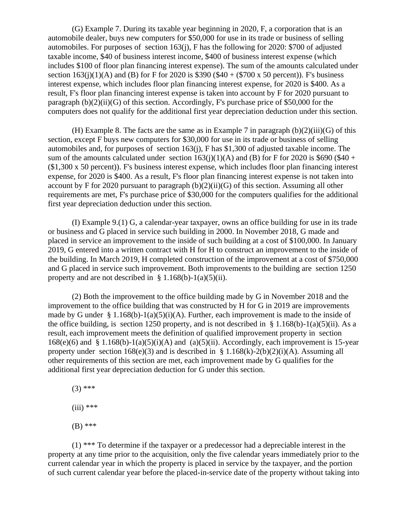(G) Example 7. During its taxable year beginning in 2020, F, a corporation that is an automobile dealer, buys new computers for \$50,000 for use in its trade or business of selling automobiles. For purposes of section 163(j), F has the following for 2020: \$700 of adjusted taxable income, \$40 of business interest income, \$400 of business interest expense (which includes \$100 of floor plan financing interest expense). The sum of the amounts calculated under section  $163(i)(1)(A)$  and (B) for F for 2020 is \$390 (\$40 + (\$700 x 50 percent)). F's business interest expense, which includes floor plan financing interest expense, for 2020 is \$400. As a result, F's floor plan financing interest expense is taken into account by F for 2020 pursuant to paragraph  $(b)(2)(ii)(G)$  of this section. Accordingly, F's purchase price of \$50,000 for the computers does not qualify for the additional first year depreciation deduction under this section.

(H) Example 8. The facts are the same as in Example 7 in paragraph  $(b)(2)(iii)(G)$  of this section, except F buys new computers for \$30,000 for use in its trade or business of selling automobiles and, for purposes of section 163(j), F has \$1,300 of adjusted taxable income. The sum of the amounts calculated under section  $163(i)(1)(A)$  and (B) for F for 2020 is \$690 (\$40 + (\$1,300 x 50 percent)). F's business interest expense, which includes floor plan financing interest expense, for 2020 is \$400. As a result, F's floor plan financing interest expense is not taken into account by F for 2020 pursuant to paragraph  $(b)(2)(ii)(G)$  of this section. Assuming all other requirements are met, F's purchase price of \$30,000 for the computers qualifies for the additional first year depreciation deduction under this section.

(I) Example 9.(1) G, a calendar-year taxpayer, owns an office building for use in its trade or business and G placed in service such building in 2000. In November 2018, G made and placed in service an improvement to the inside of such building at a cost of \$100,000. In January 2019, G entered into a written contract with H for H to construct an improvement to the inside of the building. In March 2019, H completed construction of the improvement at a cost of \$750,000 and G placed in service such improvement. Both improvements to the building are section 1250 property and are not described in  $\S 1.168(b) - 1(a)(5)(ii)$ .

(2) Both the improvement to the office building made by G in November 2018 and the improvement to the office building that was constructed by H for G in 2019 are improvements made by G under § 1.168(b)-1(a)(5)(i)(A). Further, each improvement is made to the inside of the office building, is section 1250 property, and is not described in § 1.168(b)-1(a)(5)(ii). As a result, each improvement meets the definition of qualified improvement property in section 168(e)(6) and § 1.168(b)-1(a)(5)(i)(A) and (a)(5)(ii). Accordingly, each improvement is 15-year property under section  $168(e)(3)$  and is described in §  $1.168(k)-2(b)(2)(i)(A)$ . Assuming all other requirements of this section are met, each improvement made by G qualifies for the additional first year depreciation deduction for G under this section.

- $(3)$  \*\*\*
- $(iii)$  \*\*\*
- (B) \*\*\*

(1) \*\*\* To determine if the taxpayer or a predecessor had a depreciable interest in the property at any time prior to the acquisition, only the five calendar years immediately prior to the current calendar year in which the property is placed in service by the taxpayer, and the portion of such current calendar year before the placed-in-service date of the property without taking into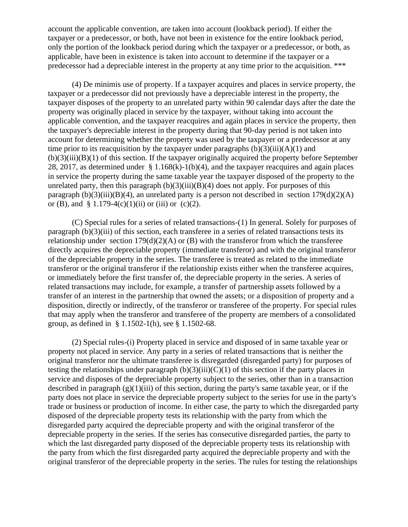account the applicable convention, are taken into account (lookback period). If either the taxpayer or a predecessor, or both, have not been in existence for the entire lookback period, only the portion of the lookback period during which the taxpayer or a predecessor, or both, as applicable, have been in existence is taken into account to determine if the taxpayer or a predecessor had a depreciable interest in the property at any time prior to the acquisition. \*\*\*

(4) De minimis use of property. If a taxpayer acquires and places in service property, the taxpayer or a predecessor did not previously have a depreciable interest in the property, the taxpayer disposes of the property to an unrelated party within 90 calendar days after the date the property was originally placed in service by the taxpayer, without taking into account the applicable convention, and the taxpayer reacquires and again places in service the property, then the taxpayer's depreciable interest in the property during that 90-day period is not taken into account for determining whether the property was used by the taxpayer or a predecessor at any time prior to its reacquisition by the taxpayer under paragraphs  $(b)(3)(iii)(A)(1)$  and  $(b)(3)(iii)(B)(1)$  of this section. If the taxpayer originally acquired the property before September 28, 2017, as determined under  $\S 1.168(k)-1(b)(4)$ , and the taxpayer reacquires and again places in service the property during the same taxable year the taxpayer disposed of the property to the unrelated party, then this paragraph  $(b)(3)(iii)(B)(4)$  does not apply. For purposes of this paragraph (b)(3)(iii)(B)(4), an unrelated party is a person not described in section  $179(d)(2)(A)$ or (B), and  $\S 1.179-4(c)(1)(ii)$  or (iii) or (c)(2).

(C) Special rules for a series of related transactions-(1) In general. Solely for purposes of paragraph (b)(3)(iii) of this section, each transferee in a series of related transactions tests its relationship under section  $179(d)(2)(A)$  or (B) with the transferor from which the transferee directly acquires the depreciable property (immediate transferor) and with the original transferor of the depreciable property in the series. The transferee is treated as related to the immediate transferor or the original transferor if the relationship exists either when the transferee acquires, or immediately before the first transfer of, the depreciable property in the series. A series of related transactions may include, for example, a transfer of partnership assets followed by a transfer of an interest in the partnership that owned the assets; or a disposition of property and a disposition, directly or indirectly, of the transferor or transferee of the property. For special rules that may apply when the transferor and transferee of the property are members of a consolidated group, as defined in § 1.1502-1(h), see § 1.1502-68.

(2) Special rules-(i) Property placed in service and disposed of in same taxable year or property not placed in service. Any party in a series of related transactions that is neither the original transferor nor the ultimate transferee is disregarded (disregarded party) for purposes of testing the relationships under paragraph  $(b)(3)(iii)(C)(1)$  of this section if the party places in service and disposes of the depreciable property subject to the series, other than in a transaction described in paragraph  $(g)(1)(iii)$  of this section, during the party's same taxable year, or if the party does not place in service the depreciable property subject to the series for use in the party's trade or business or production of income. In either case, the party to which the disregarded party disposed of the depreciable property tests its relationship with the party from which the disregarded party acquired the depreciable property and with the original transferor of the depreciable property in the series. If the series has consecutive disregarded parties, the party to which the last disregarded party disposed of the depreciable property tests its relationship with the party from which the first disregarded party acquired the depreciable property and with the original transferor of the depreciable property in the series. The rules for testing the relationships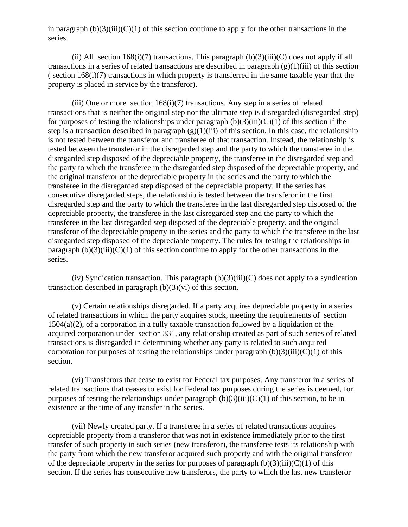in paragraph  $(b)(3)(iii)(C)(1)$  of this section continue to apply for the other transactions in the series.

(ii) All section  $168(i)(7)$  transactions. This paragraph  $(b)(3)(iii)(C)$  does not apply if all transactions in a series of related transactions are described in paragraph  $(g)(1)(iii)$  of this section ( section 168(i)(7) transactions in which property is transferred in the same taxable year that the property is placed in service by the transferor).

(iii) One or more section  $168(i)(7)$  transactions. Any step in a series of related transactions that is neither the original step nor the ultimate step is disregarded (disregarded step) for purposes of testing the relationships under paragraph  $(b)(3)(iii)(C)(1)$  of this section if the step is a transaction described in paragraph  $(g)(1)(iii)$  of this section. In this case, the relationship is not tested between the transferor and transferee of that transaction. Instead, the relationship is tested between the transferor in the disregarded step and the party to which the transferee in the disregarded step disposed of the depreciable property, the transferee in the disregarded step and the party to which the transferee in the disregarded step disposed of the depreciable property, and the original transferor of the depreciable property in the series and the party to which the transferee in the disregarded step disposed of the depreciable property. If the series has consecutive disregarded steps, the relationship is tested between the transferor in the first disregarded step and the party to which the transferee in the last disregarded step disposed of the depreciable property, the transferee in the last disregarded step and the party to which the transferee in the last disregarded step disposed of the depreciable property, and the original transferor of the depreciable property in the series and the party to which the transferee in the last disregarded step disposed of the depreciable property. The rules for testing the relationships in paragraph  $(b)(3)(iii)(C)(1)$  of this section continue to apply for the other transactions in the series.

(iv) Syndication transaction. This paragraph  $(b)(3)(iii)(C)$  does not apply to a syndication transaction described in paragraph (b)(3)(vi) of this section.

(v) Certain relationships disregarded. If a party acquires depreciable property in a series of related transactions in which the party acquires stock, meeting the requirements of section 1504(a)(2), of a corporation in a fully taxable transaction followed by a liquidation of the acquired corporation under section 331, any relationship created as part of such series of related transactions is disregarded in determining whether any party is related to such acquired corporation for purposes of testing the relationships under paragraph  $(b)(3)(iii)(C)(1)$  of this section.

(vi) Transferors that cease to exist for Federal tax purposes. Any transferor in a series of related transactions that ceases to exist for Federal tax purposes during the series is deemed, for purposes of testing the relationships under paragraph  $(b)(3)(iii)(C)(1)$  of this section, to be in existence at the time of any transfer in the series.

(vii) Newly created party. If a transferee in a series of related transactions acquires depreciable property from a transferor that was not in existence immediately prior to the first transfer of such property in such series (new transferor), the transferee tests its relationship with the party from which the new transferor acquired such property and with the original transferor of the depreciable property in the series for purposes of paragraph  $(b)(3)(iii)(C)(1)$  of this section. If the series has consecutive new transferors, the party to which the last new transferor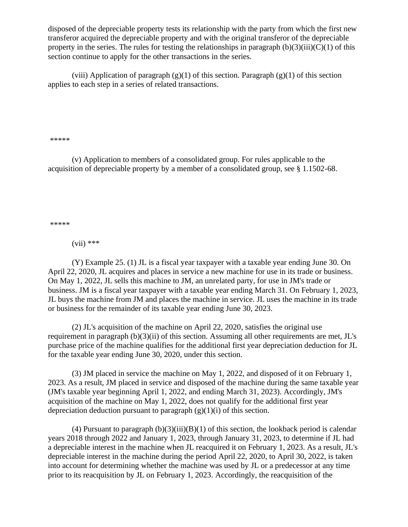disposed of the depreciable property tests its relationship with the party from which the first new transferor acquired the depreciable property and with the original transferor of the depreciable property in the series. The rules for testing the relationships in paragraph  $(b)(3)(iii)(C)(1)$  of this section continue to apply for the other transactions in the series.

(viii) Application of paragraph  $(g)(1)$  of this section. Paragraph  $(g)(1)$  of this section applies to each step in a series of related transactions.

\*\*\*\*\*

(v) Application to members of a consolidated group. For rules applicable to the acquisition of depreciable property by a member of a consolidated group, see § 1.1502-68.

\*\*\*\*\*

 $(vii)$  \*\*\*

(Y) Example 25. (1) JL is a fiscal year taxpayer with a taxable year ending June 30. On April 22, 2020, JL acquires and places in service a new machine for use in its trade or business. On May 1, 2022, JL sells this machine to JM, an unrelated party, for use in JM's trade or business. JM is a fiscal year taxpayer with a taxable year ending March 31. On February 1, 2023, JL buys the machine from JM and places the machine in service. JL uses the machine in its trade or business for the remainder of its taxable year ending June 30, 2023.

(2) JL's acquisition of the machine on April 22, 2020, satisfies the original use requirement in paragraph (b)(3)(ii) of this section. Assuming all other requirements are met, JL's purchase price of the machine qualifies for the additional first year depreciation deduction for JL for the taxable year ending June 30, 2020, under this section.

(3) JM placed in service the machine on May 1, 2022, and disposed of it on February 1, 2023. As a result, JM placed in service and disposed of the machine during the same taxable year (JM's taxable year beginning April 1, 2022, and ending March 31, 2023). Accordingly, JM's acquisition of the machine on May 1, 2022, does not qualify for the additional first year depreciation deduction pursuant to paragraph  $(g)(1)(i)$  of this section.

(4) Pursuant to paragraph  $(b)(3)(iii)(B)(1)$  of this section, the lookback period is calendar years 2018 through 2022 and January 1, 2023, through January 31, 2023, to determine if JL had a depreciable interest in the machine when JL reacquired it on February 1, 2023. As a result, JL's depreciable interest in the machine during the period April 22, 2020, to April 30, 2022, is taken into account for determining whether the machine was used by JL or a predecessor at any time prior to its reacquisition by JL on February 1, 2023. Accordingly, the reacquisition of the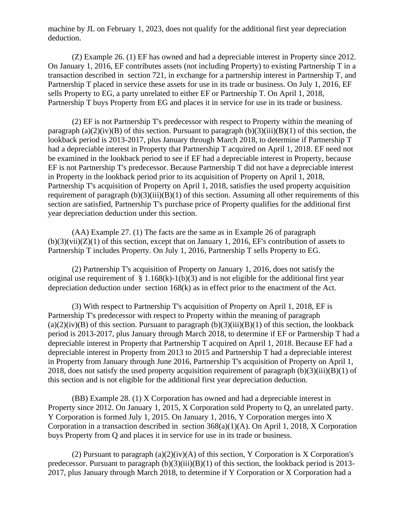machine by JL on February 1, 2023, does not qualify for the additional first year depreciation deduction.

(Z) Example 26. (1) EF has owned and had a depreciable interest in Property since 2012. On January 1, 2016, EF contributes assets (not including Property) to existing Partnership T in a transaction described in section 721, in exchange for a partnership interest in Partnership T, and Partnership T placed in service these assets for use in its trade or business. On July 1, 2016, EF sells Property to EG, a party unrelated to either EF or Partnership T. On April 1, 2018, Partnership T buys Property from EG and places it in service for use in its trade or business.

(2) EF is not Partnership T's predecessor with respect to Property within the meaning of paragraph (a)(2)(iv)(B) of this section. Pursuant to paragraph (b)(3)(iii)(B)(1) of this section, the lookback period is 2013-2017, plus January through March 2018, to determine if Partnership T had a depreciable interest in Property that Partnership T acquired on April 1, 2018. EF need not be examined in the lookback period to see if EF had a depreciable interest in Property, because EF is not Partnership T's predecessor. Because Partnership T did not have a depreciable interest in Property in the lookback period prior to its acquisition of Property on April 1, 2018, Partnership T's acquisition of Property on April 1, 2018, satisfies the used property acquisition requirement of paragraph  $(b)(3)(iii)(B)(1)$  of this section. Assuming all other requirements of this section are satisfied, Partnership T's purchase price of Property qualifies for the additional first year depreciation deduction under this section.

(AA) Example 27. (1) The facts are the same as in Example 26 of paragraph  $(b)(3)(vii)(Z)(1)$  of this section, except that on January 1, 2016, EF's contribution of assets to Partnership T includes Property. On July 1, 2016, Partnership T sells Property to EG.

(2) Partnership T's acquisition of Property on January 1, 2016, does not satisfy the original use requirement of  $\S 1.168(k)-1(b)(3)$  and is not eligible for the additional first year depreciation deduction under section 168(k) as in effect prior to the enactment of the Act.

(3) With respect to Partnership T's acquisition of Property on April 1, 2018, EF is Partnership T's predecessor with respect to Property within the meaning of paragraph  $(a)(2)(iv)(B)$  of this section. Pursuant to paragraph  $(b)(3)(iii)(B)(1)$  of this section, the lookback period is 2013-2017, plus January through March 2018, to determine if EF or Partnership T had a depreciable interest in Property that Partnership T acquired on April 1, 2018. Because EF had a depreciable interest in Property from 2013 to 2015 and Partnership T had a depreciable interest in Property from January through June 2016, Partnership T's acquisition of Property on April 1, 2018, does not satisfy the used property acquisition requirement of paragraph  $(b)(3)(iii)(B)(1)$  of this section and is not eligible for the additional first year depreciation deduction.

(BB) Example 28. (1) X Corporation has owned and had a depreciable interest in Property since 2012. On January 1, 2015, X Corporation sold Property to Q, an unrelated party. Y Corporation is formed July 1, 2015. On January 1, 2016, Y Corporation merges into X Corporation in a transaction described in section  $368(a)(1)(A)$ . On April 1, 2018, X Corporation buys Property from Q and places it in service for use in its trade or business.

(2) Pursuant to paragraph  $(a)(2)(iv)(A)$  of this section, Y Corporation is X Corporation's predecessor. Pursuant to paragraph  $(b)(3)(iii)(B)(1)$  of this section, the lookback period is 2013-2017, plus January through March 2018, to determine if Y Corporation or X Corporation had a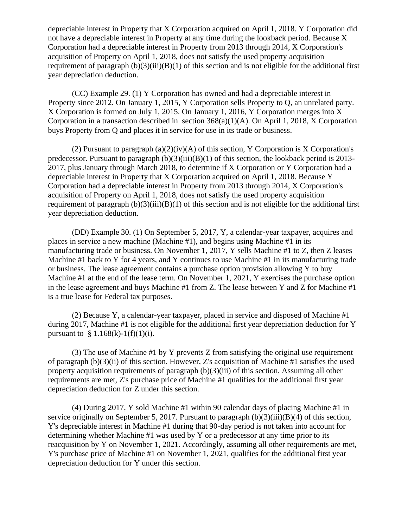depreciable interest in Property that X Corporation acquired on April 1, 2018. Y Corporation did not have a depreciable interest in Property at any time during the lookback period. Because X Corporation had a depreciable interest in Property from 2013 through 2014, X Corporation's acquisition of Property on April 1, 2018, does not satisfy the used property acquisition requirement of paragraph  $(b)(3)(iii)(B)(1)$  of this section and is not eligible for the additional first year depreciation deduction.

(CC) Example 29. (1) Y Corporation has owned and had a depreciable interest in Property since 2012. On January 1, 2015, Y Corporation sells Property to Q, an unrelated party. X Corporation is formed on July 1, 2015. On January 1, 2016, Y Corporation merges into X Corporation in a transaction described in section 368(a)(1)(A). On April 1, 2018, X Corporation buys Property from Q and places it in service for use in its trade or business.

(2) Pursuant to paragraph (a)(2)(iv)(A) of this section, Y Corporation is X Corporation's predecessor. Pursuant to paragraph  $(b)(3)(iii)(B)(1)$  of this section, the lookback period is 2013-2017, plus January through March 2018, to determine if X Corporation or Y Corporation had a depreciable interest in Property that X Corporation acquired on April 1, 2018. Because Y Corporation had a depreciable interest in Property from 2013 through 2014, X Corporation's acquisition of Property on April 1, 2018, does not satisfy the used property acquisition requirement of paragraph  $(b)(3)(iii)(B)(1)$  of this section and is not eligible for the additional first year depreciation deduction.

(DD) Example 30. (1) On September 5, 2017, Y, a calendar-year taxpayer, acquires and places in service a new machine (Machine #1), and begins using Machine #1 in its manufacturing trade or business. On November 1, 2017, Y sells Machine #1 to Z, then Z leases Machine #1 back to Y for 4 years, and Y continues to use Machine #1 in its manufacturing trade or business. The lease agreement contains a purchase option provision allowing Y to buy Machine #1 at the end of the lease term. On November 1, 2021, Y exercises the purchase option in the lease agreement and buys Machine #1 from Z. The lease between Y and Z for Machine #1 is a true lease for Federal tax purposes.

(2) Because Y, a calendar-year taxpayer, placed in service and disposed of Machine #1 during 2017, Machine #1 is not eligible for the additional first year depreciation deduction for Y pursuant to  $§ 1.168(k)-1(f)(1)(i)$ .

(3) The use of Machine #1 by Y prevents Z from satisfying the original use requirement of paragraph (b)(3)(ii) of this section. However, Z's acquisition of Machine #1 satisfies the used property acquisition requirements of paragraph  $(b)(3)(iii)$  of this section. Assuming all other requirements are met, Z's purchase price of Machine #1 qualifies for the additional first year depreciation deduction for Z under this section.

(4) During 2017, Y sold Machine #1 within 90 calendar days of placing Machine #1 in service originally on September 5, 2017. Pursuant to paragraph  $(b)(3)(iii)(B)(4)$  of this section, Y's depreciable interest in Machine #1 during that 90-day period is not taken into account for determining whether Machine #1 was used by Y or a predecessor at any time prior to its reacquisition by Y on November 1, 2021. Accordingly, assuming all other requirements are met, Y's purchase price of Machine #1 on November 1, 2021, qualifies for the additional first year depreciation deduction for Y under this section.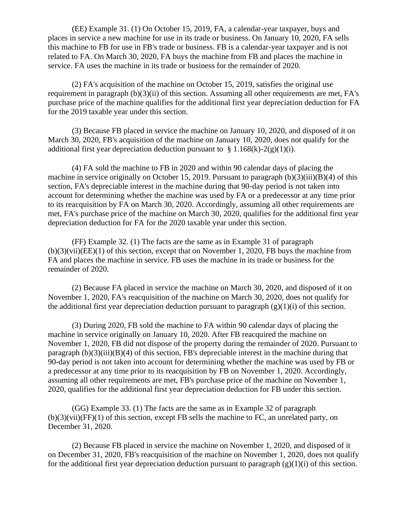(EE) Example 31. (1) On October 15, 2019, FA, a calendar-year taxpayer, buys and places in service a new machine for use in its trade or business. On January 10, 2020, FA sells this machine to FB for use in FB's trade or business. FB is a calendar-year taxpayer and is not related to FA. On March 30, 2020, FA buys the machine from FB and places the machine in service. FA uses the machine in its trade or business for the remainder of 2020.

(2) FA's acquisition of the machine on October 15, 2019, satisfies the original use requirement in paragraph (b)(3)(ii) of this section. Assuming all other requirements are met, FA's purchase price of the machine qualifies for the additional first year depreciation deduction for FA for the 2019 taxable year under this section.

(3) Because FB placed in service the machine on January 10, 2020, and disposed of it on March 30, 2020, FB's acquisition of the machine on January 10, 2020, does not qualify for the additional first year depreciation deduction pursuant to  $\S 1.168(k)-2(g)(1)(i)$ .

(4) FA sold the machine to FB in 2020 and within 90 calendar days of placing the machine in service originally on October 15, 2019. Pursuant to paragraph  $(b)(3)(iii)(B)(4)$  of this section, FA's depreciable interest in the machine during that 90-day period is not taken into account for determining whether the machine was used by FA or a predecessor at any time prior to its reacquisition by FA on March 30, 2020. Accordingly, assuming all other requirements are met, FA's purchase price of the machine on March 30, 2020, qualifies for the additional first year depreciation deduction for FA for the 2020 taxable year under this section.

(FF) Example 32. (1) The facts are the same as in Example 31 of paragraph  $(b)(3)(vii)(EE)(1)$  of this section, except that on November 1, 2020. FB buys the machine from FA and places the machine in service. FB uses the machine in its trade or business for the remainder of 2020.

(2) Because FA placed in service the machine on March 30, 2020, and disposed of it on November 1, 2020, FA's reacquisition of the machine on March 30, 2020, does not qualify for the additional first year depreciation deduction pursuant to paragraph  $(g)(1)(i)$  of this section.

(3) During 2020, FB sold the machine to FA within 90 calendar days of placing the machine in service originally on January 10, 2020. After FB reacquired the machine on November 1, 2020, FB did not dispose of the property during the remainder of 2020. Pursuant to paragraph  $(b)(3)(iii)(B)(4)$  of this section, FB's depreciable interest in the machine during that 90-day period is not taken into account for determining whether the machine was used by FB or a predecessor at any time prior to its reacquisition by FB on November 1, 2020. Accordingly, assuming all other requirements are met, FB's purchase price of the machine on November 1, 2020, qualifies for the additional first year depreciation deduction for FB under this section.

(GG) Example 33. (1) The facts are the same as in Example 32 of paragraph  $(b)(3)(vii)(FF)(1)$  of this section, except FB sells the machine to FC, an unrelated party, on December 31, 2020.

(2) Because FB placed in service the machine on November 1, 2020, and disposed of it on December 31, 2020, FB's reacquisition of the machine on November 1, 2020, does not qualify for the additional first year depreciation deduction pursuant to paragraph  $(g)(1)(i)$  of this section.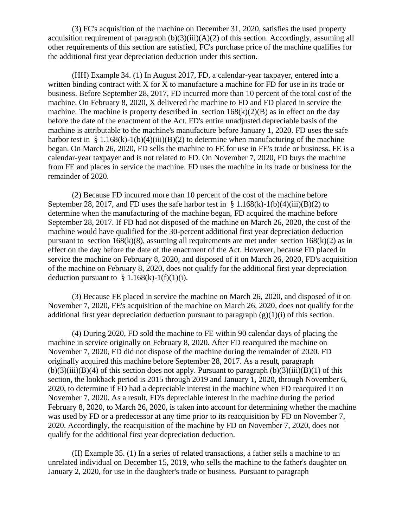(3) FC's acquisition of the machine on December 31, 2020, satisfies the used property acquisition requirement of paragraph  $(b)(3)(iii)(A)(2)$  of this section. Accordingly, assuming all other requirements of this section are satisfied, FC's purchase price of the machine qualifies for the additional first year depreciation deduction under this section.

(HH) Example 34. (1) In August 2017, FD, a calendar-year taxpayer, entered into a written binding contract with X for X to manufacture a machine for FD for use in its trade or business. Before September 28, 2017, FD incurred more than 10 percent of the total cost of the machine. On February 8, 2020, X delivered the machine to FD and FD placed in service the machine. The machine is property described in section  $168(k)(2)(B)$  as in effect on the day before the date of the enactment of the Act. FD's entire unadjusted depreciable basis of the machine is attributable to the machine's manufacture before January 1, 2020. FD uses the safe harbor test in § 1.168(k)-1(b)(4)(iii)(B)(2) to determine when manufacturing of the machine began. On March 26, 2020, FD sells the machine to FE for use in FE's trade or business. FE is a calendar-year taxpayer and is not related to FD. On November 7, 2020, FD buys the machine from FE and places in service the machine. FD uses the machine in its trade or business for the remainder of 2020.

(2) Because FD incurred more than 10 percent of the cost of the machine before September 28, 2017, and FD uses the safe harbor test in  $\S 1.168(k) - 1(b)(4)(iii)(B)(2)$  to determine when the manufacturing of the machine began, FD acquired the machine before September 28, 2017. If FD had not disposed of the machine on March 26, 2020, the cost of the machine would have qualified for the 30-percent additional first year depreciation deduction pursuant to section  $168(k)(8)$ , assuming all requirements are met under section  $168(k)(2)$  as in effect on the day before the date of the enactment of the Act. However, because FD placed in service the machine on February 8, 2020, and disposed of it on March 26, 2020, FD's acquisition of the machine on February 8, 2020, does not qualify for the additional first year depreciation deduction pursuant to  $§ 1.168(k)-1(f)(1)(i)$ .

(3) Because FE placed in service the machine on March 26, 2020, and disposed of it on November 7, 2020, FE's acquisition of the machine on March 26, 2020, does not qualify for the additional first year depreciation deduction pursuant to paragraph  $(g)(1)(i)$  of this section.

(4) During 2020, FD sold the machine to FE within 90 calendar days of placing the machine in service originally on February 8, 2020. After FD reacquired the machine on November 7, 2020, FD did not dispose of the machine during the remainder of 2020. FD originally acquired this machine before September 28, 2017. As a result, paragraph  $(b)(3)(iii)(B)(4)$  of this section does not apply. Pursuant to paragraph  $(b)(3)(iii)(B)(1)$  of this section, the lookback period is 2015 through 2019 and January 1, 2020, through November 6, 2020, to determine if FD had a depreciable interest in the machine when FD reacquired it on November 7, 2020. As a result, FD's depreciable interest in the machine during the period February 8, 2020, to March 26, 2020, is taken into account for determining whether the machine was used by FD or a predecessor at any time prior to its reacquisition by FD on November 7, 2020. Accordingly, the reacquisition of the machine by FD on November 7, 2020, does not qualify for the additional first year depreciation deduction.

(II) Example 35. (1) In a series of related transactions, a father sells a machine to an unrelated individual on December 15, 2019, who sells the machine to the father's daughter on January 2, 2020, for use in the daughter's trade or business. Pursuant to paragraph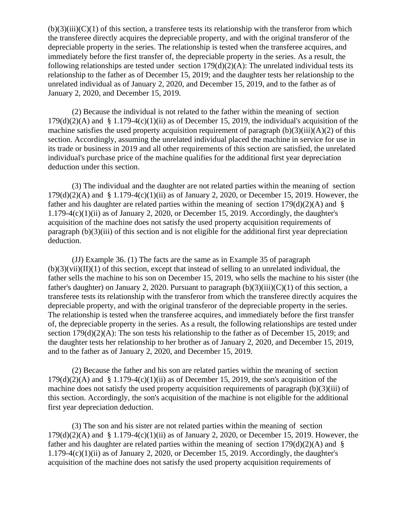$(b)(3)(iii)(C)(1)$  of this section, a transferee tests its relationship with the transferor from which the transferee directly acquires the depreciable property, and with the original transferor of the depreciable property in the series. The relationship is tested when the transferee acquires, and immediately before the first transfer of, the depreciable property in the series. As a result, the following relationships are tested under section  $179(d)(2)(A)$ : The unrelated individual tests its relationship to the father as of December 15, 2019; and the daughter tests her relationship to the unrelated individual as of January 2, 2020, and December 15, 2019, and to the father as of January 2, 2020, and December 15, 2019.

(2) Because the individual is not related to the father within the meaning of section  $179(d)(2)(A)$  and § 1.179-4(c)(1)(ii) as of December 15, 2019, the individual's acquisition of the machine satisfies the used property acquisition requirement of paragraph  $(b)(3)(iii)(A)(2)$  of this section. Accordingly, assuming the unrelated individual placed the machine in service for use in its trade or business in 2019 and all other requirements of this section are satisfied, the unrelated individual's purchase price of the machine qualifies for the additional first year depreciation deduction under this section.

(3) The individual and the daughter are not related parties within the meaning of section  $179(d)(2)$ (A) and §  $1.179-4(c)(1)(ii)$  as of January 2, 2020, or December 15, 2019. However, the father and his daughter are related parties within the meaning of section  $179(d)(2)(A)$  and § 1.179-4(c)(1)(ii) as of January 2, 2020, or December 15, 2019. Accordingly, the daughter's acquisition of the machine does not satisfy the used property acquisition requirements of paragraph (b)(3)(iii) of this section and is not eligible for the additional first year depreciation deduction.

(JJ) Example 36. (1) The facts are the same as in Example 35 of paragraph  $(b)(3)(vii)(II)(1)$  of this section, except that instead of selling to an unrelated individual, the father sells the machine to his son on December 15, 2019, who sells the machine to his sister (the father's daughter) on January 2, 2020. Pursuant to paragraph  $(b)(3)(iii)(C)(1)$  of this section, a transferee tests its relationship with the transferor from which the transferee directly acquires the depreciable property, and with the original transferor of the depreciable property in the series. The relationship is tested when the transferee acquires, and immediately before the first transfer of, the depreciable property in the series. As a result, the following relationships are tested under section 179(d)(2)(A): The son tests his relationship to the father as of December 15, 2019; and the daughter tests her relationship to her brother as of January 2, 2020, and December 15, 2019, and to the father as of January 2, 2020, and December 15, 2019.

(2) Because the father and his son are related parties within the meaning of section  $179(d)(2)(A)$  and § 1.179-4(c)(1)(ii) as of December 15, 2019, the son's acquisition of the machine does not satisfy the used property acquisition requirements of paragraph (b)(3)(iii) of this section. Accordingly, the son's acquisition of the machine is not eligible for the additional first year depreciation deduction.

(3) The son and his sister are not related parties within the meaning of section  $179(d)(2)(A)$  and §  $1.179-4(c)(1)(ii)$  as of January 2, 2020, or December 15, 2019. However, the father and his daughter are related parties within the meaning of section  $179(d)(2)(A)$  and §  $1.179-4(c)(1)(ii)$  as of January 2, 2020, or December 15, 2019. Accordingly, the daughter's acquisition of the machine does not satisfy the used property acquisition requirements of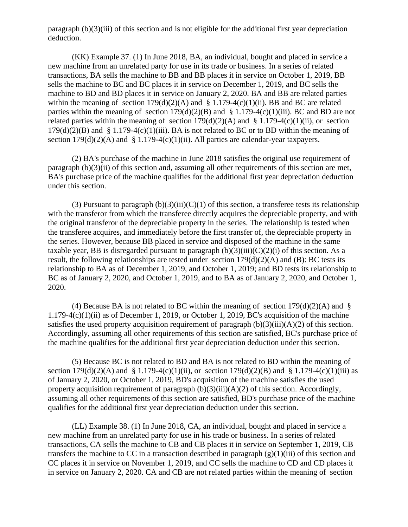paragraph (b)(3)(iii) of this section and is not eligible for the additional first year depreciation deduction.

(KK) Example 37. (1) In June 2018, BA, an individual, bought and placed in service a new machine from an unrelated party for use in its trade or business. In a series of related transactions, BA sells the machine to BB and BB places it in service on October 1, 2019, BB sells the machine to BC and BC places it in service on December 1, 2019, and BC sells the machine to BD and BD places it in service on January 2, 2020. BA and BB are related parties within the meaning of section  $179(d)(2)(A)$  and § 1.179-4(c)(1)(ii). BB and BC are related parties within the meaning of section  $179(d)(2)(B)$  and § 1.179-4(c)(1)(iii). BC and BD are not related parties within the meaning of section  $179(d)(2)(A)$  and § 1.179-4(c)(1)(ii), or section  $179(d)(2)(B)$  and § 1.179-4(c)(1)(iii). BA is not related to BC or to BD within the meaning of section  $179(d)(2)(A)$  and § 1.179-4(c)(1)(ii). All parties are calendar-year taxpayers.

(2) BA's purchase of the machine in June 2018 satisfies the original use requirement of paragraph (b)(3)(ii) of this section and, assuming all other requirements of this section are met, BA's purchase price of the machine qualifies for the additional first year depreciation deduction under this section.

(3) Pursuant to paragraph  $(b)(3)(iii)(C)(1)$  of this section, a transferee tests its relationship with the transferor from which the transferee directly acquires the depreciable property, and with the original transferor of the depreciable property in the series. The relationship is tested when the transferee acquires, and immediately before the first transfer of, the depreciable property in the series. However, because BB placed in service and disposed of the machine in the same taxable year, BB is disregarded pursuant to paragraph  $(b)(3)(iii)(C)(2)(i)$  of this section. As a result, the following relationships are tested under section 179(d)(2)(A) and (B): BC tests its relationship to BA as of December 1, 2019, and October 1, 2019; and BD tests its relationship to BC as of January 2, 2020, and October 1, 2019, and to BA as of January 2, 2020, and October 1, 2020.

(4) Because BA is not related to BC within the meaning of section  $179(d)(2)(A)$  and §  $1.179-4(c)(1)(ii)$  as of December 1, 2019, or October 1, 2019, BC's acquisition of the machine satisfies the used property acquisition requirement of paragraph  $(b)(3)(iii)(A)(2)$  of this section. Accordingly, assuming all other requirements of this section are satisfied, BC's purchase price of the machine qualifies for the additional first year depreciation deduction under this section.

(5) Because BC is not related to BD and BA is not related to BD within the meaning of section  $179(d)(2)(A)$  and § 1.179-4(c)(1)(ii), or section  $179(d)(2)(B)$  and § 1.179-4(c)(1)(iii) as of January 2, 2020, or October 1, 2019, BD's acquisition of the machine satisfies the used property acquisition requirement of paragraph  $(b)(3)(iii)(A)(2)$  of this section. Accordingly, assuming all other requirements of this section are satisfied, BD's purchase price of the machine qualifies for the additional first year depreciation deduction under this section.

(LL) Example 38. (1) In June 2018, CA, an individual, bought and placed in service a new machine from an unrelated party for use in his trade or business. In a series of related transactions, CA sells the machine to CB and CB places it in service on September 1, 2019, CB transfers the machine to CC in a transaction described in paragraph  $(g)(1)(iii)$  of this section and CC places it in service on November 1, 2019, and CC sells the machine to CD and CD places it in service on January 2, 2020. CA and CB are not related parties within the meaning of section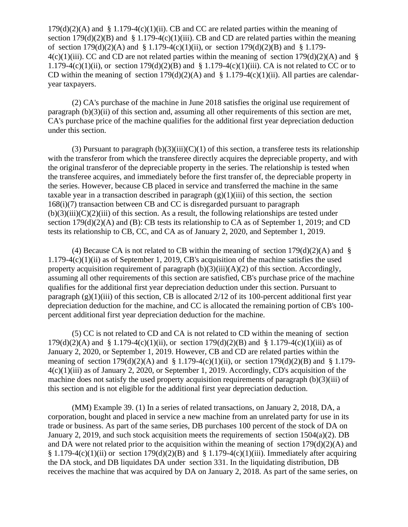$179(d)(2)(A)$  and § 1.179-4(c)(1)(ii). CB and CC are related parties within the meaning of section  $179(d)(2)(B)$  and § 1.179-4(c)(1)(iii). CB and CD are related parties within the meaning of section  $179(d)(2)(A)$  and § 1.179-4(c)(1)(ii), or section  $179(d)(2)(B)$  and § 1.179- $4(c)(1)(iii)$ . CC and CD are not related parties within the meaning of section 179(d)(2)(A) and § 1.179-4(c)(1)(ii), or section 179(d)(2)(B) and § 1.179-4(c)(1)(iii). CA is not related to CC or to CD within the meaning of section  $179(d)(2)(A)$  and § 1.179-4(c)(1)(ii). All parties are calendaryear taxpayers.

(2) CA's purchase of the machine in June 2018 satisfies the original use requirement of paragraph (b)(3)(ii) of this section and, assuming all other requirements of this section are met, CA's purchase price of the machine qualifies for the additional first year depreciation deduction under this section.

(3) Pursuant to paragraph  $(b)(3)(iii)(C)(1)$  of this section, a transferee tests its relationship with the transferor from which the transferee directly acquires the depreciable property, and with the original transferor of the depreciable property in the series. The relationship is tested when the transferee acquires, and immediately before the first transfer of, the depreciable property in the series. However, because CB placed in service and transferred the machine in the same taxable year in a transaction described in paragraph  $(g)(1)(iii)$  of this section, the section 168(i)(7) transaction between CB and CC is disregarded pursuant to paragraph  $(b)(3)(iii)(C)(2)(iii)$  of this section. As a result, the following relationships are tested under section  $179(d)(2)(A)$  and (B): CB tests its relationship to CA as of September 1, 2019; and CD tests its relationship to CB, CC, and CA as of January 2, 2020, and September 1, 2019.

(4) Because CA is not related to CB within the meaning of section  $179(d)(2)(A)$  and § 1.179-4(c)(1)(ii) as of September 1, 2019, CB's acquisition of the machine satisfies the used property acquisition requirement of paragraph  $(b)(3)(iii)(A)(2)$  of this section. Accordingly, assuming all other requirements of this section are satisfied, CB's purchase price of the machine qualifies for the additional first year depreciation deduction under this section. Pursuant to paragraph  $(g)(1)(iii)$  of this section, CB is allocated  $2/12$  of its 100-percent additional first year depreciation deduction for the machine, and CC is allocated the remaining portion of CB's 100 percent additional first year depreciation deduction for the machine.

(5) CC is not related to CD and CA is not related to CD within the meaning of section  $179(d)(2)(A)$  and §  $1.179-4(c)(1)(ii)$ , or section  $179(d)(2)(B)$  and §  $1.179-4(c)(1)(iii)$  as of January 2, 2020, or September 1, 2019. However, CB and CD are related parties within the meaning of section  $179(d)(2)(A)$  and § 1.179-4(c)(1)(ii), or section  $179(d)(2)(B)$  and § 1.179-4(c)(1)(iii) as of January 2, 2020, or September 1, 2019. Accordingly, CD's acquisition of the machine does not satisfy the used property acquisition requirements of paragraph (b)(3)(iii) of this section and is not eligible for the additional first year depreciation deduction.

(MM) Example 39. (1) In a series of related transactions, on January 2, 2018, DA, a corporation, bought and placed in service a new machine from an unrelated party for use in its trade or business. As part of the same series, DB purchases 100 percent of the stock of DA on January 2, 2019, and such stock acquisition meets the requirements of section  $1504(a)(2)$ . DB and DA were not related prior to the acquisition within the meaning of section 179(d)(2)(A) and  $§ 1.179-4(c)(1)(ii)$  or section 179(d)(2)(B) and  $§ 1.179-4(c)(1)(iii)$ . Immediately after acquiring the DA stock, and DB liquidates DA under section 331. In the liquidating distribution, DB receives the machine that was acquired by DA on January 2, 2018. As part of the same series, on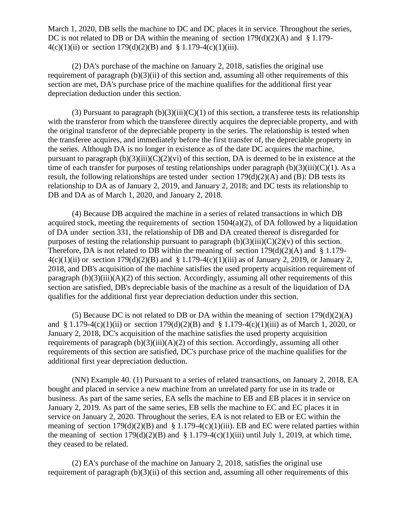March 1, 2020, DB sells the machine to DC and DC places it in service. Throughout the series, DC is not related to DB or DA within the meaning of section  $179(d)(2)(A)$  and § 1.179- $4(c)(1)(ii)$  or section  $179(d)(2)(B)$  and § 1.179-4(c)(1)(iii).

(2) DA's purchase of the machine on January 2, 2018, satisfies the original use requirement of paragraph (b)(3)(ii) of this section and, assuming all other requirements of this section are met, DA's purchase price of the machine qualifies for the additional first year depreciation deduction under this section.

(3) Pursuant to paragraph  $(b)(3)(iii)(C)(1)$  of this section, a transferee tests its relationship with the transferor from which the transferee directly acquires the depreciable property, and with the original transferor of the depreciable property in the series. The relationship is tested when the transferee acquires, and immediately before the first transfer of, the depreciable property in the series. Although DA is no longer in existence as of the date DC acquires the machine, pursuant to paragraph  $(b)(3)(iii)(C)(2)(vi)$  of this section, DA is deemed to be in existence at the time of each transfer for purposes of testing relationships under paragraph  $(b)(3)(iii)(C)(1)$ . As a result, the following relationships are tested under section 179(d)(2)(A) and (B): DB tests its relationship to DA as of January 2, 2019, and January 2, 2018; and DC tests its relationship to DB and DA as of March 1, 2020, and January 2, 2018.

(4) Because DB acquired the machine in a series of related transactions in which DB acquired stock, meeting the requirements of section  $1504(a)(2)$ , of DA followed by a liquidation of DA under section 331, the relationship of DB and DA created thereof is disregarded for purposes of testing the relationship pursuant to paragraph  $(b)(3)(iii)(C)(2)(v)$  of this section. Therefore, DA is not related to DB within the meaning of section  $179(d)(2)(A)$  and § 1.179- $4(c)(1)(ii)$  or section 179(d)(2)(B) and § 1.179-4(c)(1)(iii) as of January 2, 2019, or January 2, 2018, and DB's acquisition of the machine satisfies the used property acquisition requirement of paragraph  $(b)(3)(iii)(A)(2)$  of this section. Accordingly, assuming all other requirements of this section are satisfied, DB's depreciable basis of the machine as a result of the liquidation of DA qualifies for the additional first year depreciation deduction under this section.

(5) Because DC is not related to DB or DA within the meaning of section  $179(d)(2)(A)$ and § 1.179-4(c)(1)(ii) or section 179(d)(2)(B) and § 1.179-4(c)(1)(iii) as of March 1, 2020, or January 2, 2018, DC's acquisition of the machine satisfies the used property acquisition requirements of paragraph  $(b)(3)(iii)(A)(2)$  of this section. Accordingly, assuming all other requirements of this section are satisfied, DC's purchase price of the machine qualifies for the additional first year depreciation deduction.

(NN) Example 40. (1) Pursuant to a series of related transactions, on January 2, 2018, EA bought and placed in service a new machine from an unrelated party for use in its trade or business. As part of the same series, EA sells the machine to EB and EB places it in service on January 2, 2019. As part of the same series, EB sells the machine to EC and EC places it in service on January 2, 2020. Throughout the series, EA is not related to EB or EC within the meaning of section  $179(d)(2)(B)$  and § 1.179-4(c)(1)(iii). EB and EC were related parties within the meaning of section  $179(d)(2)(B)$  and § 1.179-4(c)(1)(iii) until July 1, 2019, at which time, they ceased to be related.

(2) EA's purchase of the machine on January 2, 2018, satisfies the original use requirement of paragraph (b)(3)(ii) of this section and, assuming all other requirements of this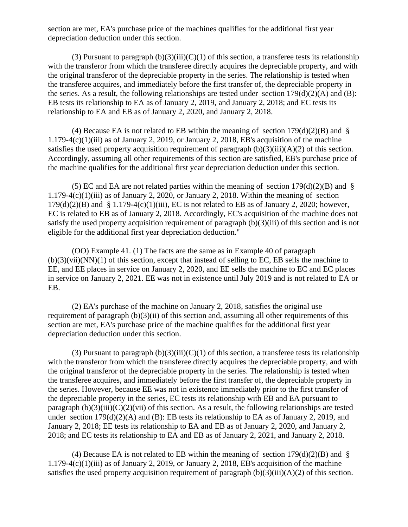section are met, EA's purchase price of the machines qualifies for the additional first year depreciation deduction under this section.

(3) Pursuant to paragraph  $(b)(3)(iii)(C)(1)$  of this section, a transferee tests its relationship with the transferor from which the transferee directly acquires the depreciable property, and with the original transferor of the depreciable property in the series. The relationship is tested when the transferee acquires, and immediately before the first transfer of, the depreciable property in the series. As a result, the following relationships are tested under section  $179(d)(2)(A)$  and (B): EB tests its relationship to EA as of January 2, 2019, and January 2, 2018; and EC tests its relationship to EA and EB as of January 2, 2020, and January 2, 2018.

(4) Because EA is not related to EB within the meaning of section  $179(d)(2)(B)$  and § 1.179-4(c)(1)(iii) as of January 2, 2019, or January 2, 2018, EB's acquisition of the machine satisfies the used property acquisition requirement of paragraph  $(b)(3)(iii)(A)(2)$  of this section. Accordingly, assuming all other requirements of this section are satisfied, EB's purchase price of the machine qualifies for the additional first year depreciation deduction under this section.

(5) EC and EA are not related parties within the meaning of section  $179(d)(2)(B)$  and § 1.179-4 $(c)(1)(iii)$  as of January 2, 2020, or January 2, 2018. Within the meaning of section  $179(d)(2)(B)$  and § 1.179-4(c)(1)(iii), EC is not related to EB as of January 2, 2020; however, EC is related to EB as of January 2, 2018. Accordingly, EC's acquisition of the machine does not satisfy the used property acquisition requirement of paragraph (b)(3)(iii) of this section and is not eligible for the additional first year depreciation deduction."

(OO) Example 41. (1) The facts are the same as in Example 40 of paragraph (b)(3)(vii)(NN)(1) of this section, except that instead of selling to EC, EB sells the machine to EE, and EE places in service on January 2, 2020, and EE sells the machine to EC and EC places in service on January 2, 2021. EE was not in existence until July 2019 and is not related to EA or EB.

(2) EA's purchase of the machine on January 2, 2018, satisfies the original use requirement of paragraph  $(b)(3)(ii)$  of this section and, assuming all other requirements of this section are met, EA's purchase price of the machine qualifies for the additional first year depreciation deduction under this section.

(3) Pursuant to paragraph  $(b)(3)(iii)(C)(1)$  of this section, a transferee tests its relationship with the transferor from which the transferee directly acquires the depreciable property, and with the original transferor of the depreciable property in the series. The relationship is tested when the transferee acquires, and immediately before the first transfer of, the depreciable property in the series. However, because EE was not in existence immediately prior to the first transfer of the depreciable property in the series, EC tests its relationship with EB and EA pursuant to paragraph  $(b)(3)(iii)(C)(2)(vii)$  of this section. As a result, the following relationships are tested under section  $179(d)(2)(A)$  and (B): EB tests its relationship to EA as of January 2, 2019, and January 2, 2018; EE tests its relationship to EA and EB as of January 2, 2020, and January 2, 2018; and EC tests its relationship to EA and EB as of January 2, 2021, and January 2, 2018.

(4) Because EA is not related to EB within the meaning of section  $179(d)(2)(B)$  and § 1.179-4 $(c)(1)(iii)$  as of January 2, 2019, or January 2, 2018, EB's acquisition of the machine satisfies the used property acquisition requirement of paragraph  $(b)(3)(iii)(A)(2)$  of this section.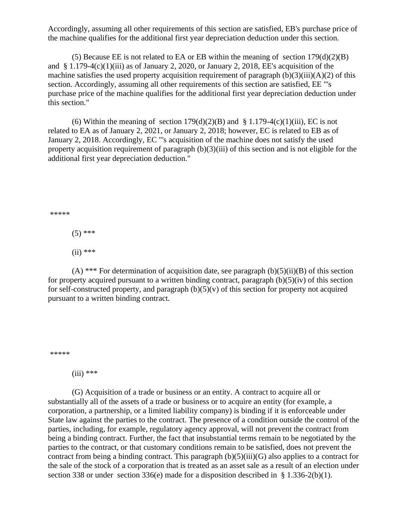Accordingly, assuming all other requirements of this section are satisfied, EB's purchase price of the machine qualifies for the additional first year depreciation deduction under this section.

(5) Because EE is not related to EA or EB within the meaning of section  $179(d)(2)(B)$ and  $\S 1.179-4(c)(1)(iii)$  as of January 2, 2020, or January 2, 2018, EE's acquisition of the machine satisfies the used property acquisition requirement of paragraph  $(b)(3)(iii)(A)(2)$  of this section. Accordingly, assuming all other requirements of this section are satisfied, EE "'s purchase price of the machine qualifies for the additional first year depreciation deduction under this section."

(6) Within the meaning of section  $179(d)(2)(B)$  and § 1.179-4(c)(1)(iii), EC is not related to EA as of January 2, 2021, or January 2, 2018; however, EC is related to EB as of January 2, 2018. Accordingly, EC "'s acquisition of the machine does not satisfy the used property acquisition requirement of paragraph (b)(3)(iii) of this section and is not eligible for the additional first year depreciation deduction."

\*\*\*\*\*

 $(5)$  \*\*\*

 $(ii)$  \*\*\*

(A) \*\*\* For determination of acquisition date, see paragraph  $(b)(5)(ii)(B)$  of this section for property acquired pursuant to a written binding contract, paragraph  $(b)(5)(iv)$  of this section for self-constructed property, and paragraph  $(b)(5)(v)$  of this section for property not acquired pursuant to a written binding contract.

\*\*\*\*\*

 $(iii)$  \*\*\*

(G) Acquisition of a trade or business or an entity. A contract to acquire all or substantially all of the assets of a trade or business or to acquire an entity (for example, a corporation, a partnership, or a limited liability company) is binding if it is enforceable under State law against the parties to the contract. The presence of a condition outside the control of the parties, including, for example, regulatory agency approval, will not prevent the contract from being a binding contract. Further, the fact that insubstantial terms remain to be negotiated by the parties to the contract, or that customary conditions remain to be satisfied, does not prevent the contract from being a binding contract. This paragraph  $(b)(5)(iii)(G)$  also applies to a contract for the sale of the stock of a corporation that is treated as an asset sale as a result of an election under section 338 or under section 336(e) made for a disposition described in § 1.336-2(b)(1).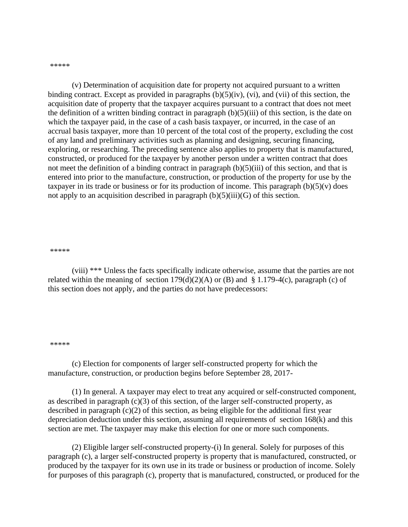\*\*\*\*\*

(v) Determination of acquisition date for property not acquired pursuant to a written binding contract. Except as provided in paragraphs  $(b)(5)(iv)$ ,  $(vi)$ , and  $(vii)$  of this section, the acquisition date of property that the taxpayer acquires pursuant to a contract that does not meet the definition of a written binding contract in paragraph  $(b)(5)(iii)$  of this section, is the date on which the taxpayer paid, in the case of a cash basis taxpayer, or incurred, in the case of an accrual basis taxpayer, more than 10 percent of the total cost of the property, excluding the cost of any land and preliminary activities such as planning and designing, securing financing, exploring, or researching. The preceding sentence also applies to property that is manufactured, constructed, or produced for the taxpayer by another person under a written contract that does not meet the definition of a binding contract in paragraph (b)(5)(iii) of this section, and that is entered into prior to the manufacture, construction, or production of the property for use by the taxpayer in its trade or business or for its production of income. This paragraph  $(b)(5)(v)$  does not apply to an acquisition described in paragraph  $(b)(5)(iii)(G)$  of this section.

#### \*\*\*\*\*

(viii) \*\*\* Unless the facts specifically indicate otherwise, assume that the parties are not related within the meaning of section  $179(d)(2)(A)$  or (B) and § 1.179-4(c), paragraph (c) of this section does not apply, and the parties do not have predecessors:

#### \*\*\*\*\*

(c) Election for components of larger self-constructed property for which the manufacture, construction, or production begins before September 28, 2017-

(1) In general. A taxpayer may elect to treat any acquired or self-constructed component, as described in paragraph (c)(3) of this section, of the larger self-constructed property, as described in paragraph  $(c)(2)$  of this section, as being eligible for the additional first year depreciation deduction under this section, assuming all requirements of section 168(k) and this section are met. The taxpayer may make this election for one or more such components.

(2) Eligible larger self-constructed property-(i) In general. Solely for purposes of this paragraph (c), a larger self-constructed property is property that is manufactured, constructed, or produced by the taxpayer for its own use in its trade or business or production of income. Solely for purposes of this paragraph (c), property that is manufactured, constructed, or produced for the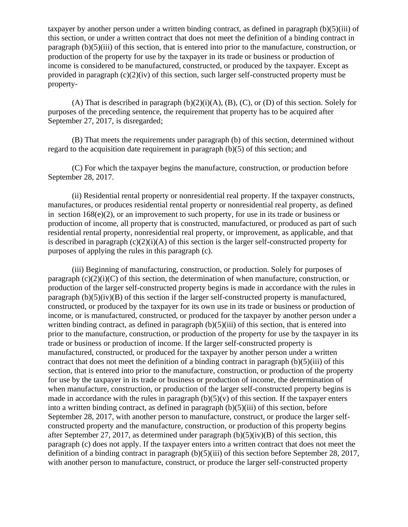taxpayer by another person under a written binding contract, as defined in paragraph (b)(5)(iii) of this section, or under a written contract that does not meet the definition of a binding contract in paragraph (b)(5)(iii) of this section, that is entered into prior to the manufacture, construction, or production of the property for use by the taxpayer in its trade or business or production of income is considered to be manufactured, constructed, or produced by the taxpayer. Except as provided in paragraph  $(c)(2)(iv)$  of this section, such larger self-constructed property must be property-

(A) That is described in paragraph  $(b)(2)(i)(A)$ ,  $(B)$ ,  $(C)$ , or  $(D)$  of this section. Solely for purposes of the preceding sentence, the requirement that property has to be acquired after September 27, 2017, is disregarded;

(B) That meets the requirements under paragraph (b) of this section, determined without regard to the acquisition date requirement in paragraph (b)(5) of this section; and

(C) For which the taxpayer begins the manufacture, construction, or production before September 28, 2017.

(ii) Residential rental property or nonresidential real property. If the taxpayer constructs, manufactures, or produces residential rental property or nonresidential real property, as defined in section 168(e)(2), or an improvement to such property, for use in its trade or business or production of income, all property that is constructed, manufactured, or produced as part of such residential rental property, nonresidential real property, or improvement, as applicable, and that is described in paragraph  $(c)(2)(i)(A)$  of this section is the larger self-constructed property for purposes of applying the rules in this paragraph (c).

(iii) Beginning of manufacturing, construction, or production. Solely for purposes of paragraph  $(c)(2)(i)(C)$  of this section, the determination of when manufacture, construction, or production of the larger self-constructed property begins is made in accordance with the rules in paragraph  $(b)(5)(iv)(B)$  of this section if the larger self-constructed property is manufactured, constructed, or produced by the taxpayer for its own use in its trade or business or production of income, or is manufactured, constructed, or produced for the taxpayer by another person under a written binding contract, as defined in paragraph  $(b)(5)(iii)$  of this section, that is entered into prior to the manufacture, construction, or production of the property for use by the taxpayer in its trade or business or production of income. If the larger self-constructed property is manufactured, constructed, or produced for the taxpayer by another person under a written contract that does not meet the definition of a binding contract in paragraph (b)(5)(iii) of this section, that is entered into prior to the manufacture, construction, or production of the property for use by the taxpayer in its trade or business or production of income, the determination of when manufacture, construction, or production of the larger self-constructed property begins is made in accordance with the rules in paragraph  $(b)(5)(v)$  of this section. If the taxpayer enters into a written binding contract, as defined in paragraph (b)(5)(iii) of this section, before September 28, 2017, with another person to manufacture, construct, or produce the larger selfconstructed property and the manufacture, construction, or production of this property begins after September 27, 2017, as determined under paragraph  $(b)(5)(iv)(B)$  of this section, this paragraph (c) does not apply. If the taxpayer enters into a written contract that does not meet the definition of a binding contract in paragraph (b)(5)(iii) of this section before September 28, 2017, with another person to manufacture, construct, or produce the larger self-constructed property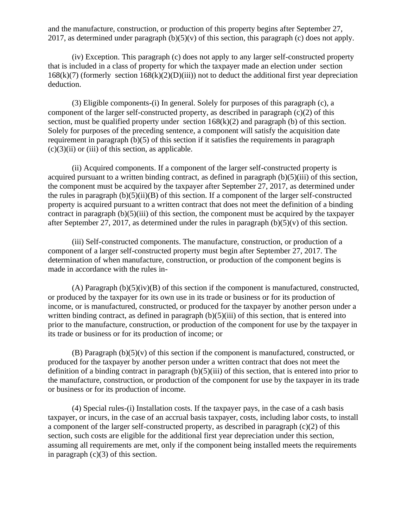and the manufacture, construction, or production of this property begins after September 27, 2017, as determined under paragraph  $(b)(5)(v)$  of this section, this paragraph (c) does not apply.

(iv) Exception. This paragraph (c) does not apply to any larger self-constructed property that is included in a class of property for which the taxpayer made an election under section  $168(k)(7)$  (formerly section  $168(k)(2)(D)(iii)$ ) not to deduct the additional first year depreciation deduction.

(3) Eligible components-(i) In general. Solely for purposes of this paragraph (c), a component of the larger self-constructed property, as described in paragraph (c)(2) of this section, must be qualified property under section  $168(k)(2)$  and paragraph (b) of this section. Solely for purposes of the preceding sentence, a component will satisfy the acquisition date requirement in paragraph (b)(5) of this section if it satisfies the requirements in paragraph  $(c)(3)(ii)$  or (iii) of this section, as applicable.

(ii) Acquired components. If a component of the larger self-constructed property is acquired pursuant to a written binding contract, as defined in paragraph (b)(5)(iii) of this section, the component must be acquired by the taxpayer after September 27, 2017, as determined under the rules in paragraph  $(b)(5)(ii)(B)$  of this section. If a component of the larger self-constructed property is acquired pursuant to a written contract that does not meet the definition of a binding contract in paragraph  $(b)(5)(iii)$  of this section, the component must be acquired by the taxpayer after September 27, 2017, as determined under the rules in paragraph  $(b)(5)(v)$  of this section.

(iii) Self-constructed components. The manufacture, construction, or production of a component of a larger self-constructed property must begin after September 27, 2017. The determination of when manufacture, construction, or production of the component begins is made in accordance with the rules in-

(A) Paragraph (b)(5)(iv)(B) of this section if the component is manufactured, constructed, or produced by the taxpayer for its own use in its trade or business or for its production of income, or is manufactured, constructed, or produced for the taxpayer by another person under a written binding contract, as defined in paragraph  $(b)(5)(iii)$  of this section, that is entered into prior to the manufacture, construction, or production of the component for use by the taxpayer in its trade or business or for its production of income; or

 $(B)$  Paragraph  $(b)(5)(v)$  of this section if the component is manufactured, constructed, or produced for the taxpayer by another person under a written contract that does not meet the definition of a binding contract in paragraph  $(b)(5)(iii)$  of this section, that is entered into prior to the manufacture, construction, or production of the component for use by the taxpayer in its trade or business or for its production of income.

(4) Special rules-(i) Installation costs. If the taxpayer pays, in the case of a cash basis taxpayer, or incurs, in the case of an accrual basis taxpayer, costs, including labor costs, to install a component of the larger self-constructed property, as described in paragraph (c)(2) of this section, such costs are eligible for the additional first year depreciation under this section, assuming all requirements are met, only if the component being installed meets the requirements in paragraph  $(c)(3)$  of this section.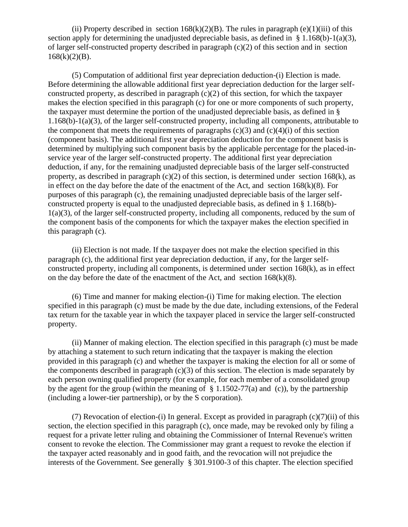(ii) Property described in section  $168(k)(2)(B)$ . The rules in paragraph (e)(1)(iii) of this section apply for determining the unadjusted depreciable basis, as defined in  $\S$  1.168(b)-1(a)(3), of larger self-constructed property described in paragraph (c)(2) of this section and in section  $168(k)(2)(B)$ .

(5) Computation of additional first year depreciation deduction-(i) Election is made. Before determining the allowable additional first year depreciation deduction for the larger selfconstructed property, as described in paragraph (c)(2) of this section, for which the taxpayer makes the election specified in this paragraph (c) for one or more components of such property, the taxpayer must determine the portion of the unadjusted depreciable basis, as defined in § 1.168(b)-1(a)(3), of the larger self-constructed property, including all components, attributable to the component that meets the requirements of paragraphs  $(c)(3)$  and  $(c)(4)(i)$  of this section (component basis). The additional first year depreciation deduction for the component basis is determined by multiplying such component basis by the applicable percentage for the placed-inservice year of the larger self-constructed property. The additional first year depreciation deduction, if any, for the remaining unadjusted depreciable basis of the larger self-constructed property, as described in paragraph  $(c)(2)$  of this section, is determined under section 168 $(k)$ , as in effect on the day before the date of the enactment of the Act, and section  $168(k)(8)$ . For purposes of this paragraph (c), the remaining unadjusted depreciable basis of the larger selfconstructed property is equal to the unadjusted depreciable basis, as defined in § 1.168(b)- 1(a)(3), of the larger self-constructed property, including all components, reduced by the sum of the component basis of the components for which the taxpayer makes the election specified in this paragraph (c).

(ii) Election is not made. If the taxpayer does not make the election specified in this paragraph (c), the additional first year depreciation deduction, if any, for the larger selfconstructed property, including all components, is determined under section 168(k), as in effect on the day before the date of the enactment of the Act, and section  $168(k)(8)$ .

(6) Time and manner for making election-(i) Time for making election. The election specified in this paragraph (c) must be made by the due date, including extensions, of the Federal tax return for the taxable year in which the taxpayer placed in service the larger self-constructed property.

(ii) Manner of making election. The election specified in this paragraph (c) must be made by attaching a statement to such return indicating that the taxpayer is making the election provided in this paragraph (c) and whether the taxpayer is making the election for all or some of the components described in paragraph (c)(3) of this section. The election is made separately by each person owning qualified property (for example, for each member of a consolidated group by the agent for the group (within the meaning of  $\S$  1.1502-77(a) and (c)), by the partnership (including a lower-tier partnership), or by the S corporation).

(7) Revocation of election-(i) In general. Except as provided in paragraph  $(c)(7)(ii)$  of this section, the election specified in this paragraph (c), once made, may be revoked only by filing a request for a private letter ruling and obtaining the Commissioner of Internal Revenue's written consent to revoke the election. The Commissioner may grant a request to revoke the election if the taxpayer acted reasonably and in good faith, and the revocation will not prejudice the interests of the Government. See generally § 301.9100-3 of this chapter. The election specified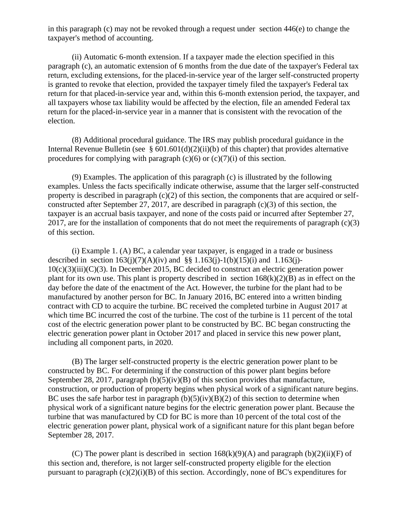in this paragraph (c) may not be revoked through a request under section 446(e) to change the taxpayer's method of accounting.

(ii) Automatic 6-month extension. If a taxpayer made the election specified in this paragraph (c), an automatic extension of 6 months from the due date of the taxpayer's Federal tax return, excluding extensions, for the placed-in-service year of the larger self-constructed property is granted to revoke that election, provided the taxpayer timely filed the taxpayer's Federal tax return for that placed-in-service year and, within this 6-month extension period, the taxpayer, and all taxpayers whose tax liability would be affected by the election, file an amended Federal tax return for the placed-in-service year in a manner that is consistent with the revocation of the election.

(8) Additional procedural guidance. The IRS may publish procedural guidance in the Internal Revenue Bulletin (see  $\S 601.601(d)(2)(ii)(b)$  of this chapter) that provides alternative procedures for complying with paragraph  $(c)(6)$  or  $(c)(7)(i)$  of this section.

(9) Examples. The application of this paragraph (c) is illustrated by the following examples. Unless the facts specifically indicate otherwise, assume that the larger self-constructed property is described in paragraph (c)(2) of this section, the components that are acquired or selfconstructed after September 27, 2017, are described in paragraph (c)(3) of this section, the taxpayer is an accrual basis taxpayer, and none of the costs paid or incurred after September 27, 2017, are for the installation of components that do not meet the requirements of paragraph (c)(3) of this section.

(i) Example 1. (A) BC, a calendar year taxpayer, is engaged in a trade or business described in section  $163(i)(7)(A)(iv)$  and §§ 1.163(j)-1(b)(15)(i) and 1.163(j)- $10(c)(3)(iii)(C)(3)$ . In December 2015, BC decided to construct an electric generation power plant for its own use. This plant is property described in section  $168(k)(2)(B)$  as in effect on the day before the date of the enactment of the Act. However, the turbine for the plant had to be manufactured by another person for BC. In January 2016, BC entered into a written binding contract with CD to acquire the turbine. BC received the completed turbine in August 2017 at which time BC incurred the cost of the turbine. The cost of the turbine is 11 percent of the total cost of the electric generation power plant to be constructed by BC. BC began constructing the electric generation power plant in October 2017 and placed in service this new power plant, including all component parts, in 2020.

(B) The larger self-constructed property is the electric generation power plant to be constructed by BC. For determining if the construction of this power plant begins before September 28, 2017, paragraph (b)(5)(iv)(B) of this section provides that manufacture, construction, or production of property begins when physical work of a significant nature begins. BC uses the safe harbor test in paragraph  $(b)(5)(iv)(B)(2)$  of this section to determine when physical work of a significant nature begins for the electric generation power plant. Because the turbine that was manufactured by CD for BC is more than 10 percent of the total cost of the electric generation power plant, physical work of a significant nature for this plant began before September 28, 2017.

(C) The power plant is described in section  $168(k)(9)(A)$  and paragraph  $(b)(2)(ii)(F)$  of this section and, therefore, is not larger self-constructed property eligible for the election pursuant to paragraph (c)(2)(i)(B) of this section. Accordingly, none of BC's expenditures for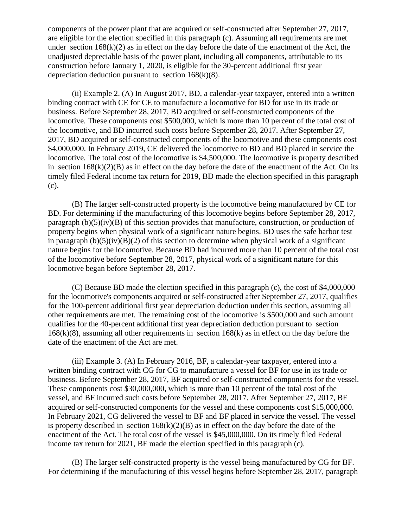components of the power plant that are acquired or self-constructed after September 27, 2017, are eligible for the election specified in this paragraph (c). Assuming all requirements are met under section  $168(k)(2)$  as in effect on the day before the date of the enactment of the Act, the unadjusted depreciable basis of the power plant, including all components, attributable to its construction before January 1, 2020, is eligible for the 30-percent additional first year depreciation deduction pursuant to section  $168(k)(8)$ .

(ii) Example 2. (A) In August 2017, BD, a calendar-year taxpayer, entered into a written binding contract with CE for CE to manufacture a locomotive for BD for use in its trade or business. Before September 28, 2017, BD acquired or self-constructed components of the locomotive. These components cost \$500,000, which is more than 10 percent of the total cost of the locomotive, and BD incurred such costs before September 28, 2017. After September 27, 2017, BD acquired or self-constructed components of the locomotive and these components cost \$4,000,000. In February 2019, CE delivered the locomotive to BD and BD placed in service the locomotive. The total cost of the locomotive is \$4,500,000. The locomotive is property described in section  $168(k)(2)(B)$  as in effect on the day before the date of the enactment of the Act. On its timely filed Federal income tax return for 2019, BD made the election specified in this paragraph (c).

(B) The larger self-constructed property is the locomotive being manufactured by CE for BD. For determining if the manufacturing of this locomotive begins before September 28, 2017, paragraph  $(b)(5)(iv)(B)$  of this section provides that manufacture, construction, or production of property begins when physical work of a significant nature begins. BD uses the safe harbor test in paragraph  $(b)(5)(iv)(B)(2)$  of this section to determine when physical work of a significant nature begins for the locomotive. Because BD had incurred more than 10 percent of the total cost of the locomotive before September 28, 2017, physical work of a significant nature for this locomotive began before September 28, 2017.

(C) Because BD made the election specified in this paragraph (c), the cost of \$4,000,000 for the locomotive's components acquired or self-constructed after September 27, 2017, qualifies for the 100-percent additional first year depreciation deduction under this section, assuming all other requirements are met. The remaining cost of the locomotive is \$500,000 and such amount qualifies for the 40-percent additional first year depreciation deduction pursuant to section 168(k)(8), assuming all other requirements in section 168(k) as in effect on the day before the date of the enactment of the Act are met.

(iii) Example 3. (A) In February 2016, BF, a calendar-year taxpayer, entered into a written binding contract with CG for CG to manufacture a vessel for BF for use in its trade or business. Before September 28, 2017, BF acquired or self-constructed components for the vessel. These components cost \$30,000,000, which is more than 10 percent of the total cost of the vessel, and BF incurred such costs before September 28, 2017. After September 27, 2017, BF acquired or self-constructed components for the vessel and these components cost \$15,000,000. In February 2021, CG delivered the vessel to BF and BF placed in service the vessel. The vessel is property described in section  $168(k)(2)(B)$  as in effect on the day before the date of the enactment of the Act. The total cost of the vessel is \$45,000,000. On its timely filed Federal income tax return for 2021, BF made the election specified in this paragraph (c).

(B) The larger self-constructed property is the vessel being manufactured by CG for BF. For determining if the manufacturing of this vessel begins before September 28, 2017, paragraph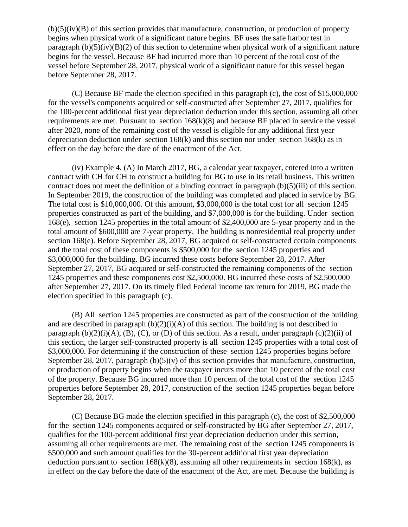$(b)(5)(iv)(B)$  of this section provides that manufacture, construction, or production of property begins when physical work of a significant nature begins. BF uses the safe harbor test in paragraph  $(b)(5)(iv)(B)(2)$  of this section to determine when physical work of a significant nature begins for the vessel. Because BF had incurred more than 10 percent of the total cost of the vessel before September 28, 2017, physical work of a significant nature for this vessel began before September 28, 2017.

(C) Because BF made the election specified in this paragraph (c), the cost of \$15,000,000 for the vessel's components acquired or self-constructed after September 27, 2017, qualifies for the 100-percent additional first year depreciation deduction under this section, assuming all other requirements are met. Pursuant to section 168(k)(8) and because BF placed in service the vessel after 2020, none of the remaining cost of the vessel is eligible for any additional first year depreciation deduction under section 168(k) and this section nor under section 168(k) as in effect on the day before the date of the enactment of the Act.

(iv) Example 4. (A) In March 2017, BG, a calendar year taxpayer, entered into a written contract with CH for CH to construct a building for BG to use in its retail business. This written contract does not meet the definition of a binding contract in paragraph (b)(5)(iii) of this section. In September 2019, the construction of the building was completed and placed in service by BG. The total cost is \$10,000,000. Of this amount, \$3,000,000 is the total cost for all section 1245 properties constructed as part of the building, and \$7,000,000 is for the building. Under section 168(e), section 1245 properties in the total amount of \$2,400,000 are 5-year property and in the total amount of \$600,000 are 7-year property. The building is nonresidential real property under section 168(e). Before September 28, 2017, BG acquired or self-constructed certain components and the total cost of these components is \$500,000 for the section 1245 properties and \$3,000,000 for the building. BG incurred these costs before September 28, 2017. After September 27, 2017, BG acquired or self-constructed the remaining components of the section 1245 properties and these components cost \$2,500,000. BG incurred these costs of \$2,500,000 after September 27, 2017. On its timely filed Federal income tax return for 2019, BG made the election specified in this paragraph (c).

(B) All section 1245 properties are constructed as part of the construction of the building and are described in paragraph  $(b)(2)(i)(A)$  of this section. The building is not described in paragraph  $(b)(2)(i)(A)$ ,  $(B)$ ,  $(C)$ , or  $(D)$  of this section. As a result, under paragraph  $(c)(2)(ii)$  of this section, the larger self-constructed property is all section 1245 properties with a total cost of \$3,000,000. For determining if the construction of these section 1245 properties begins before September 28, 2017, paragraph  $(b)(5)(v)$  of this section provides that manufacture, construction, or production of property begins when the taxpayer incurs more than 10 percent of the total cost of the property. Because BG incurred more than 10 percent of the total cost of the section 1245 properties before September 28, 2017, construction of the section 1245 properties began before September 28, 2017.

(C) Because BG made the election specified in this paragraph (c), the cost of \$2,500,000 for the section 1245 components acquired or self-constructed by BG after September 27, 2017, qualifies for the 100-percent additional first year depreciation deduction under this section, assuming all other requirements are met. The remaining cost of the section 1245 components is \$500,000 and such amount qualifies for the 30-percent additional first year depreciation deduction pursuant to section  $168(k)(8)$ , assuming all other requirements in section  $168(k)$ , as in effect on the day before the date of the enactment of the Act, are met. Because the building is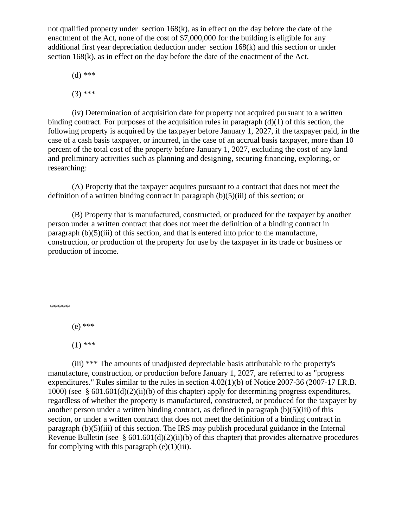not qualified property under section  $168(k)$ , as in effect on the day before the date of the enactment of the Act, none of the cost of \$7,000,000 for the building is eligible for any additional first year depreciation deduction under section 168(k) and this section or under section 168(k), as in effect on the day before the date of the enactment of the Act.

(d) \*\*\*

 $(3)$  \*\*\*

(iv) Determination of acquisition date for property not acquired pursuant to a written binding contract. For purposes of the acquisition rules in paragraph  $(d)(1)$  of this section, the following property is acquired by the taxpayer before January 1, 2027, if the taxpayer paid, in the case of a cash basis taxpayer, or incurred, in the case of an accrual basis taxpayer, more than 10 percent of the total cost of the property before January 1, 2027, excluding the cost of any land and preliminary activities such as planning and designing, securing financing, exploring, or researching:

(A) Property that the taxpayer acquires pursuant to a contract that does not meet the definition of a written binding contract in paragraph  $(b)(5)(iii)$  of this section; or

(B) Property that is manufactured, constructed, or produced for the taxpayer by another person under a written contract that does not meet the definition of a binding contract in paragraph (b)(5)(iii) of this section, and that is entered into prior to the manufacture, construction, or production of the property for use by the taxpayer in its trade or business or production of income.

\*\*\*\*\*

(e) \*\*\*

 $(1)$  \*\*\*

(iii) \*\*\* The amounts of unadjusted depreciable basis attributable to the property's manufacture, construction, or production before January 1, 2027, are referred to as "progress expenditures." Rules similar to the rules in section 4.02(1)(b) of Notice 2007-36 (2007-17 I.R.B. 1000) (see § 601.601(d)(2)(ii)(b) of this chapter) apply for determining progress expenditures, regardless of whether the property is manufactured, constructed, or produced for the taxpayer by another person under a written binding contract, as defined in paragraph (b)(5)(iii) of this section, or under a written contract that does not meet the definition of a binding contract in paragraph (b)(5)(iii) of this section. The IRS may publish procedural guidance in the Internal Revenue Bulletin (see  $\S 601.601(d)(2)(ii)(b)$  of this chapter) that provides alternative procedures for complying with this paragraph  $(e)(1)(iii)$ .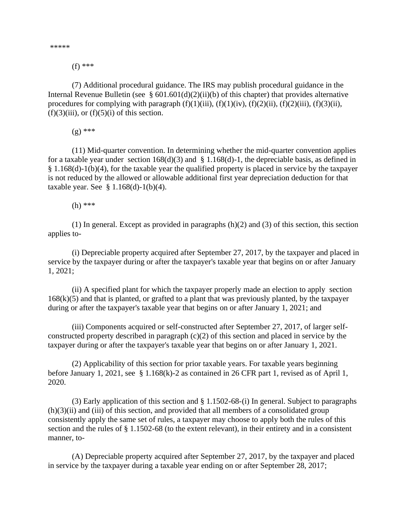\*\*\*\*\*

(f) \*\*\*

(7) Additional procedural guidance. The IRS may publish procedural guidance in the Internal Revenue Bulletin (see  $\S 601.601(d)(2)(ii)(b)$  of this chapter) that provides alternative procedures for complying with paragraph  $(f)(1)(iii)$ ,  $(f)(1)(iv)$ ,  $(f)(2)(ii)$ ,  $(f)(2)(iii)$ ,  $(f)(3)(ii)$ ,  $(f)(3)(iii)$ , or  $(f)(5)(i)$  of this section.

(g) \*\*\*

(11) Mid-quarter convention. In determining whether the mid-quarter convention applies for a taxable year under section  $168(d)(3)$  and § 1.168(d)-1, the depreciable basis, as defined in § 1.168(d)-1(b)(4), for the taxable year the qualified property is placed in service by the taxpayer is not reduced by the allowed or allowable additional first year depreciation deduction for that taxable year. See  $§ 1.168(d)-1(b)(4)$ .

(h) \*\*\*

(1) In general. Except as provided in paragraphs  $(h)(2)$  and  $(3)$  of this section, this section applies to-

(i) Depreciable property acquired after September 27, 2017, by the taxpayer and placed in service by the taxpayer during or after the taxpayer's taxable year that begins on or after January 1, 2021;

(ii) A specified plant for which the taxpayer properly made an election to apply section  $168(k)(5)$  and that is planted, or grafted to a plant that was previously planted, by the taxpayer during or after the taxpayer's taxable year that begins on or after January 1, 2021; and

(iii) Components acquired or self-constructed after September 27, 2017, of larger selfconstructed property described in paragraph (c)(2) of this section and placed in service by the taxpayer during or after the taxpayer's taxable year that begins on or after January 1, 2021.

(2) Applicability of this section for prior taxable years. For taxable years beginning before January 1, 2021, see § 1.168(k)-2 as contained in 26 CFR part 1, revised as of April 1, 2020.

(3) Early application of this section and § 1.1502-68-(i) In general. Subject to paragraphs  $(h)(3)(ii)$  and (iii) of this section, and provided that all members of a consolidated group consistently apply the same set of rules, a taxpayer may choose to apply both the rules of this section and the rules of § 1.1502-68 (to the extent relevant), in their entirety and in a consistent manner, to-

(A) Depreciable property acquired after September 27, 2017, by the taxpayer and placed in service by the taxpayer during a taxable year ending on or after September 28, 2017;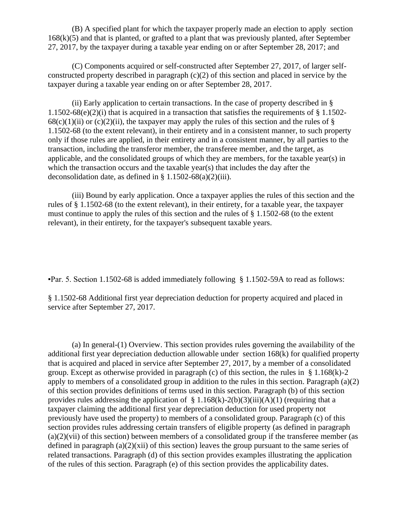(B) A specified plant for which the taxpayer properly made an election to apply section  $168(k)(5)$  and that is planted, or grafted to a plant that was previously planted, after September 27, 2017, by the taxpayer during a taxable year ending on or after September 28, 2017; and

(C) Components acquired or self-constructed after September 27, 2017, of larger selfconstructed property described in paragraph (c)(2) of this section and placed in service by the taxpayer during a taxable year ending on or after September 28, 2017.

(ii) Early application to certain transactions. In the case of property described in § 1.1502-68(e)(2)(i) that is acquired in a transaction that satisfies the requirements of  $\S 1.1502$ - $68(c)(1)(ii)$  or  $(c)(2)(ii)$ , the taxpayer may apply the rules of this section and the rules of § 1.1502-68 (to the extent relevant), in their entirety and in a consistent manner, to such property only if those rules are applied, in their entirety and in a consistent manner, by all parties to the transaction, including the transferor member, the transferee member, and the target, as applicable, and the consolidated groups of which they are members, for the taxable year(s) in which the transaction occurs and the taxable year(s) that includes the day after the deconsolidation date, as defined in  $\S 1.1502-68(a)(2)(iii)$ .

(iii) Bound by early application. Once a taxpayer applies the rules of this section and the rules of § 1.1502-68 (to the extent relevant), in their entirety, for a taxable year, the taxpayer must continue to apply the rules of this section and the rules of § 1.1502-68 (to the extent relevant), in their entirety, for the taxpayer's subsequent taxable years.

▪Par. 5. Section 1.1502-68 is added immediately following § 1.1502-59A to read as follows:

§ 1.1502-68 Additional first year depreciation deduction for property acquired and placed in service after September 27, 2017.

(a) In general-(1) Overview. This section provides rules governing the availability of the additional first year depreciation deduction allowable under section 168(k) for qualified property that is acquired and placed in service after September 27, 2017, by a member of a consolidated group. Except as otherwise provided in paragraph (c) of this section, the rules in § 1.168(k)-2 apply to members of a consolidated group in addition to the rules in this section. Paragraph (a)(2) of this section provides definitions of terms used in this section. Paragraph (b) of this section provides rules addressing the application of  $\S 1.168(k)-2(b)(3)(iii)(A)(1)$  (requiring that a taxpayer claiming the additional first year depreciation deduction for used property not previously have used the property) to members of a consolidated group. Paragraph (c) of this section provides rules addressing certain transfers of eligible property (as defined in paragraph  $(a)(2)(vii)$  of this section) between members of a consolidated group if the transferee member (as defined in paragraph  $(a)(2)(xii)$  of this section) leaves the group pursuant to the same series of related transactions. Paragraph (d) of this section provides examples illustrating the application of the rules of this section. Paragraph (e) of this section provides the applicability dates.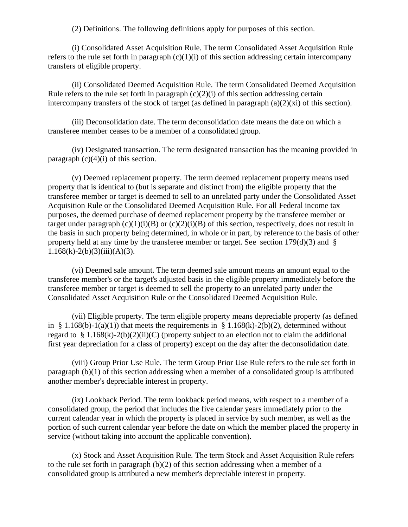(2) Definitions. The following definitions apply for purposes of this section.

(i) Consolidated Asset Acquisition Rule. The term Consolidated Asset Acquisition Rule refers to the rule set forth in paragraph  $(c)(1)(i)$  of this section addressing certain intercompany transfers of eligible property.

(ii) Consolidated Deemed Acquisition Rule. The term Consolidated Deemed Acquisition Rule refers to the rule set forth in paragraph  $(c)(2)(i)$  of this section addressing certain intercompany transfers of the stock of target (as defined in paragraph  $(a)(2)(x)$  of this section).

(iii) Deconsolidation date. The term deconsolidation date means the date on which a transferee member ceases to be a member of a consolidated group.

(iv) Designated transaction. The term designated transaction has the meaning provided in paragraph  $(c)(4)(i)$  of this section.

(v) Deemed replacement property. The term deemed replacement property means used property that is identical to (but is separate and distinct from) the eligible property that the transferee member or target is deemed to sell to an unrelated party under the Consolidated Asset Acquisition Rule or the Consolidated Deemed Acquisition Rule. For all Federal income tax purposes, the deemed purchase of deemed replacement property by the transferee member or target under paragraph  $(c)(1)(i)(B)$  or  $(c)(2)(i)(B)$  of this section, respectively, does not result in the basis in such property being determined, in whole or in part, by reference to the basis of other property held at any time by the transferee member or target. See section 179(d)(3) and §  $1.168(k)-2(b)(3)(iii)(A)(3).$ 

(vi) Deemed sale amount. The term deemed sale amount means an amount equal to the transferee member's or the target's adjusted basis in the eligible property immediately before the transferee member or target is deemed to sell the property to an unrelated party under the Consolidated Asset Acquisition Rule or the Consolidated Deemed Acquisition Rule.

(vii) Eligible property. The term eligible property means depreciable property (as defined in § 1.168(b)-1(a)(1)) that meets the requirements in § 1.168(k)-2(b)(2), determined without regard to § 1.168(k)-2(b)(2)(ii)(C) (property subject to an election not to claim the additional first year depreciation for a class of property) except on the day after the deconsolidation date.

(viii) Group Prior Use Rule. The term Group Prior Use Rule refers to the rule set forth in paragraph (b)(1) of this section addressing when a member of a consolidated group is attributed another member's depreciable interest in property.

(ix) Lookback Period. The term lookback period means, with respect to a member of a consolidated group, the period that includes the five calendar years immediately prior to the current calendar year in which the property is placed in service by such member, as well as the portion of such current calendar year before the date on which the member placed the property in service (without taking into account the applicable convention).

(x) Stock and Asset Acquisition Rule. The term Stock and Asset Acquisition Rule refers to the rule set forth in paragraph (b)(2) of this section addressing when a member of a consolidated group is attributed a new member's depreciable interest in property.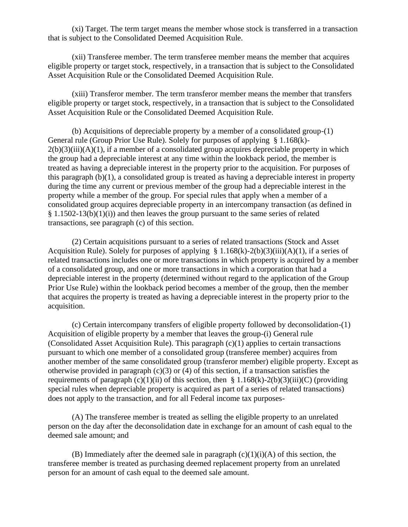(xi) Target. The term target means the member whose stock is transferred in a transaction that is subject to the Consolidated Deemed Acquisition Rule.

(xii) Transferee member. The term transferee member means the member that acquires eligible property or target stock, respectively, in a transaction that is subject to the Consolidated Asset Acquisition Rule or the Consolidated Deemed Acquisition Rule.

(xiii) Transferor member. The term transferor member means the member that transfers eligible property or target stock, respectively, in a transaction that is subject to the Consolidated Asset Acquisition Rule or the Consolidated Deemed Acquisition Rule.

(b) Acquisitions of depreciable property by a member of a consolidated group-(1) General rule (Group Prior Use Rule). Solely for purposes of applying § 1.168(k)-  $2(b)(3)(iii)(A)(1)$ , if a member of a consolidated group acquires depreciable property in which the group had a depreciable interest at any time within the lookback period, the member is treated as having a depreciable interest in the property prior to the acquisition. For purposes of this paragraph (b)(1), a consolidated group is treated as having a depreciable interest in property during the time any current or previous member of the group had a depreciable interest in the property while a member of the group. For special rules that apply when a member of a consolidated group acquires depreciable property in an intercompany transaction (as defined in  $§$  1.1502-13(b)(1)(i)) and then leaves the group pursuant to the same series of related transactions, see paragraph (c) of this section.

(2) Certain acquisitions pursuant to a series of related transactions (Stock and Asset Acquisition Rule). Solely for purposes of applying  $\S 1.168(k)$ -2(b)(3)(iii)(A)(1), if a series of related transactions includes one or more transactions in which property is acquired by a member of a consolidated group, and one or more transactions in which a corporation that had a depreciable interest in the property (determined without regard to the application of the Group Prior Use Rule) within the lookback period becomes a member of the group, then the member that acquires the property is treated as having a depreciable interest in the property prior to the acquisition.

(c) Certain intercompany transfers of eligible property followed by deconsolidation-(1) Acquisition of eligible property by a member that leaves the group-(i) General rule (Consolidated Asset Acquisition Rule). This paragraph (c)(1) applies to certain transactions pursuant to which one member of a consolidated group (transferee member) acquires from another member of the same consolidated group (transferor member) eligible property. Except as otherwise provided in paragraph  $(c)(3)$  or  $(4)$  of this section, if a transaction satisfies the requirements of paragraph (c)(1)(ii) of this section, then § 1.168(k)-2(b)(3)(iii)(C) (providing special rules when depreciable property is acquired as part of a series of related transactions) does not apply to the transaction, and for all Federal income tax purposes-

(A) The transferee member is treated as selling the eligible property to an unrelated person on the day after the deconsolidation date in exchange for an amount of cash equal to the deemed sale amount; and

(B) Immediately after the deemed sale in paragraph  $(c)(1)(i)(A)$  of this section, the transferee member is treated as purchasing deemed replacement property from an unrelated person for an amount of cash equal to the deemed sale amount.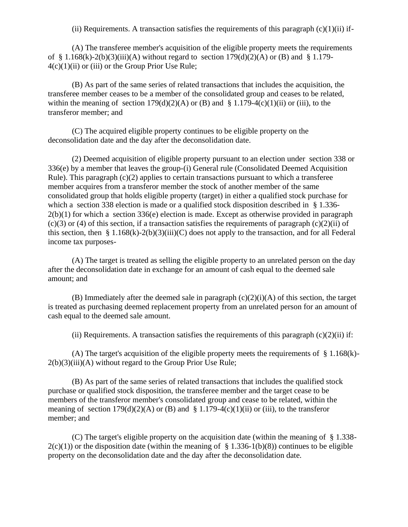(ii) Requirements. A transaction satisfies the requirements of this paragraph  $(c)(1)(ii)$  if-

(A) The transferee member's acquisition of the eligible property meets the requirements of § 1.168(k)-2(b)(3)(iii)(A) without regard to section  $179(d)(2)(A)$  or (B) and § 1.179- $4(c)(1)(ii)$  or (iii) or the Group Prior Use Rule;

(B) As part of the same series of related transactions that includes the acquisition, the transferee member ceases to be a member of the consolidated group and ceases to be related, within the meaning of section  $179(d)(2)(A)$  or (B) and § 1.179-4(c)(1)(ii) or (iii), to the transferor member; and

(C) The acquired eligible property continues to be eligible property on the deconsolidation date and the day after the deconsolidation date.

(2) Deemed acquisition of eligible property pursuant to an election under section 338 or 336(e) by a member that leaves the group-(i) General rule (Consolidated Deemed Acquisition Rule). This paragraph (c)(2) applies to certain transactions pursuant to which a transferee member acquires from a transferor member the stock of another member of the same consolidated group that holds eligible property (target) in either a qualified stock purchase for which a section 338 election is made or a qualified stock disposition described in § 1.336- $2(b)(1)$  for which a section 336(e) election is made. Except as otherwise provided in paragraph  $(c)(3)$  or (4) of this section, if a transaction satisfies the requirements of paragraph  $(c)(2)(ii)$  of this section, then § 1.168(k)-2(b)(3)(iii)(C) does not apply to the transaction, and for all Federal income tax purposes-

(A) The target is treated as selling the eligible property to an unrelated person on the day after the deconsolidation date in exchange for an amount of cash equal to the deemed sale amount; and

(B) Immediately after the deemed sale in paragraph  $(c)(2)(i)(A)$  of this section, the target is treated as purchasing deemed replacement property from an unrelated person for an amount of cash equal to the deemed sale amount.

(ii) Requirements. A transaction satisfies the requirements of this paragraph  $(c)(2)(ii)$  if:

(A) The target's acquisition of the eligible property meets the requirements of  $\S 1.168(k)$ - $2(b)(3)(iii)(A)$  without regard to the Group Prior Use Rule;

(B) As part of the same series of related transactions that includes the qualified stock purchase or qualified stock disposition, the transferee member and the target cease to be members of the transferor member's consolidated group and cease to be related, within the meaning of section  $179(d)(2)(A)$  or (B) and § 1.179-4(c)(1)(ii) or (iii), to the transferor member; and

(C) The target's eligible property on the acquisition date (within the meaning of § 1.338-  $2(c)(1)$ ) or the disposition date (within the meaning of § 1.336-1(b)(8)) continues to be eligible property on the deconsolidation date and the day after the deconsolidation date.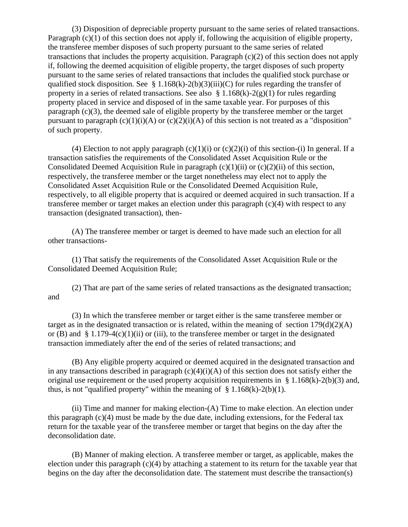(3) Disposition of depreciable property pursuant to the same series of related transactions. Paragraph (c)(1) of this section does not apply if, following the acquisition of eligible property, the transferee member disposes of such property pursuant to the same series of related transactions that includes the property acquisition. Paragraph (c)(2) of this section does not apply if, following the deemed acquisition of eligible property, the target disposes of such property pursuant to the same series of related transactions that includes the qualified stock purchase or qualified stock disposition. See § 1.168(k)-2(b)(3)(iii)(C) for rules regarding the transfer of property in a series of related transactions. See also  $\S 1.168(k)-2(g)(1)$  for rules regarding property placed in service and disposed of in the same taxable year. For purposes of this paragraph (c)(3), the deemed sale of eligible property by the transferee member or the target pursuant to paragraph  $(c)(1)(i)(A)$  or  $(c)(2)(i)(A)$  of this section is not treated as a "disposition" of such property.

(4) Election to not apply paragraph  $(c)(1)(i)$  or  $(c)(2)(i)$  of this section-(i) In general. If a transaction satisfies the requirements of the Consolidated Asset Acquisition Rule or the Consolidated Deemed Acquisition Rule in paragraph  $(c)(1)(ii)$  or  $(c)(2)(ii)$  of this section, respectively, the transferee member or the target nonetheless may elect not to apply the Consolidated Asset Acquisition Rule or the Consolidated Deemed Acquisition Rule, respectively, to all eligible property that is acquired or deemed acquired in such transaction. If a transferee member or target makes an election under this paragraph (c)(4) with respect to any transaction (designated transaction), then-

(A) The transferee member or target is deemed to have made such an election for all other transactions-

(1) That satisfy the requirements of the Consolidated Asset Acquisition Rule or the Consolidated Deemed Acquisition Rule;

(2) That are part of the same series of related transactions as the designated transaction; and

(3) In which the transferee member or target either is the same transferee member or target as in the designated transaction or is related, within the meaning of section  $179(d)(2)(A)$ or (B) and  $\S 1.179-4(c)(1)(ii)$  or (iii), to the transferee member or target in the designated transaction immediately after the end of the series of related transactions; and

(B) Any eligible property acquired or deemed acquired in the designated transaction and in any transactions described in paragraph  $(c)(4)(i)(A)$  of this section does not satisfy either the original use requirement or the used property acquisition requirements in  $\S 1.168(k)-2(b)(3)$  and, thus, is not "qualified property" within the meaning of  $\S 1.168(k)-2(b)(1)$ .

(ii) Time and manner for making election-(A) Time to make election. An election under this paragraph (c)(4) must be made by the due date, including extensions, for the Federal tax return for the taxable year of the transferee member or target that begins on the day after the deconsolidation date.

(B) Manner of making election. A transferee member or target, as applicable, makes the election under this paragraph  $(c)(4)$  by attaching a statement to its return for the taxable year that begins on the day after the deconsolidation date. The statement must describe the transaction(s)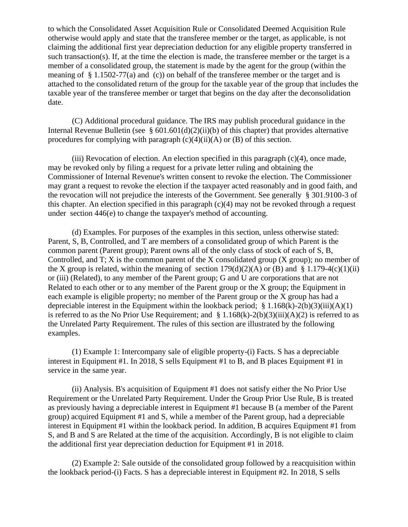to which the Consolidated Asset Acquisition Rule or Consolidated Deemed Acquisition Rule otherwise would apply and state that the transferee member or the target, as applicable, is not claiming the additional first year depreciation deduction for any eligible property transferred in such transaction(s). If, at the time the election is made, the transferee member or the target is a member of a consolidated group, the statement is made by the agent for the group (within the meaning of  $\S 1.1502-77(a)$  and (c)) on behalf of the transferee member or the target and is attached to the consolidated return of the group for the taxable year of the group that includes the taxable year of the transferee member or target that begins on the day after the deconsolidation date.

(C) Additional procedural guidance. The IRS may publish procedural guidance in the Internal Revenue Bulletin (see  $\S$  601.601(d)(2)(ii)(b) of this chapter) that provides alternative procedures for complying with paragraph  $(c)(4)(ii)(A)$  or  $(B)$  of this section.

 $(iii)$  Revocation of election. An election specified in this paragraph  $(c)(4)$ , once made, may be revoked only by filing a request for a private letter ruling and obtaining the Commissioner of Internal Revenue's written consent to revoke the election. The Commissioner may grant a request to revoke the election if the taxpayer acted reasonably and in good faith, and the revocation will not prejudice the interests of the Government. See generally § 301.9100-3 of this chapter. An election specified in this paragraph  $(c)(4)$  may not be revoked through a request under section 446(e) to change the taxpayer's method of accounting.

(d) Examples. For purposes of the examples in this section, unless otherwise stated: Parent, S, B, Controlled, and T are members of a consolidated group of which Parent is the common parent (Parent group); Parent owns all of the only class of stock of each of S, B, Controlled, and T; X is the common parent of the X consolidated group (X group); no member of the X group is related, within the meaning of section  $179(d)(2)(A)$  or (B) and § 1.179-4(c)(1)(ii) or (iii) (Related), to any member of the Parent group; G and U are corporations that are not Related to each other or to any member of the Parent group or the X group; the Equipment in each example is eligible property; no member of the Parent group or the X group has had a depreciable interest in the Equipment within the lookback period; § 1.168(k)-2(b)(3)(iii)(A)(1) is referred to as the No Prior Use Requirement; and  $\S 1.168(k) - 2(b)(3)(iii)(A)(2)$  is referred to as the Unrelated Party Requirement. The rules of this section are illustrated by the following examples.

(1) Example 1: Intercompany sale of eligible property-(i) Facts. S has a depreciable interest in Equipment #1. In 2018, S sells Equipment #1 to B, and B places Equipment #1 in service in the same year.

(ii) Analysis. B's acquisition of Equipment #1 does not satisfy either the No Prior Use Requirement or the Unrelated Party Requirement. Under the Group Prior Use Rule, B is treated as previously having a depreciable interest in Equipment #1 because B (a member of the Parent group) acquired Equipment #1 and S, while a member of the Parent group, had a depreciable interest in Equipment #1 within the lookback period. In addition, B acquires Equipment #1 from S, and B and S are Related at the time of the acquisition. Accordingly, B is not eligible to claim the additional first year depreciation deduction for Equipment #1 in 2018.

(2) Example 2: Sale outside of the consolidated group followed by a reacquisition within the lookback period-(i) Facts. S has a depreciable interest in Equipment #2. In 2018, S sells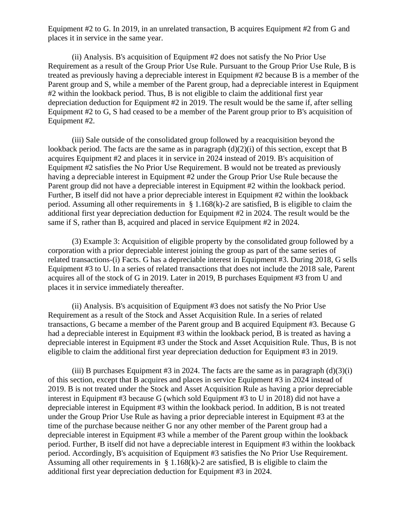Equipment #2 to G. In 2019, in an unrelated transaction, B acquires Equipment #2 from G and places it in service in the same year.

(ii) Analysis. B's acquisition of Equipment #2 does not satisfy the No Prior Use Requirement as a result of the Group Prior Use Rule. Pursuant to the Group Prior Use Rule, B is treated as previously having a depreciable interest in Equipment #2 because B is a member of the Parent group and S, while a member of the Parent group, had a depreciable interest in Equipment #2 within the lookback period. Thus, B is not eligible to claim the additional first year depreciation deduction for Equipment #2 in 2019. The result would be the same if, after selling Equipment #2 to G, S had ceased to be a member of the Parent group prior to B's acquisition of Equipment #2.

(iii) Sale outside of the consolidated group followed by a reacquisition beyond the lookback period. The facts are the same as in paragraph (d)(2)(i) of this section, except that B acquires Equipment #2 and places it in service in 2024 instead of 2019. B's acquisition of Equipment #2 satisfies the No Prior Use Requirement. B would not be treated as previously having a depreciable interest in Equipment #2 under the Group Prior Use Rule because the Parent group did not have a depreciable interest in Equipment #2 within the lookback period. Further, B itself did not have a prior depreciable interest in Equipment #2 within the lookback period. Assuming all other requirements in  $\S 1.168(k)-2$  are satisfied, B is eligible to claim the additional first year depreciation deduction for Equipment #2 in 2024. The result would be the same if S, rather than B, acquired and placed in service Equipment #2 in 2024.

(3) Example 3: Acquisition of eligible property by the consolidated group followed by a corporation with a prior depreciable interest joining the group as part of the same series of related transactions-(i) Facts. G has a depreciable interest in Equipment #3. During 2018, G sells Equipment #3 to U. In a series of related transactions that does not include the 2018 sale, Parent acquires all of the stock of G in 2019. Later in 2019, B purchases Equipment #3 from U and places it in service immediately thereafter.

(ii) Analysis. B's acquisition of Equipment #3 does not satisfy the No Prior Use Requirement as a result of the Stock and Asset Acquisition Rule. In a series of related transactions, G became a member of the Parent group and B acquired Equipment #3. Because G had a depreciable interest in Equipment #3 within the lookback period, B is treated as having a depreciable interest in Equipment #3 under the Stock and Asset Acquisition Rule. Thus, B is not eligible to claim the additional first year depreciation deduction for Equipment #3 in 2019.

(iii) B purchases Equipment #3 in 2024. The facts are the same as in paragraph  $(d)(3)(i)$ of this section, except that B acquires and places in service Equipment #3 in 2024 instead of 2019. B is not treated under the Stock and Asset Acquisition Rule as having a prior depreciable interest in Equipment #3 because G (which sold Equipment #3 to U in 2018) did not have a depreciable interest in Equipment #3 within the lookback period. In addition, B is not treated under the Group Prior Use Rule as having a prior depreciable interest in Equipment #3 at the time of the purchase because neither G nor any other member of the Parent group had a depreciable interest in Equipment #3 while a member of the Parent group within the lookback period. Further, B itself did not have a depreciable interest in Equipment #3 within the lookback period. Accordingly, B's acquisition of Equipment #3 satisfies the No Prior Use Requirement. Assuming all other requirements in  $\S 1.168(k)-2$  are satisfied, B is eligible to claim the additional first year depreciation deduction for Equipment #3 in 2024.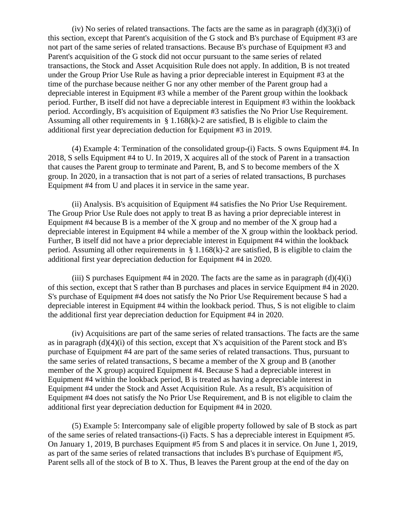(iv) No series of related transactions. The facts are the same as in paragraph  $(d)(3)(i)$  of this section, except that Parent's acquisition of the G stock and B's purchase of Equipment #3 are not part of the same series of related transactions. Because B's purchase of Equipment #3 and Parent's acquisition of the G stock did not occur pursuant to the same series of related transactions, the Stock and Asset Acquisition Rule does not apply. In addition, B is not treated under the Group Prior Use Rule as having a prior depreciable interest in Equipment #3 at the time of the purchase because neither G nor any other member of the Parent group had a depreciable interest in Equipment #3 while a member of the Parent group within the lookback period. Further, B itself did not have a depreciable interest in Equipment #3 within the lookback period. Accordingly, B's acquisition of Equipment #3 satisfies the No Prior Use Requirement. Assuming all other requirements in  $\S 1.168(k)-2$  are satisfied, B is eligible to claim the additional first year depreciation deduction for Equipment #3 in 2019.

(4) Example 4: Termination of the consolidated group-(i) Facts. S owns Equipment #4. In 2018, S sells Equipment #4 to U. In 2019, X acquires all of the stock of Parent in a transaction that causes the Parent group to terminate and Parent, B, and S to become members of the X group. In 2020, in a transaction that is not part of a series of related transactions, B purchases Equipment #4 from U and places it in service in the same year.

(ii) Analysis. B's acquisition of Equipment #4 satisfies the No Prior Use Requirement. The Group Prior Use Rule does not apply to treat B as having a prior depreciable interest in Equipment #4 because B is a member of the X group and no member of the X group had a depreciable interest in Equipment #4 while a member of the X group within the lookback period. Further, B itself did not have a prior depreciable interest in Equipment #4 within the lookback period. Assuming all other requirements in  $\S 1.168(k)-2$  are satisfied, B is eligible to claim the additional first year depreciation deduction for Equipment #4 in 2020.

(iii) S purchases Equipment #4 in 2020. The facts are the same as in paragraph  $(d)(4)(i)$ of this section, except that S rather than B purchases and places in service Equipment #4 in 2020. S's purchase of Equipment #4 does not satisfy the No Prior Use Requirement because S had a depreciable interest in Equipment #4 within the lookback period. Thus, S is not eligible to claim the additional first year depreciation deduction for Equipment #4 in 2020.

(iv) Acquisitions are part of the same series of related transactions. The facts are the same as in paragraph  $(d)(4)(i)$  of this section, except that X's acquisition of the Parent stock and B's purchase of Equipment #4 are part of the same series of related transactions. Thus, pursuant to the same series of related transactions, S became a member of the X group and B (another member of the X group) acquired Equipment #4. Because S had a depreciable interest in Equipment #4 within the lookback period, B is treated as having a depreciable interest in Equipment #4 under the Stock and Asset Acquisition Rule. As a result, B's acquisition of Equipment #4 does not satisfy the No Prior Use Requirement, and B is not eligible to claim the additional first year depreciation deduction for Equipment #4 in 2020.

(5) Example 5: Intercompany sale of eligible property followed by sale of B stock as part of the same series of related transactions-(i) Facts. S has a depreciable interest in Equipment #5. On January 1, 2019, B purchases Equipment #5 from S and places it in service. On June 1, 2019, as part of the same series of related transactions that includes B's purchase of Equipment #5, Parent sells all of the stock of B to X. Thus, B leaves the Parent group at the end of the day on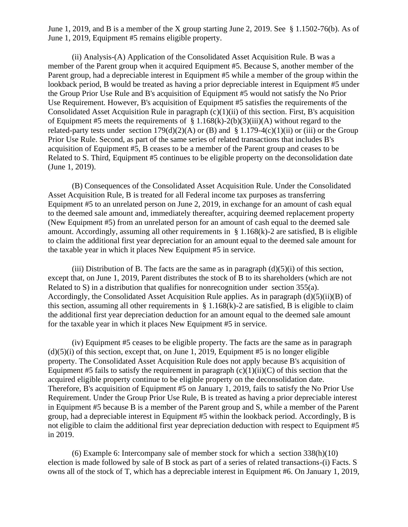June 1, 2019, and B is a member of the X group starting June 2, 2019. See § 1.1502-76(b). As of June 1, 2019, Equipment #5 remains eligible property.

(ii) Analysis-(A) Application of the Consolidated Asset Acquisition Rule. B was a member of the Parent group when it acquired Equipment #5. Because S, another member of the Parent group, had a depreciable interest in Equipment #5 while a member of the group within the lookback period, B would be treated as having a prior depreciable interest in Equipment #5 under the Group Prior Use Rule and B's acquisition of Equipment #5 would not satisfy the No Prior Use Requirement. However, B's acquisition of Equipment #5 satisfies the requirements of the Consolidated Asset Acquisition Rule in paragraph  $(c)(1)(ii)$  of this section. First, B's acquisition of Equipment #5 meets the requirements of § 1.168(k)-2(b)(3)(iii)(A) without regard to the related-party tests under section  $179(d)(2)(A)$  or (B) and § 1.179-4(c)(1)(ii) or (iii) or the Group Prior Use Rule. Second, as part of the same series of related transactions that includes B's acquisition of Equipment #5, B ceases to be a member of the Parent group and ceases to be Related to S. Third, Equipment #5 continues to be eligible property on the deconsolidation date (June 1, 2019).

(B) Consequences of the Consolidated Asset Acquisition Rule. Under the Consolidated Asset Acquisition Rule, B is treated for all Federal income tax purposes as transferring Equipment #5 to an unrelated person on June 2, 2019, in exchange for an amount of cash equal to the deemed sale amount and, immediately thereafter, acquiring deemed replacement property (New Equipment #5) from an unrelated person for an amount of cash equal to the deemed sale amount. Accordingly, assuming all other requirements in § 1.168(k)-2 are satisfied, B is eligible to claim the additional first year depreciation for an amount equal to the deemed sale amount for the taxable year in which it places New Equipment #5 in service.

(iii) Distribution of B. The facts are the same as in paragraph  $(d)(5)(i)$  of this section, except that, on June 1, 2019, Parent distributes the stock of B to its shareholders (which are not Related to S) in a distribution that qualifies for nonrecognition under section 355(a). Accordingly, the Consolidated Asset Acquisition Rule applies. As in paragraph (d)(5)(ii)(B) of this section, assuming all other requirements in  $\S 1.168(k)-2$  are satisfied, B is eligible to claim the additional first year depreciation deduction for an amount equal to the deemed sale amount for the taxable year in which it places New Equipment #5 in service.

(iv) Equipment #5 ceases to be eligible property. The facts are the same as in paragraph  $(d)(5)(i)$  of this section, except that, on June 1, 2019, Equipment #5 is no longer eligible property. The Consolidated Asset Acquisition Rule does not apply because B's acquisition of Equipment #5 fails to satisfy the requirement in paragraph  $(c)(1)(ii)(C)$  of this section that the acquired eligible property continue to be eligible property on the deconsolidation date. Therefore, B's acquisition of Equipment #5 on January 1, 2019, fails to satisfy the No Prior Use Requirement. Under the Group Prior Use Rule, B is treated as having a prior depreciable interest in Equipment #5 because B is a member of the Parent group and S, while a member of the Parent group, had a depreciable interest in Equipment #5 within the lookback period. Accordingly, B is not eligible to claim the additional first year depreciation deduction with respect to Equipment #5 in 2019.

(6) Example 6: Intercompany sale of member stock for which a section 338(h)(10) election is made followed by sale of B stock as part of a series of related transactions-(i) Facts. S owns all of the stock of T, which has a depreciable interest in Equipment #6. On January 1, 2019,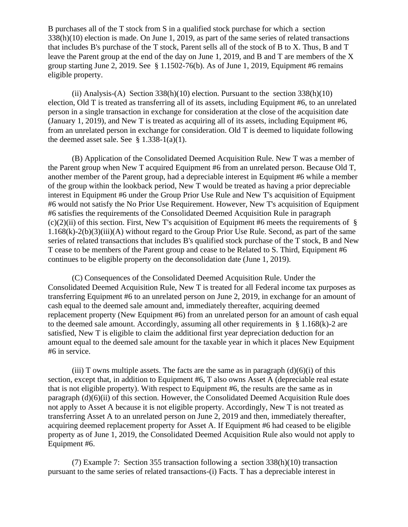B purchases all of the T stock from S in a qualified stock purchase for which a section 338(h)(10) election is made. On June 1, 2019, as part of the same series of related transactions that includes B's purchase of the T stock, Parent sells all of the stock of B to X. Thus, B and T leave the Parent group at the end of the day on June 1, 2019, and B and T are members of the X group starting June 2, 2019. See § 1.1502-76(b). As of June 1, 2019, Equipment #6 remains eligible property.

(ii) Analysis-(A) Section  $338(h)(10)$  election. Pursuant to the section  $338(h)(10)$ election, Old T is treated as transferring all of its assets, including Equipment #6, to an unrelated person in a single transaction in exchange for consideration at the close of the acquisition date (January 1, 2019), and New T is treated as acquiring all of its assets, including Equipment #6, from an unrelated person in exchange for consideration. Old T is deemed to liquidate following the deemed asset sale. See  $\S$  1.338-1(a)(1).

(B) Application of the Consolidated Deemed Acquisition Rule. New T was a member of the Parent group when New T acquired Equipment #6 from an unrelated person. Because Old T, another member of the Parent group, had a depreciable interest in Equipment #6 while a member of the group within the lookback period, New T would be treated as having a prior depreciable interest in Equipment #6 under the Group Prior Use Rule and New T's acquisition of Equipment #6 would not satisfy the No Prior Use Requirement. However, New T's acquisition of Equipment #6 satisfies the requirements of the Consolidated Deemed Acquisition Rule in paragraph  $(c)(2)(ii)$  of this section. First, New T's acquisition of Equipment #6 meets the requirements of § 1.168(k)-2(b)(3)(iii)(A) without regard to the Group Prior Use Rule. Second, as part of the same series of related transactions that includes B's qualified stock purchase of the T stock, B and New T cease to be members of the Parent group and cease to be Related to S. Third, Equipment #6 continues to be eligible property on the deconsolidation date (June 1, 2019).

(C) Consequences of the Consolidated Deemed Acquisition Rule. Under the Consolidated Deemed Acquisition Rule, New T is treated for all Federal income tax purposes as transferring Equipment #6 to an unrelated person on June 2, 2019, in exchange for an amount of cash equal to the deemed sale amount and, immediately thereafter, acquiring deemed replacement property (New Equipment #6) from an unrelated person for an amount of cash equal to the deemed sale amount. Accordingly, assuming all other requirements in § 1.168(k)-2 are satisfied, New T is eligible to claim the additional first year depreciation deduction for an amount equal to the deemed sale amount for the taxable year in which it places New Equipment #6 in service.

(iii) T owns multiple assets. The facts are the same as in paragraph  $(d)(6)(i)$  of this section, except that, in addition to Equipment #6, T also owns Asset A (depreciable real estate that is not eligible property). With respect to Equipment #6, the results are the same as in paragraph (d)(6)(ii) of this section. However, the Consolidated Deemed Acquisition Rule does not apply to Asset A because it is not eligible property. Accordingly, New T is not treated as transferring Asset A to an unrelated person on June 2, 2019 and then, immediately thereafter, acquiring deemed replacement property for Asset A. If Equipment #6 had ceased to be eligible property as of June 1, 2019, the Consolidated Deemed Acquisition Rule also would not apply to Equipment #6.

(7) Example 7: Section 355 transaction following a section 338(h)(10) transaction pursuant to the same series of related transactions-(i) Facts. T has a depreciable interest in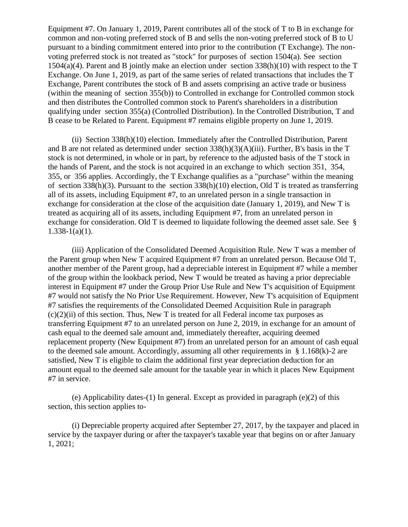Equipment #7. On January 1, 2019, Parent contributes all of the stock of T to B in exchange for common and non-voting preferred stock of B and sells the non-voting preferred stock of B to U pursuant to a binding commitment entered into prior to the contribution (T Exchange). The nonvoting preferred stock is not treated as "stock" for purposes of section 1504(a). See section 1504(a)(4). Parent and B jointly make an election under section 338(h)(10) with respect to the T Exchange. On June 1, 2019, as part of the same series of related transactions that includes the T Exchange, Parent contributes the stock of B and assets comprising an active trade or business (within the meaning of section 355(b)) to Controlled in exchange for Controlled common stock and then distributes the Controlled common stock to Parent's shareholders in a distribution qualifying under section 355(a) (Controlled Distribution). In the Controlled Distribution, T and B cease to be Related to Parent. Equipment #7 remains eligible property on June 1, 2019.

(ii) Section 338(h)(10) election. Immediately after the Controlled Distribution, Parent and B are not related as determined under section 338(h)(3)(A)(iii). Further, B's basis in the T stock is not determined, in whole or in part, by reference to the adjusted basis of the T stock in the hands of Parent, and the stock is not acquired in an exchange to which section 351, 354, 355, or 356 applies. Accordingly, the T Exchange qualifies as a "purchase" within the meaning of section 338(h)(3). Pursuant to the section 338(h)(10) election, Old T is treated as transferring all of its assets, including Equipment #7, to an unrelated person in a single transaction in exchange for consideration at the close of the acquisition date (January 1, 2019), and New T is treated as acquiring all of its assets, including Equipment #7, from an unrelated person in exchange for consideration. Old T is deemed to liquidate following the deemed asset sale. See §  $1.338 - 1(a)(1)$ .

(iii) Application of the Consolidated Deemed Acquisition Rule. New T was a member of the Parent group when New T acquired Equipment #7 from an unrelated person. Because Old T, another member of the Parent group, had a depreciable interest in Equipment #7 while a member of the group within the lookback period, New T would be treated as having a prior depreciable interest in Equipment #7 under the Group Prior Use Rule and New T's acquisition of Equipment #7 would not satisfy the No Prior Use Requirement. However, New T's acquisition of Equipment #7 satisfies the requirements of the Consolidated Deemed Acquisition Rule in paragraph  $(c)(2)(ii)$  of this section. Thus, New T is treated for all Federal income tax purposes as transferring Equipment #7 to an unrelated person on June 2, 2019, in exchange for an amount of cash equal to the deemed sale amount and, immediately thereafter, acquiring deemed replacement property (New Equipment #7) from an unrelated person for an amount of cash equal to the deemed sale amount. Accordingly, assuming all other requirements in § 1.168(k)-2 are satisfied, New T is eligible to claim the additional first year depreciation deduction for an amount equal to the deemed sale amount for the taxable year in which it places New Equipment #7 in service.

(e) Applicability dates-(1) In general. Except as provided in paragraph (e)(2) of this section, this section applies to-

(i) Depreciable property acquired after September 27, 2017, by the taxpayer and placed in service by the taxpayer during or after the taxpayer's taxable year that begins on or after January 1, 2021;